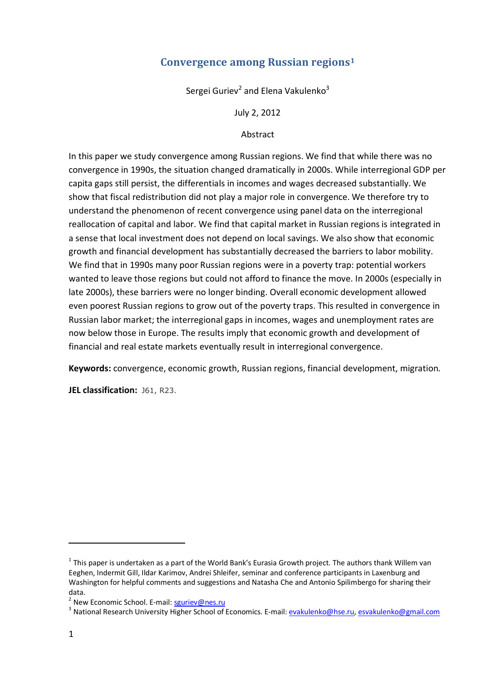# **Convergence among Russian regions<sup>1</sup>**

Sergei Guriev<sup>2</sup> and Elena Vakulenko<sup>3</sup>

July 2, 2012

Abstract

In this paper we study convergence among Russian regions. We find that while there was no convergence in 1990s, the situation changed dramatically in 2000s. While interregional GDP per capita gaps still persist, the differentials in incomes and wages decreased substantially. We show that fiscal redistribution did not play a major role in convergence. We therefore try to understand the phenomenon of recent convergence using panel data on the interregional reallocation of capital and labor. We find that capital market in Russian regions is integrated in a sense that local investment does not depend on local savings. We also show that economic growth and financial development has substantially decreased the barriers to labor mobility. We find that in 1990s many poor Russian regions were in a poverty trap: potential workers wanted to leave those regions but could not afford to finance the move. In 2000s (especially in late 2000s), these barriers were no longer binding. Overall economic development allowed even poorest Russian regions to grow out of the poverty traps. This resulted in convergence in Russian labor market; the interregional gaps in incomes, wages and unemployment rates are now below those in Europe. The results imply that economic growth and development of financial and real estate markets eventually result in interregional convergence.

**Keywords:** convergence, economic growth, Russian regions, financial development, migration.

**JEL classification:** J61, R23.

 $^1$  This paper is undertaken as a part of the World Bank's Eurasia Growth project. The authors thank Willem van Eeghen, Indermit Gill, Ildar Karimov, Andrei Shleifer, seminar and conference participants in Laxenburg and Washington for helpful comments and suggestions and Natasha Che and Antonio Spilimbergo for sharing their data.

<sup>&</sup>lt;sup>2</sup> New Economic School. E-mail: **sguriev@nes.ru** 

<sup>&</sup>lt;sup>3</sup> National Research University Higher School of Economics. E-mail: <u>evakulenko@hse.ru</u>, <u>esvakulenko@gmail.com</u>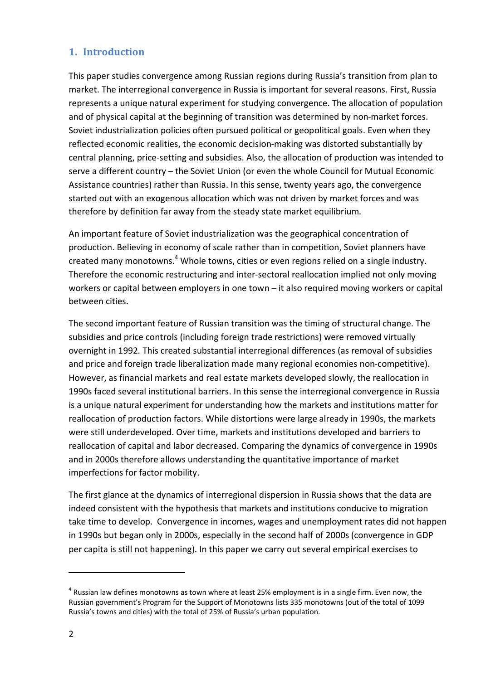# **1. Introduction**

This paper studies convergence among Russian regions during Russia's transition from plan to market. The interregional convergence in Russia is important for several reasons. First, Russia represents a unique natural experiment for studying convergence. The allocation of population and of physical capital at the beginning of transition was determined by non-market forces. Soviet industrialization policies often pursued political or geopolitical goals. Even when they reflected economic realities, the economic decision-making was distorted substantially by central planning, price-setting and subsidies. Also, the allocation of production was intended to serve a different country – the Soviet Union (or even the whole Council for Mutual Economic Assistance countries) rather than Russia. In this sense, twenty years ago, the convergence started out with an exogenous allocation which was not driven by market forces and was therefore by definition far away from the steady state market equilibrium.

An important feature of Soviet industrialization was the geographical concentration of production. Believing in economy of scale rather than in competition, Soviet planners have created many monotowns.<sup>4</sup> Whole towns, cities or even regions relied on a single industry. Therefore the economic restructuring and inter-sectoral reallocation implied not only moving workers or capital between employers in one town – it also required moving workers or capital between cities.

The second important feature of Russian transition was the timing of structural change. The subsidies and price controls (including foreign trade restrictions) were removed virtually overnight in 1992. This created substantial interregional differences (as removal of subsidies and price and foreign trade liberalization made many regional economies non-competitive). However, as financial markets and real estate markets developed slowly, the reallocation in 1990s faced several institutional barriers. In this sense the interregional convergence in Russia is a unique natural experiment for understanding how the markets and institutions matter for reallocation of production factors. While distortions were large already in 1990s, the markets were still underdeveloped. Over time, markets and institutions developed and barriers to reallocation of capital and labor decreased. Comparing the dynamics of convergence in 1990s and in 2000s therefore allows understanding the quantitative importance of market imperfections for factor mobility.

The first glance at the dynamics of interregional dispersion in Russia shows that the data are indeed consistent with the hypothesis that markets and institutions conducive to migration take time to develop. Convergence in incomes, wages and unemployment rates did not happen in 1990s but began only in 2000s, especially in the second half of 2000s (convergence in GDP per capita is still not happening). In this paper we carry out several empirical exercises to

 $^4$  Russian law defines monotowns as town where at least 25% employment is in a single firm. Even now, the Russian government's Program for the Support of Monotowns lists 335 monotowns (out of the total of 1099 Russia's towns and cities) with the total of 25% of Russia's urban population.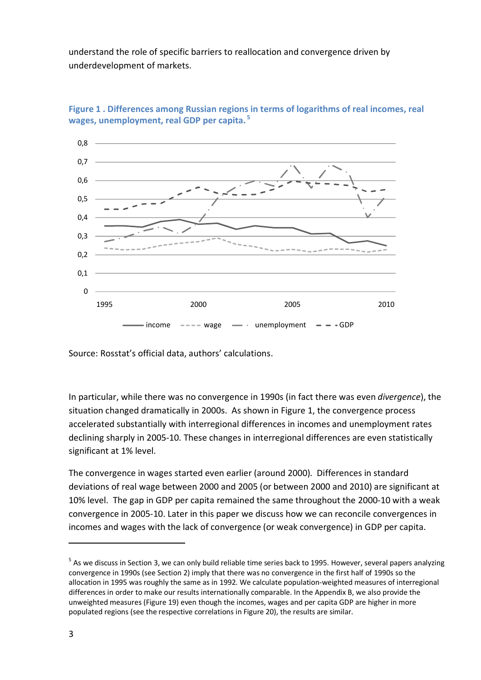understand the role of specific barriers to reallocation and convergence driven by underdevelopment of markets.



**Figure 1 . Differences among Russian regions in terms of logarithms of real incomes, real wages, unemployment, real GDP per capita. <sup>5</sup>**

Source: Rosstat's official data, authors' calculations.

In particular, while there was no convergence in 1990s (in fact there was even *divergence*), the situation changed dramatically in 2000s. As shown in Figure 1, the convergence process accelerated substantially with interregional differences in incomes and unemployment rates declining sharply in 2005-10. These changes in interregional differences are even statistically significant at 1% level.

The convergence in wages started even earlier (around 2000). Differences in standard deviations of real wage between 2000 and 2005 (or between 2000 and 2010) are significant at 10% level. The gap in GDP per capita remained the same throughout the 2000-10 with a weak convergence in 2005-10. Later in this paper we discuss how we can reconcile convergences in incomes and wages with the lack of convergence (or weak convergence) in GDP per capita.

<sup>&</sup>lt;sup>5</sup> As we discuss in Section 3, we can only build reliable time series back to 1995. However, several papers analyzing convergence in 1990s (see Section 2) imply that there was no convergence in the first half of 1990s so the allocation in 1995 was roughly the same as in 1992. We calculate population-weighted measures of interregional differences in order to make our results internationally comparable. In the Appendix B, we also provide the unweighted measures (Figure 19) even though the incomes, wages and per capita GDP are higher in more populated regions (see the respective correlations in Figure 20), the results are similar.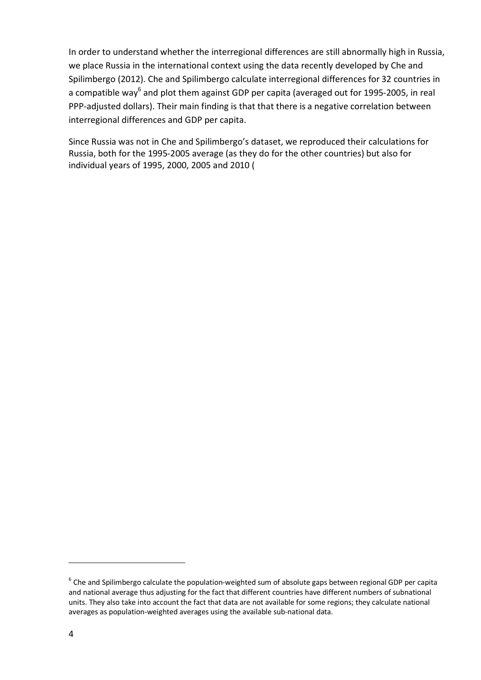In order to understand whether the interregional differences are still abnormally high in Russia, we place Russia in the international context using the data recently developed by Che and Spilimbergo (2012). Che and Spilimbergo calculate interregional differences for 32 countries in a compatible way<sup>6</sup> and plot them against GDP per capita (averaged out for 1995-2005, in real PPP-adjusted dollars). Their main finding is that that there is a negative correlation between interregional differences and GDP per capita.

Since Russia was not in Che and Spilimbergo's dataset, we reproduced their calculations for Russia, both for the 1995-2005 average (as they do for the other countries) but also for individual years of 1995, 2000, 2005 and 2010 (

 $^6$  Che and Spilimbergo calculate the population-weighted sum of absolute gaps between regional GDP per capita and national average thus adjusting for the fact that different countries have different numbers of subnational units. They also take into account the fact that data are not available for some regions; they calculate national averages as population-weighted averages using the available sub-national data.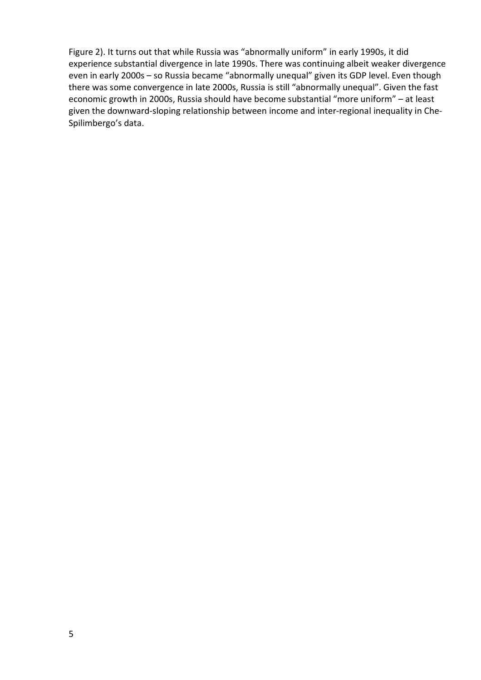Figure 2). It turns out that while Russia was "abnormally uniform" in early 1990s, it did experience substantial divergence in late 1990s. There was continuing albeit weaker divergence even in early 2000s – so Russia became "abnormally unequal" given its GDP level. Even though there was some convergence in late 2000s, Russia is still "abnormally unequal". Given the fast economic growth in 2000s, Russia should have become substantial "more uniform" – at least given the downward-sloping relationship between income and inter-regional inequality in Che-Spilimbergo's data.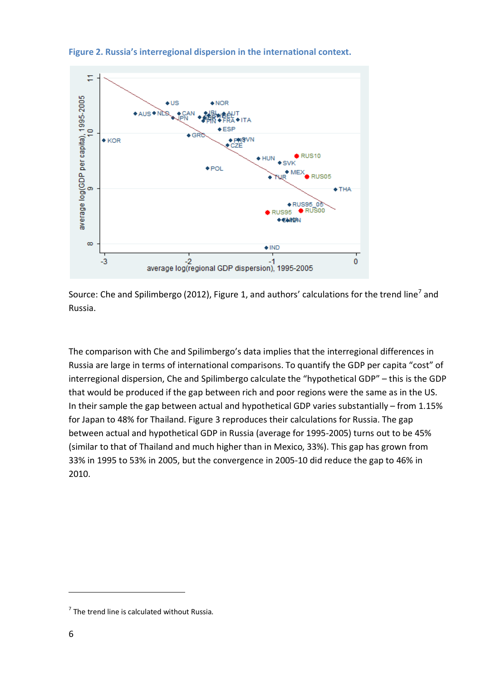

**Figure 2. Russia's interregional dispersion in the international context.**

Source: Che and Spilimbergo (2012), Figure 1, and authors' calculations for the trend line<sup>7</sup> and Russia.

The comparison with Che and Spilimbergo's data implies that the interregional differences in Russia are large in terms of international comparisons. To quantify the GDP per capita "cost" of interregional dispersion, Che and Spilimbergo calculate the "hypothetical GDP" – this is the GDP that would be produced if the gap between rich and poor regions were the same as in the US. In their sample the gap between actual and hypothetical GDP varies substantially – from 1.15% for Japan to 48% for Thailand. Figure 3 reproduces their calculations for Russia. The gap between actual and hypothetical GDP in Russia (average for 1995-2005) turns out to be 45% (similar to that of Thailand and much higher than in Mexico, 33%). This gap has grown from 33% in 1995 to 53% in 2005, but the convergence in 2005-10 did reduce the gap to 46% in 2010.

 $7$  The trend line is calculated without Russia.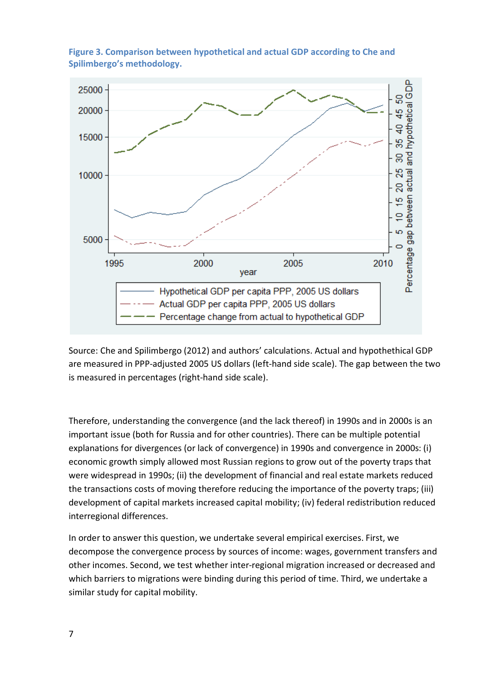

**Figure 3. Comparison between hypothetical and actual GDP according to Che and Spilimbergo's methodology.**

Source: Che and Spilimbergo (2012) and authors' calculations. Actual and hypothethical GDP are measured in PPP-adjusted 2005 US dollars (left-hand side scale). The gap between the two is measured in percentages (right-hand side scale).

Therefore, understanding the convergence (and the lack thereof) in 1990s and in 2000s is an important issue (both for Russia and for other countries). There can be multiple potential explanations for divergences (or lack of convergence) in 1990s and convergence in 2000s: (i) economic growth simply allowed most Russian regions to grow out of the poverty traps that were widespread in 1990s; (ii) the development of financial and real estate markets reduced the transactions costs of moving therefore reducing the importance of the poverty traps; (iii) development of capital markets increased capital mobility; (iv) federal redistribution reduced interregional differences.

In order to answer this question, we undertake several empirical exercises. First, we decompose the convergence process by sources of income: wages, government transfers and other incomes. Second, we test whether inter-regional migration increased or decreased and which barriers to migrations were binding during this period of time. Third, we undertake a similar study for capital mobility.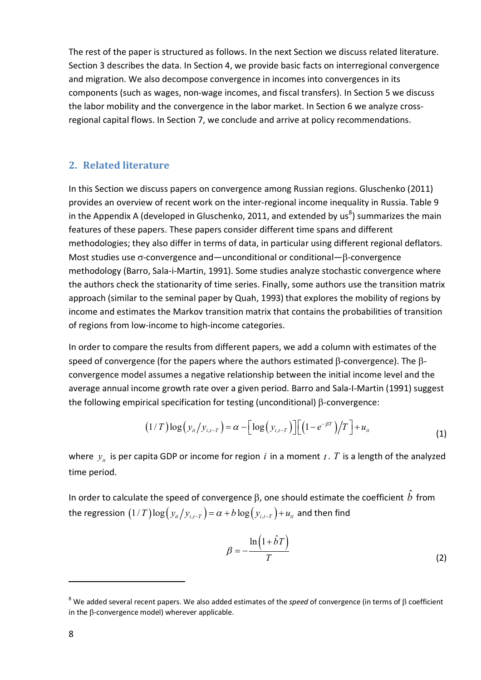The rest of the paper is structured as follows. In the next Section we discuss related literature. Section 3 describes the data. In Section 4, we provide basic facts on interregional convergence and migration. We also decompose convergence in incomes into convergences in its components (such as wages, non-wage incomes, and fiscal transfers). In Section 5 we discuss the labor mobility and the convergence in the labor market. In Section 6 we analyze crossregional capital flows. In Section 7, we conclude and arrive at policy recommendations.

## **2. Related literature**

In this Section we discuss papers on convergence among Russian regions. Gluschenko (2011) provides an overview of recent work on the inter-regional income inequality in Russia. Table 9 in the Appendix A (developed in Gluschenko, 2011, and extended by us<sup>8</sup>) summarizes the main features of these papers. These papers consider different time spans and different methodologies; they also differ in terms of data, in particular using different regional deflators. Most studies use  $\sigma$ -convergence and—unconditional or conditional— $\beta$ -convergence methodology (Barro, Sala-i-Martin, 1991). Some studies analyze stochastic convergence where the authors check the stationarity of time series. Finally, some authors use the transition matrix approach (similar to the seminal paper by Quah, 1993) that explores the mobility of regions by income and estimates the Markov transition matrix that contains the probabilities of transition of regions from low-income to high-income categories.

In order to compare the results from different papers, we add a column with estimates of the speed of convergence (for the papers where the authors estimated  $\beta$ -convergence). The  $\beta$ convergence model assumes a negative relationship between the initial income level and the average annual income growth rate over a given period. Barro and Sala-I-Martin (1991) suggest the following empirical specification for testing (unconditional)  $\beta$ -convergence:

$$
(1/T)\log(y_{it}/y_{i,t-T}) = \alpha - \left[\log(y_{i,t-T})\right] \left[(1-e^{-\beta T})/T\right] + u_{it}
$$
\n(1)

where  $y_i$  is per capita GDP or income for region *i* in a moment *t*. *T* is a length of the analyzed time period.

In order to calculate the speed of convergence  $\beta$ , one should estimate the coefficient  $b$  from the regression  $(1/T) \log (y_i/y_{i,T}) = \alpha + b \log (y_{i,T}) + u_i$  and then find

$$
\beta = -\frac{\ln(1 + \hat{b}T)}{T}
$$
 (2)

 $8$  We added several recent papers. We also added estimates of the *speed* of convergence (in terms of  $\beta$  coefficient in the  $\beta$ -convergence model) wherever applicable.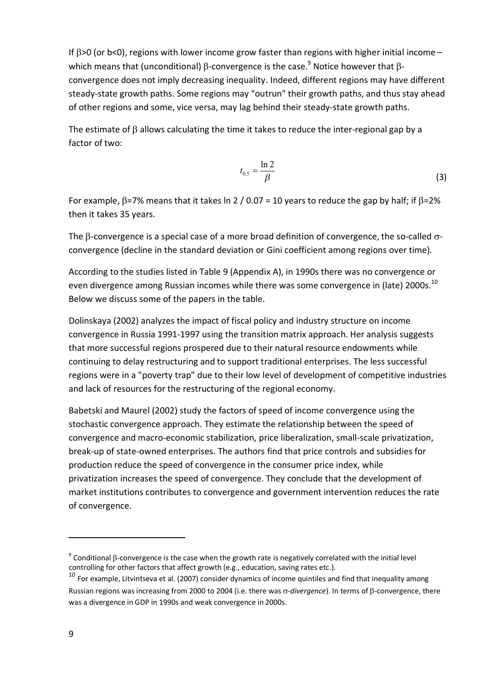If  $\beta$ >0 (or b<0), regions with lower income grow faster than regions with higher initial income – which means that (unconditional)  $\beta$ -convergence is the case.<sup>9</sup> Notice however that  $\beta$ convergence does not imply decreasing inequality. Indeed, different regions may have different steady-state growth paths. Some regions may "outrun" their growth paths, and thus stay ahead of other regions and some, vice versa, may lag behind their steady-state growth paths.

The estimate of  $\beta$  allows calculating the time it takes to reduce the inter-regional gap by a factor of two:

$$
t_{0.5} = \frac{\ln 2}{\beta} \tag{3}
$$

For example,  $\beta$ =7% means that it takes ln 2 / 0.07 = 10 years to reduce the gap by half; if  $\beta$ =2% then it takes 35 years.

The  $\beta$ -convergence is a special case of a more broad definition of convergence, the so-called  $\sigma$ convergence (decline in the standard deviation or Gini coefficient among regions over time).

According to the studies listed in Table 9 (Appendix A), in 1990s there was no convergence or even divergence among Russian incomes while there was some convergence in (late) 2000s. $^{10}$ Below we discuss some of the papers in the table.

Dolinskaya (2002) analyzes the impact of fiscal policy and industry structure on income convergence in Russia 1991-1997 using the transition matrix approach. Her analysis suggests that more successful regions prospered due to their natural resource endowments while continuing to delay restructuring and to support traditional enterprises. The less successful regions were in a "poverty trap" due to their low level of development of competitive industries and lack of resources for the restructuring of the regional economy.

Babetski and Maurel (2002) study the factors of speed of income convergence using the stochastic convergence approach. They estimate the relationship between the speed of convergence and macro-economic stabilization, price liberalization, small-scale privatization, break-up of state-owned enterprises. The authors find that price controls and subsidies for production reduce the speed of convergence in the consumer price index, while privatization increases the speed of convergence. They conclude that the development of market institutions contributes to convergence and government intervention reduces the rate of convergence.

 $9$  Conditional  $\beta$ -convergence is the case when the growth rate is negatively correlated with the initial level controlling for other factors that affect growth (e.g., education, saving rates etc.).

 $10$  For example, Litvintseva et al. (2007) consider dynamics of income quintiles and find that inequality among Russian regions was increasing from 2000 to 2004 (i.e. there was o-divergence). In terms of  $\beta$ -convergence, there was a divergence in GDP in 1990s and weak convergence in 2000s.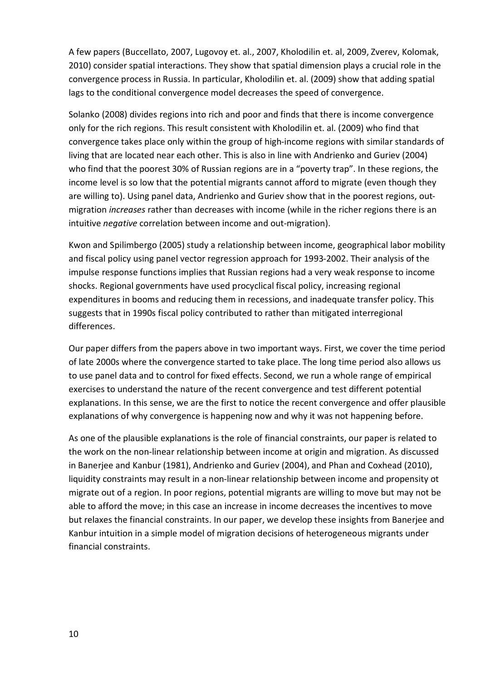A few papers (Buccellato, 2007, Lugovoy et. al., 2007, Kholodilin et. al, 2009, Zverev, Kolomak, 2010) consider spatial interactions. They show that spatial dimension plays a crucial role in the convergence process in Russia. In particular, Kholodilin et. al. (2009) show that adding spatial lags to the conditional convergence model decreases the speed of convergence.

Solanko (2008) divides regions into rich and poor and finds that there is income convergence only for the rich regions. This result consistent with Kholodilin et. al. (2009) who find that convergence takes place only within the group of high-income regions with similar standards of living that are located near each other. This is also in line with Andrienko and Guriev (2004) who find that the poorest 30% of Russian regions are in a "poverty trap". In these regions, the income level is so low that the potential migrants cannot afford to migrate (even though they are willing to). Using panel data, Andrienko and Guriev show that in the poorest regions, outmigration *increases* rather than decreases with income (while in the richer regions there is an intuitive *negative* correlation between income and out-migration).

Kwon and Spilimbergo (2005) study a relationship between income, geographical labor mobility and fiscal policy using panel vector regression approach for 1993-2002. Their analysis of the impulse response functions implies that Russian regions had a very weak response to income shocks. Regional governments have used procyclical fiscal policy, increasing regional expenditures in booms and reducing them in recessions, and inadequate transfer policy. This suggests that in 1990s fiscal policy contributed to rather than mitigated interregional differences.

Our paper differs from the papers above in two important ways. First, we cover the time period of late 2000s where the convergence started to take place. The long time period also allows us to use panel data and to control for fixed effects. Second, we run a whole range of empirical exercises to understand the nature of the recent convergence and test different potential explanations. In this sense, we are the first to notice the recent convergence and offer plausible explanations of why convergence is happening now and why it was not happening before.

As one of the plausible explanations is the role of financial constraints, our paper is related to the work on the non-linear relationship between income at origin and migration. As discussed in Banerjee and Kanbur (1981), Andrienko and Guriev (2004), and Phan and Coxhead (2010), liquidity constraints may result in a non-linear relationship between income and propensity ot migrate out of a region. In poor regions, potential migrants are willing to move but may not be able to afford the move; in this case an increase in income decreases the incentives to move but relaxes the financial constraints. In our paper, we develop these insights from Banerjee and Kanbur intuition in a simple model of migration decisions of heterogeneous migrants under financial constraints.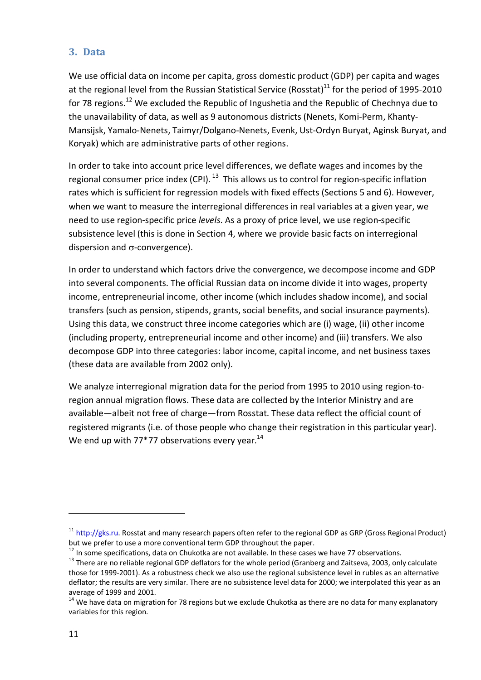## **3. Data**

We use official data on income per capita, gross domestic product (GDP) per capita and wages at the regional level from the Russian Statistical Service (Rosstat)<sup>11</sup> for the period of 1995-2010 for 78 regions.<sup>12</sup> We excluded the Republic of Ingushetia and the Republic of Chechnya due to the unavailability of data, as well as 9 autonomous districts (Nenets, Komi-Perm, Khanty-Mansijsk, Yamalo-Nenets, Taimyr/Dolgano-Nenets, Evenk, Ust-Ordyn Buryat, Aginsk Buryat, and Koryak) which are administrative parts of other regions.

In order to take into account price level differences, we deflate wages and incomes by the regional consumer price index (CPI). <sup>13</sup> This allows us to control for region-specific inflation rates which is sufficient for regression models with fixed effects (Sections 5 and 6). However, when we want to measure the interregional differences in real variables at a given year, we need to use region-specific price *levels*. As a proxy of price level, we use region-specific subsistence level (this is done in Section 4, where we provide basic facts on interregional dispersion and  $\sigma$ -convergence).

In order to understand which factors drive the convergence, we decompose income and GDP into several components. The official Russian data on income divide it into wages, property income, entrepreneurial income, other income (which includes shadow income), and social transfers (such as pension, stipends, grants, social benefits, and social insurance payments). Using this data, we construct three income categories which are (i) wage, (ii) other income (including property, entrepreneurial income and other income) and (iii) transfers. We also decompose GDP into three categories: labor income, capital income, and net business taxes (these data are available from 2002 only).

We analyze interregional migration data for the period from 1995 to 2010 using region-toregion annual migration flows. These data are collected by the Interior Ministry and are available—albeit not free of charge—from Rosstat. These data reflect the official count of registered migrants (i.e. of those people who change their registration in this particular year). We end up with 77\*77 observations every year.<sup>14</sup>

<sup>&</sup>lt;sup>11</sup> http://gks.ru. Rosstat and many research papers often refer to the regional GDP as GRP (Gross Regional Product) but we prefer to use a more conventional term GDP throughout the paper.

 $12$  In some specifications, data on Chukotka are not available. In these cases we have 77 observations.

<sup>&</sup>lt;sup>13</sup> There are no reliable regional GDP deflators for the whole period (Granberg and Zaitseva, 2003, only calculate those for 1999-2001). As a robustness check we also use the regional subsistence level in rubles as an alternative deflator; the results are very similar. There are no subsistence level data for 2000; we interpolated this year as an average of 1999 and 2001.

<sup>&</sup>lt;sup>14</sup> We have data on migration for 78 regions but we exclude Chukotka as there are no data for many explanatory variables for this region.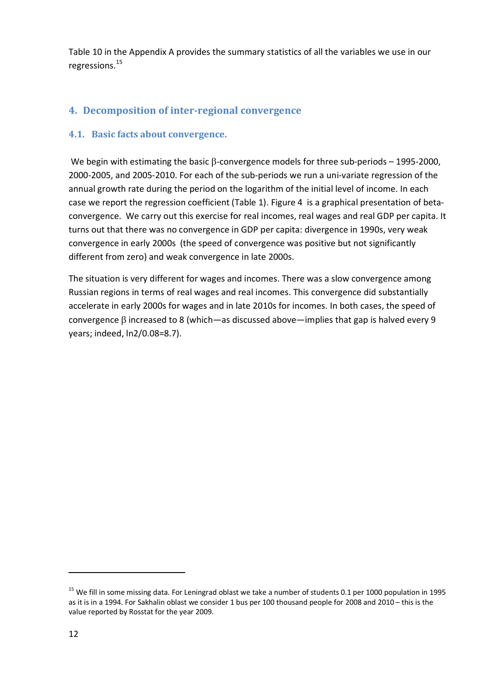Table 10 in the Appendix A provides the summary statistics of all the variables we use in our regressions.<sup>15</sup>

# **4. Decomposition of inter-regional convergence**

## **4.1. Basic facts about convergence.**

We begin with estimating the basic  $\beta$ -convergence models for three sub-periods – 1995-2000, 2000-2005, and 2005-2010. For each of the sub-periods we run a uni-variate regression of the annual growth rate during the period on the logarithm of the initial level of income. In each case we report the regression coefficient (Table 1). Figure 4 is a graphical presentation of betaconvergence. We carry out this exercise for real incomes, real wages and real GDP per capita. It turns out that there was no convergence in GDP per capita: divergence in 1990s, very weak convergence in early 2000s (the speed of convergence was positive but not significantly different from zero) and weak convergence in late 2000s.

The situation is very different for wages and incomes. There was a slow convergence among Russian regions in terms of real wages and real incomes. This convergence did substantially accelerate in early 2000s for wages and in late 2010s for incomes. In both cases, the speed of convergence  $\beta$  increased to 8 (which—as discussed above—implies that gap is halved every 9 years; indeed, ln2/0.08=8.7).

 $15$  We fill in some missing data. For Leningrad oblast we take a number of students 0.1 per 1000 population in 1995 as it is in a 1994. For Sakhalin oblast we consider 1 bus per 100 thousand people for 2008 and 2010 – this is the value reported by Rosstat for the year 2009.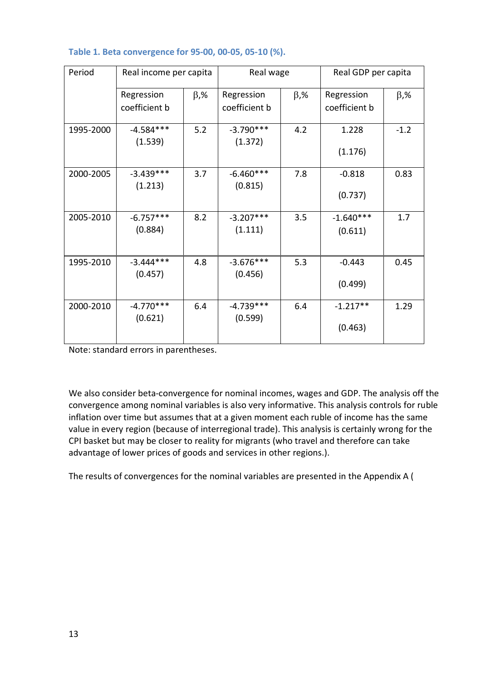| Period    | Real income per capita      |            | Real wage                   |            | Real GDP per capita         |            |
|-----------|-----------------------------|------------|-----------------------------|------------|-----------------------------|------------|
|           | Regression<br>coefficient b | $\beta$ ,% | Regression<br>coefficient b | $\beta$ ,% | Regression<br>coefficient b | $\beta$ ,% |
| 1995-2000 | $-4.584***$<br>(1.539)      | 5.2        | $-3.790***$<br>(1.372)      | 4.2        | 1.228<br>(1.176)            | $-1.2$     |
| 2000-2005 | $-3.439***$<br>(1.213)      | 3.7        | $-6.460***$<br>(0.815)      | 7.8        | $-0.818$<br>(0.737)         | 0.83       |
| 2005-2010 | $-6.757***$<br>(0.884)      | 8.2        | $-3.207***$<br>(1.111)      | 3.5        | $-1.640***$<br>(0.611)      | 1.7        |
| 1995-2010 | $-3.444***$<br>(0.457)      | 4.8        | $-3.676***$<br>(0.456)      | 5.3        | $-0.443$<br>(0.499)         | 0.45       |
| 2000-2010 | $-4.770***$<br>(0.621)      | 6.4        | $-4.739***$<br>(0.599)      | 6.4        | $-1.217**$<br>(0.463)       | 1.29       |

## **Table 1. Beta convergence for 95-00, 00-05, 05-10 (%).**

Note: standard errors in parentheses.

We also consider beta-convergence for nominal incomes, wages and GDP. The analysis off the convergence among nominal variables is also very informative. This analysis controls for ruble inflation over time but assumes that at a given moment each ruble of income has the same value in every region (because of interregional trade). This analysis is certainly wrong for the CPI basket but may be closer to reality for migrants (who travel and therefore can take advantage of lower prices of goods and services in other regions.).

The results of convergences for the nominal variables are presented in the Appendix A (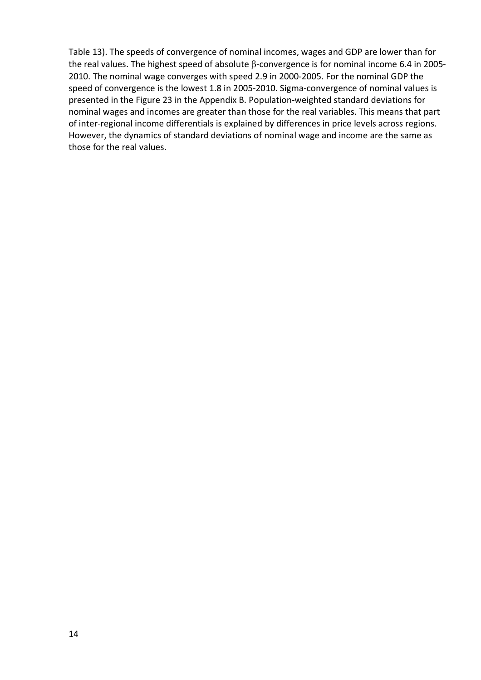Table 13). The speeds of convergence of nominal incomes, wages and GDP are lower than for the real values. The highest speed of absolute  $\beta$ -convergence is for nominal income 6.4 in 2005-2010. The nominal wage converges with speed 2.9 in 2000-2005. For the nominal GDP the speed of convergence is the lowest 1.8 in 2005-2010. Sigma-convergence of nominal values is presented in the Figure 23 in the Appendix B. Population-weighted standard deviations for nominal wages and incomes are greater than those for the real variables. This means that part of inter-regional income differentials is explained by differences in price levels across regions. However, the dynamics of standard deviations of nominal wage and income are the same as those for the real values.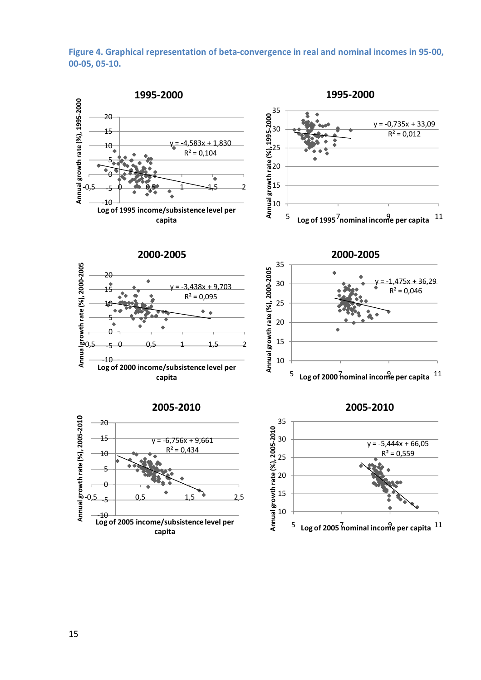## **Figure 4. Graphical representation of beta-convergence in real and nominal incomes in 95-00, 00-05, 05-10.**

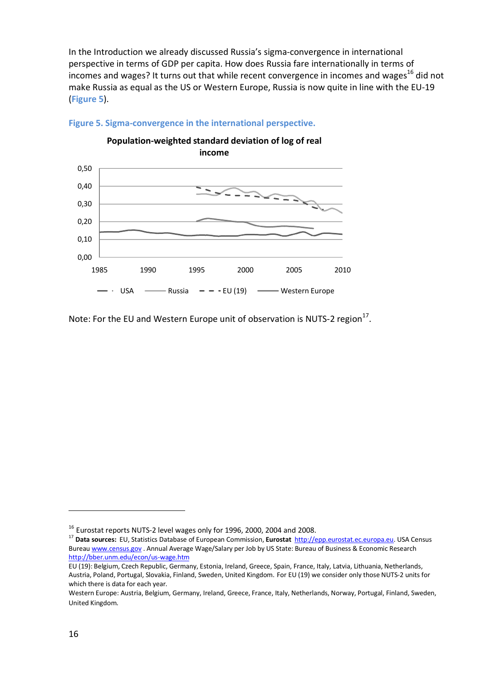In the Introduction we already discussed Russia's sigma-convergence in international perspective in terms of GDP per capita. How does Russia fare internationally in terms of incomes and wages? It turns out that while recent convergence in incomes and wages<sup>16</sup> did not make Russia as equal as the US or Western Europe, Russia is now quite in line with the EU-19 (**Figure 5**).



**Figure 5. Sigma-convergence in the international perspective.**

Note: For the EU and Western Europe unit of observation is NUTS-2 region $^{17}$ .

<sup>&</sup>lt;sup>16</sup> Eurostat reports NUTS-2 level wages only for 1996, 2000, 2004 and 2008.

<sup>17</sup> **Data sources:** EU, Statistics Database of European Commission, **Eurostat** http://epp.eurostat.ec.europa.eu. USA Census Bureau www.census.gov . Annual Average Wage/Salary per Job by US State: Bureau of Business & Economic Research http://bber.unm.edu/econ/us-wage.htm

EU (19): Belgium, Czech Republic, Germany, Estonia, Ireland, Greece, Spain, France, Italy, Latvia, Lithuania, Netherlands, Austria, Poland, Portugal, Slovakia, Finland, Sweden, United Kingdom. For EU (19) we consider only those NUTS-2 units for which there is data for each year.

Western Europe: Austria, Belgium, Germany, Ireland, Greece, France, Italy, Netherlands, Norway, Portugal, Finland, Sweden, United Kingdom.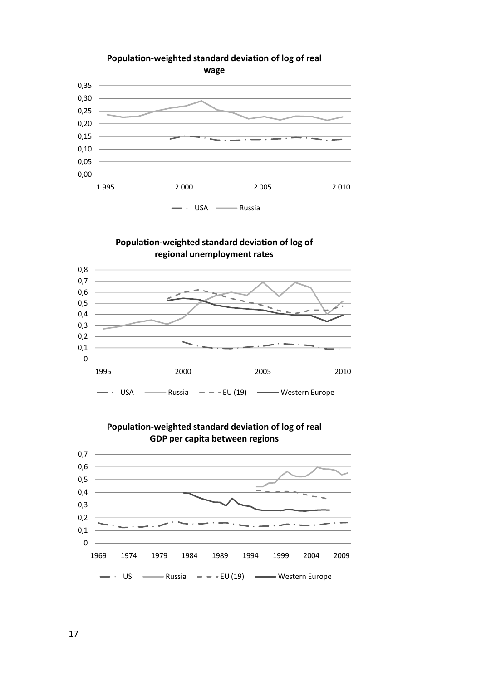

## **Population-weighted standard deviation of log of regional unemployment rates**





# **Population-weighted standard deviation of log of real**

17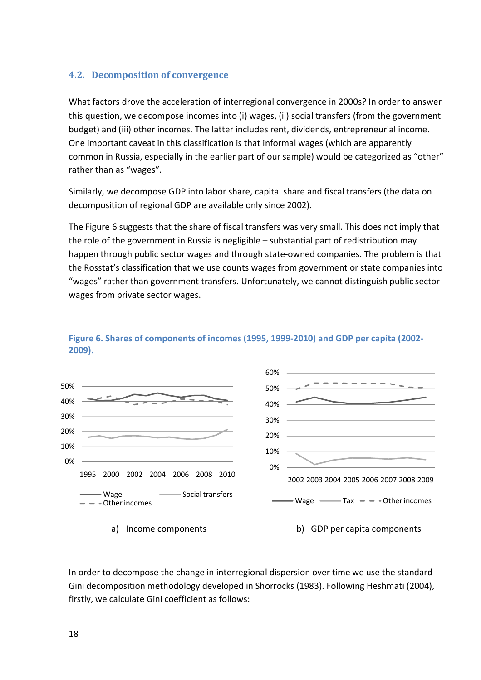## **4.2. Decomposition of convergence**

What factors drove the acceleration of interregional convergence in 2000s? In order to answer this question, we decompose incomes into (i) wages, (ii) social transfers (from the government budget) and (iii) other incomes. The latter includes rent, dividends, entrepreneurial income. One important caveat in this classification is that informal wages (which are apparently common in Russia, especially in the earlier part of our sample) would be categorized as "other" rather than as "wages".

Similarly, we decompose GDP into labor share, capital share and fiscal transfers (the data on decomposition of regional GDP are available only since 2002).

The Figure 6 suggests that the share of fiscal transfers was very small. This does not imply that the role of the government in Russia is negligible – substantial part of redistribution may happen through public sector wages and through state-owned companies. The problem is that the Rosstat's classification that we use counts wages from government or state companies into "wages" rather than government transfers. Unfortunately, we cannot distinguish public sector wages from private sector wages.



## **Figure 6. Shares of components of incomes (1995, 1999-2010) and GDP per capita (2002- 2009).**

a) Income components b) GDP per capita components

In order to decompose the change in interregional dispersion over time we use the standard Gini decomposition methodology developed in Shorrocks (1983). Following Heshmati (2004), firstly, we calculate Gini coefficient as follows: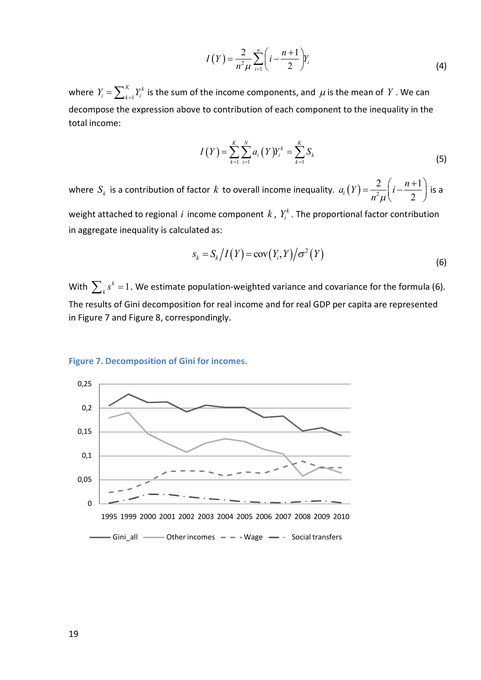$$
I(Y) = \frac{2}{n^2 \mu} \sum_{i=1}^{n} \left( i - \frac{n+1}{2} \right) Y_i
$$
 (4)

where  $Y_i = \sum_{k=1}^K Y_i^k$  $Y_i = \sum_{k=1}^{K} Y_i^k$  is the sum of the income components, and  $\mu$  is the mean of  $Y$  . We can decompose the expression above to contribution of each component to the inequality in the total income:

$$
I(Y) = \sum_{k=1}^{K} \sum_{i=1}^{N} a_i (Y) Y_i^k = \sum_{k=1}^{K} S_k
$$
\n(5)

where  $S_k$  is a contribution of factor  $k$  to overall income inequality.  $a_i(Y) = \frac{Z}{n^2}$ 2  $(n+1)$  $\mu^{i}$ <sup> $\mu$ </sup> $\mu$ <sup> $i$ </sup> 2  $a_i(Y) = \frac{2}{2} \left(i - \frac{n}{2}\right)$  $n^2\mu$  $=\frac{2}{n^2\mu}\left(i-\frac{n+1}{2}\right)$  is a

weight attached to regional i income component  $k$  ,  $Y_i^k$  . The proportional factor contribution in aggregate inequality is calculated as:

$$
s_k = S_k \big/ I(Y) = \operatorname{cov}(Y_i, Y) \big/ \sigma^2(Y) \tag{6}
$$

With  $\sum_k s^k = 1$  . We estimate population-weighted variance and covariance for the formula (6). The results of Gini decomposition for real income and for real GDP per capita are represented in Figure 7 and Figure 8, correspondingly.

#### **Figure 7. Decomposition of Gini for incomes.**

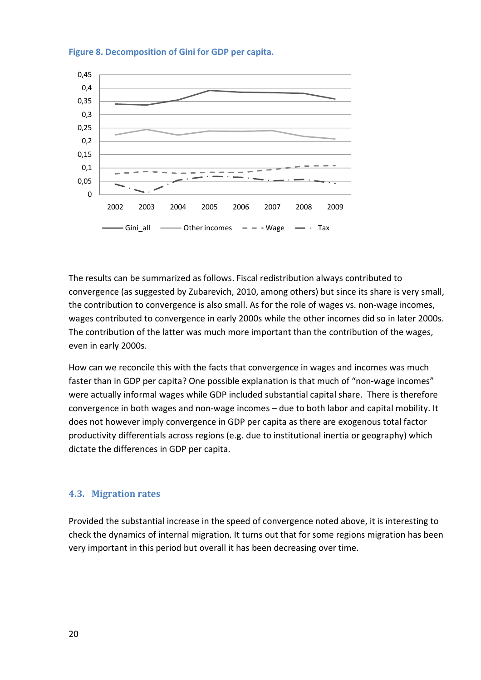

**Figure 8. Decomposition of Gini for GDP per capita.**

The results can be summarized as follows. Fiscal redistribution always contributed to convergence (as suggested by Zubarevich, 2010, among others) but since its share is very small, the contribution to convergence is also small. As for the role of wages vs. non-wage incomes, wages contributed to convergence in early 2000s while the other incomes did so in later 2000s. The contribution of the latter was much more important than the contribution of the wages, even in early 2000s.

How can we reconcile this with the facts that convergence in wages and incomes was much faster than in GDP per capita? One possible explanation is that much of "non-wage incomes" were actually informal wages while GDP included substantial capital share. There is therefore convergence in both wages and non-wage incomes – due to both labor and capital mobility. It does not however imply convergence in GDP per capita as there are exogenous total factor productivity differentials across regions (e.g. due to institutional inertia or geography) which dictate the differences in GDP per capita.

## **4.3. Migration rates**

Provided the substantial increase in the speed of convergence noted above, it is interesting to check the dynamics of internal migration. It turns out that for some regions migration has been very important in this period but overall it has been decreasing over time.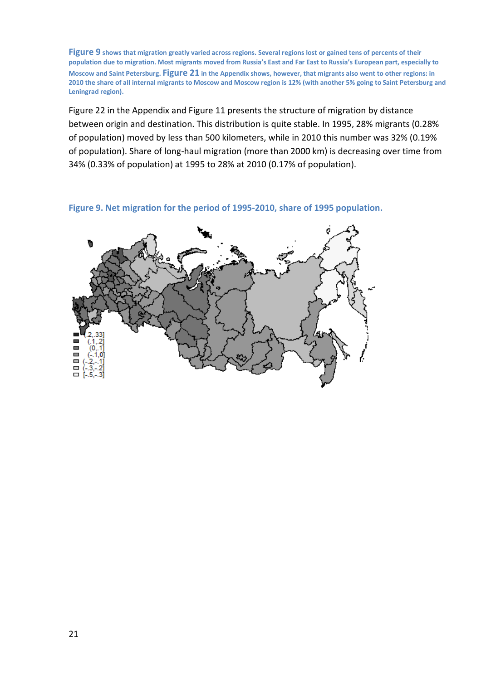**Figure 9 shows that migration greatly varied across regions. Several regions lost or gained tens of percents of their population due to migration. Most migrants moved from Russia's East and Far East to Russia's European part, especially to Moscow and Saint Petersburg. Figure 21 in the Appendix shows, however, that migrants also went to other regions: in 2010 the share of all internal migrants to Moscow and Moscow region is 12% (with another 5% going to Saint Petersburg and Leningrad region).** 

Figure 22 in the Appendix and Figure 11 presents the structure of migration by distance between origin and destination. This distribution is quite stable. In 1995, 28% migrants (0.28% of population) moved by less than 500 kilometers, while in 2010 this number was 32% (0.19% of population). Share of long-haul migration (more than 2000 km) is decreasing over time from 34% (0.33% of population) at 1995 to 28% at 2010 (0.17% of population).

**Figure 9. Net migration for the period of 1995-2010, share of 1995 population.**

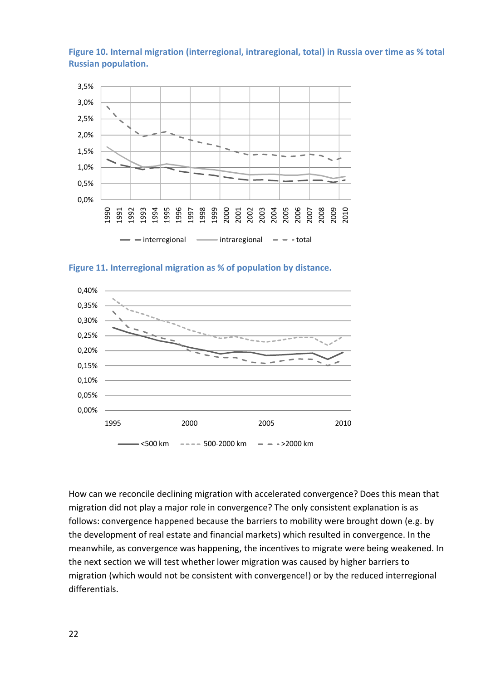**Figure 10. Internal migration (interregional, intraregional, total) in Russia over time as % total Russian population.**



**Figure 11. Interregional migration as % of population by distance.**



How can we reconcile declining migration with accelerated convergence? Does this mean that migration did not play a major role in convergence? The only consistent explanation is as follows: convergence happened because the barriers to mobility were brought down (e.g. by the development of real estate and financial markets) which resulted in convergence. In the meanwhile, as convergence was happening, the incentives to migrate were being weakened. In the next section we will test whether lower migration was caused by higher barriers to migration (which would not be consistent with convergence!) or by the reduced interregional differentials.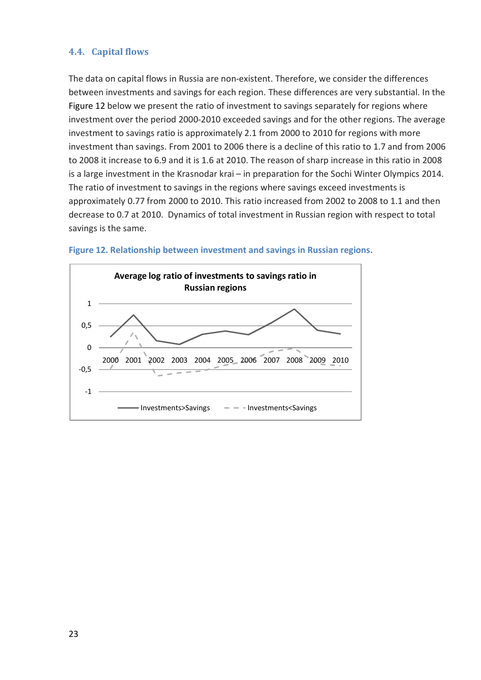## **4.4. Capital flows**

The data on capital flows in Russia are non-existent. Therefore, we consider the differences between investments and savings for each region. These differences are very substantial. In the Figure 12 below we present the ratio of investment to savings separately for regions where investment over the period 2000-2010 exceeded savings and for the other regions. The average investment to savings ratio is approximately 2.1 from 2000 to 2010 for regions with more investment than savings. From 2001 to 2006 there is a decline of this ratio to 1.7 and from 2006 to 2008 it increase to 6.9 and it is 1.6 at 2010. The reason of sharp increase in this ratio in 2008 is a large investment in the Krasnodar krai – in preparation for the Sochi Winter Olympics 2014. The ratio of investment to savings in the regions where savings exceed investments is approximately 0.77 from 2000 to 2010. This ratio increased from 2002 to 2008 to 1.1 and then decrease to 0.7 at 2010. Dynamics of total investment in Russian region with respect to total savings is the same.



## **Figure 12. Relationship between investment and savings in Russian regions.**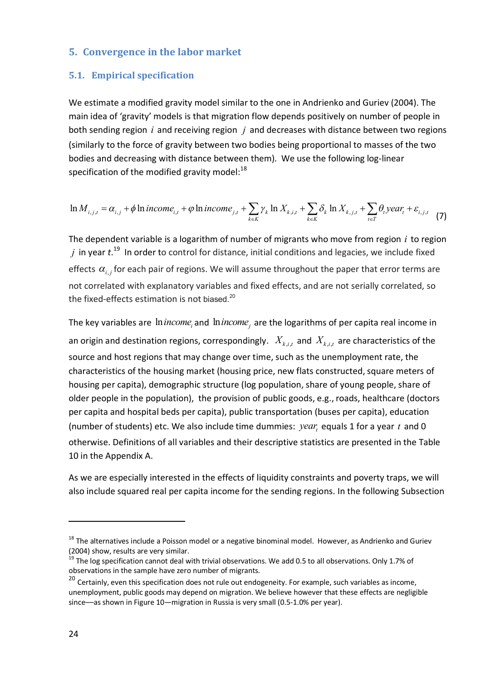## **5. Convergence in the labor market**

## **5.1. Empirical specification**

We estimate a modified gravity model similar to the one in Andrienko and Guriev (2004). The main idea of 'gravity' models is that migration flow depends positively on number of people in both sending region *i* and receiving region *j* and decreases with distance between two regions (similarly to the force of gravity between two bodies being proportional to masses of the two bodies and decreasing with distance between them). We use the following log-linear specification of the modified gravity model: $^{18}$ 

$$
\ln M_{i,j,t} = \alpha_{i,j} + \phi \ln income_{i,t} + \phi \ln income_{j,t} + \sum_{k \in K} \gamma_k \ln X_{k,i,t} + \sum_{k \in K} \delta_k \ln X_{k,j,t} + \sum_{t \in T} \theta_t \text{year}_t + \varepsilon_{i,j,t} \tag{7}
$$

The dependent variable is a logarithm of number of migrants who move from region *i* to region *j* in year *t*. <sup>19</sup> In order to control for distance, initial conditions and legacies, we include fixed effects  $\alpha_{i,j}$  for each pair of regions. We will assume throughout the paper that error terms are not correlated with explanatory variables and fixed effects, and are not serially correlated, so the fixed-effects estimation is not biased. $20$ 

The key variables are  $\,$  *inincome*<sub>i</sub> and  $\,$  *inincome*<sub>j</sub> are the logarithms of per capita real income in an origin and destination regions, correspondingly.  $|X_{k,i,t}|$  and  $|X_{k,i,t}|$  are characteristics of the source and host regions that may change over time, such as the unemployment rate, the characteristics of the housing market (housing price, new flats constructed, square meters of housing per capita), demographic structure (log population, share of young people, share of older people in the population), the provision of public goods, e.g., roads, healthcare (doctors per capita and hospital beds per capita), public transportation (buses per capita), education (number of students) etc. We also include time dummies:  $year<sub>t</sub>$  equals 1 for a year  $t$  and 0 otherwise. Definitions of all variables and their descriptive statistics are presented in the Table 10 in the Appendix A.

As we are especially interested in the effects of liquidity constraints and poverty traps, we will also include squared real per capita income for the sending regions. In the following Subsection

<sup>&</sup>lt;sup>18</sup> The alternatives include a Poisson model or a negative binominal model. However, as Andrienko and Guriev (2004) show, results are very similar.

<sup>&</sup>lt;sup>19</sup> The log specification cannot deal with trivial observations. We add 0.5 to all observations. Only 1.7% of observations in the sample have zero number of migrants.

<sup>&</sup>lt;sup>20</sup> Certainly, even this specification does not rule out endogeneity. For example, such variables as income, unemployment, public goods may depend on migration. We believe however that these effects are negligible since––as shown in Figure 10—migration in Russia is very small (0.5-1.0% per year).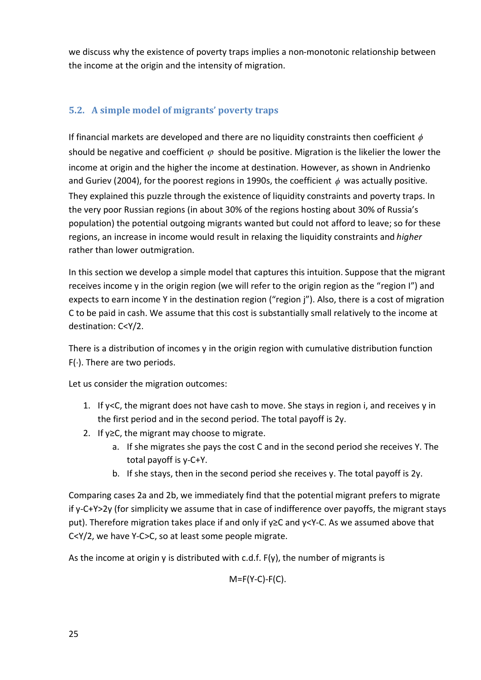we discuss why the existence of poverty traps implies a non-monotonic relationship between the income at the origin and the intensity of migration.

# **5.2. A simple model of migrants' poverty traps**

If financial markets are developed and there are no liquidity constraints then coefficient  $\phi$ should be negative and coefficient  $\varphi$  should be positive. Migration is the likelier the lower the income at origin and the higher the income at destination. However, as shown in Andrienko and Guriev (2004), for the poorest regions in 1990s, the coefficient  $\phi$  was actually positive. They explained this puzzle through the existence of liquidity constraints and poverty traps. In the very poor Russian regions (in about 30% of the regions hosting about 30% of Russia's population) the potential outgoing migrants wanted but could not afford to leave; so for these regions, an increase in income would result in relaxing the liquidity constraints and *higher*  rather than lower outmigration.

In this section we develop a simple model that captures this intuition. Suppose that the migrant receives income y in the origin region (we will refer to the origin region as the "region I") and expects to earn income Y in the destination region ("region j"). Also, there is a cost of migration C to be paid in cash. We assume that this cost is substantially small relatively to the income at destination: C<Y/2.

There is a distribution of incomes y in the origin region with cumulative distribution function  $F(.)$ . There are two periods.

Let us consider the migration outcomes:

- 1. If y<C, the migrant does not have cash to move. She stays in region i, and receives y in the first period and in the second period. The total payoff is 2y.
- 2. If y≥C, the migrant may choose to migrate.
	- a. If she migrates she pays the cost C and in the second period she receives Y. The total payoff is y-C+Y.
	- b. If she stays, then in the second period she receives y. The total payoff is 2y.

Comparing cases 2a and 2b, we immediately find that the potential migrant prefers to migrate if y-C+Y>2y (for simplicity we assume that in case of indifference over payoffs, the migrant stays put). Therefore migration takes place if and only if y≥C and y<Y-C. As we assumed above that C<Y/2, we have Y-C>C, so at least some people migrate.

As the income at origin y is distributed with c.d.f.  $F(y)$ , the number of migrants is

 $M = F(Y - C) - F(C)$ .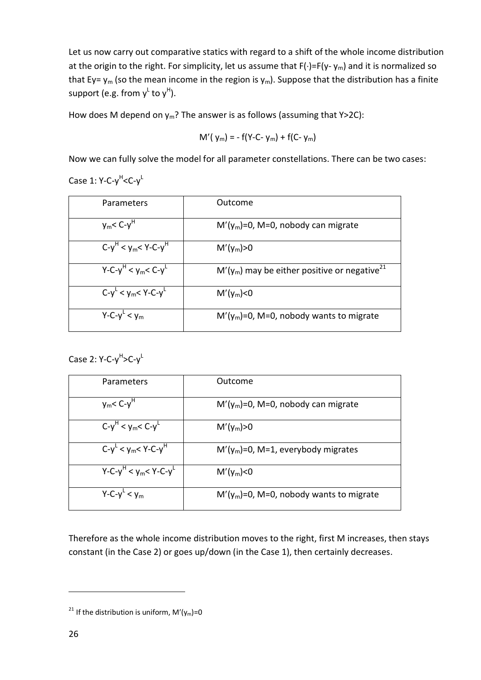Let us now carry out comparative statics with regard to a shift of the whole income distribution at the origin to the right. For simplicity, let us assume that  $F(\cdot)=F(y-\gamma_m)$  and it is normalized so that Ey=  $y_m$  (so the mean income in the region is  $y_m$ ). Suppose that the distribution has a finite support (e.g. from  $\mathsf{y}^\mathsf{L}$  to  $\mathsf{y}^\mathsf{H}$ ).

How does M depend on  $y_m$ ? The answer is as follows (assuming that Y>2C):

$$
M'(y_m) = -f(Y-C-y_m) + f(C-y_m)
$$

Now we can fully solve the model for all parameter constellations. There can be two cases:

Case 1: Y-C-y<sup>H</sup><C-y<sup>L</sup>

| Parameters                    | Outcome                                                    |
|-------------------------------|------------------------------------------------------------|
| $y_m$ < C- $yH$               | $M'(y_m)=0$ , M=0, nobody can migrate                      |
| $C - y^H < y_m < Y - C - y^H$ | $M'(y_m) > 0$                                              |
| $Y - C - y^H < y_m < C - y^L$ | $M'(y_m)$ may be either positive or negative <sup>21</sup> |
| $C - y^L < y_m < Y - C - y^L$ | $M'(y_m) < 0$                                              |
| $Y - C - y^L < y_m$           | $M'(y_m)=0$ , M=0, nobody wants to migrate                 |

Case 2: Y-C-y<sup>H</sup>>C-y<sup>L</sup>

| Parameters                        | Outcome                                    |
|-----------------------------------|--------------------------------------------|
| $y_m < C - yH$                    | $M'(y_m)=0$ , M=0, nobody can migrate      |
| $C-y^H < y_m < C-y^L$             | $M'(y_m) > 0$                              |
| $C - y^L < y_m < Y - C - y^H$     | $M'(y_m)=0$ , M=1, everybody migrates      |
| $Y - C - y^H < y_m < Y - C - y^L$ | $M'(y_m) < 0$                              |
| $Y - C - y^L < y_m$               | $M'(y_m)=0$ , M=0, nobody wants to migrate |

Therefore as the whole income distribution moves to the right, first M increases, then stays constant (in the Case 2) or goes up/down (in the Case 1), then certainly decreases.

<sup>&</sup>lt;sup>21</sup> If the distribution is uniform,  $M'(y_m)=0$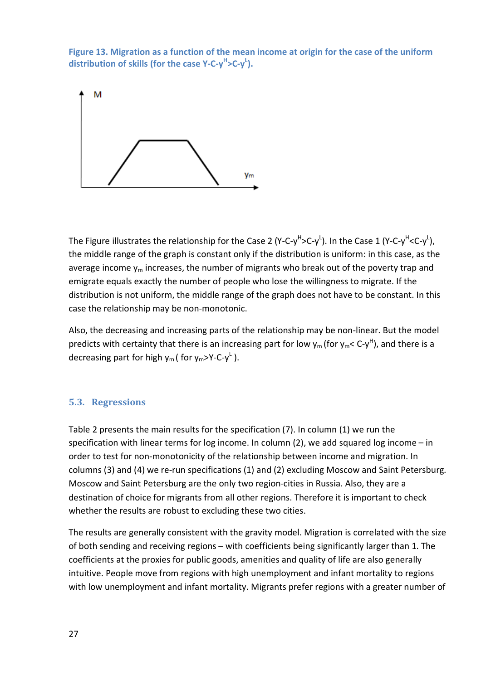**Figure 13. Migration as a function of the mean income at origin for the case of the uniform**  distribution of skills (for the case Y-C-y<sup>H</sup>>C-y<sup>L</sup>).



The Figure illustrates the relationship for the Case 2 (Y-C-y<sup>H</sup>>C-y<sup>L</sup>). In the Case 1 (Y-C-y<sup>H</sup><C-y<sup>L</sup>), the middle range of the graph is constant only if the distribution is uniform: in this case, as the average income  $y_m$  increases, the number of migrants who break out of the poverty trap and emigrate equals exactly the number of people who lose the willingness to migrate. If the distribution is not uniform, the middle range of the graph does not have to be constant. In this case the relationship may be non-monotonic.

Also, the decreasing and increasing parts of the relationship may be non-linear. But the model predicts with certainty that there is an increasing part for low  $y_m$  (for  $y_m$ < C-y<sup>H</sup>), and there is a decreasing part for high  $y_m$  (for  $y_m$ >Y-C-y<sup>L</sup>).

## **5.3. Regressions**

Table 2 presents the main results for the specification (7). In column (1) we run the specification with linear terms for log income. In column (2), we add squared log income – in order to test for non-monotonicity of the relationship between income and migration. In columns (3) and (4) we re-run specifications (1) and (2) excluding Moscow and Saint Petersburg. Moscow and Saint Petersburg are the only two region-cities in Russia. Also, they are a destination of choice for migrants from all other regions. Therefore it is important to check whether the results are robust to excluding these two cities.

The results are generally consistent with the gravity model. Migration is correlated with the size of both sending and receiving regions – with coefficients being significantly larger than 1. The coefficients at the proxies for public goods, amenities and quality of life are also generally intuitive. People move from regions with high unemployment and infant mortality to regions with low unemployment and infant mortality. Migrants prefer regions with a greater number of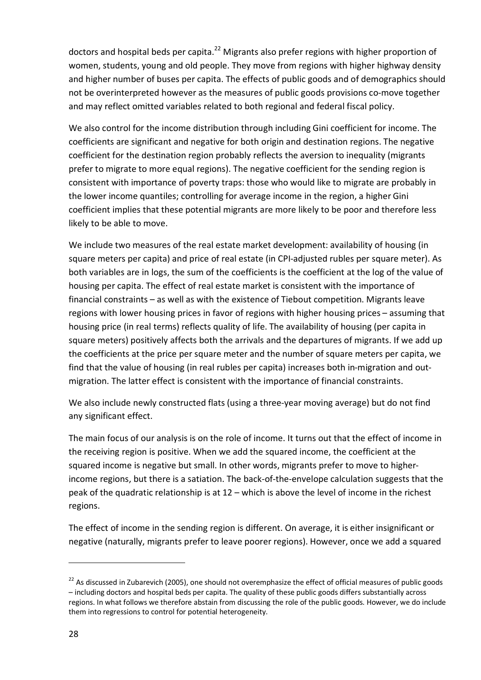doctors and hospital beds per capita.<sup>22</sup> Migrants also prefer regions with higher proportion of women, students, young and old people. They move from regions with higher highway density and higher number of buses per capita. The effects of public goods and of demographics should not be overinterpreted however as the measures of public goods provisions co-move together and may reflect omitted variables related to both regional and federal fiscal policy.

We also control for the income distribution through including Gini coefficient for income. The coefficients are significant and negative for both origin and destination regions. The negative coefficient for the destination region probably reflects the aversion to inequality (migrants prefer to migrate to more equal regions). The negative coefficient for the sending region is consistent with importance of poverty traps: those who would like to migrate are probably in the lower income quantiles; controlling for average income in the region, a higher Gini coefficient implies that these potential migrants are more likely to be poor and therefore less likely to be able to move.

We include two measures of the real estate market development: availability of housing (in square meters per capita) and price of real estate (in CPI-adjusted rubles per square meter). As both variables are in logs, the sum of the coefficients is the coefficient at the log of the value of housing per capita. The effect of real estate market is consistent with the importance of financial constraints – as well as with the existence of Tiebout competition. Migrants leave regions with lower housing prices in favor of regions with higher housing prices – assuming that housing price (in real terms) reflects quality of life. The availability of housing (per capita in square meters) positively affects both the arrivals and the departures of migrants. If we add up the coefficients at the price per square meter and the number of square meters per capita, we find that the value of housing (in real rubles per capita) increases both in-migration and outmigration. The latter effect is consistent with the importance of financial constraints.

We also include newly constructed flats (using a three-year moving average) but do not find any significant effect.

The main focus of our analysis is on the role of income. It turns out that the effect of income in the receiving region is positive. When we add the squared income, the coefficient at the squared income is negative but small. In other words, migrants prefer to move to higherincome regions, but there is a satiation. The back-of-the-envelope calculation suggests that the peak of the quadratic relationship is at 12 – which is above the level of income in the richest regions.

The effect of income in the sending region is different. On average, it is either insignificant or negative (naturally, migrants prefer to leave poorer regions). However, once we add a squared

 $22$  As discussed in Zubarevich (2005), one should not overemphasize the effect of official measures of public goods – including doctors and hospital beds per capita. The quality of these public goods differs substantially across regions. In what follows we therefore abstain from discussing the role of the public goods. However, we do include them into regressions to control for potential heterogeneity.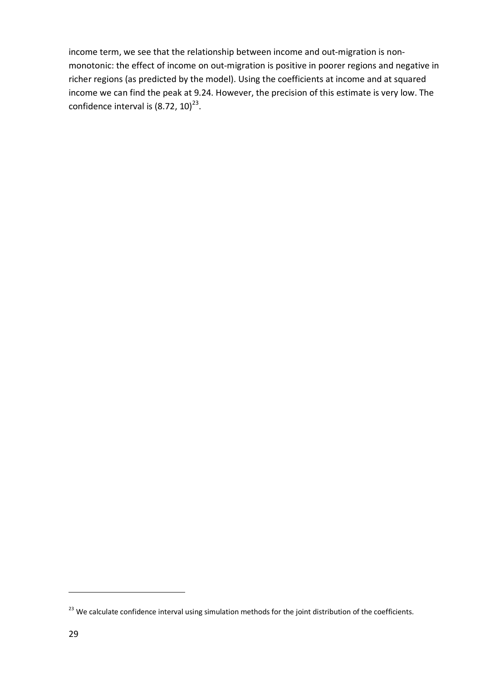income term, we see that the relationship between income and out-migration is nonmonotonic: the effect of income on out-migration is positive in poorer regions and negative in richer regions (as predicted by the model). Using the coefficients at income and at squared income we can find the peak at 9.24. However, the precision of this estimate is very low. The confidence interval is  $(8.72, 10)^{23}$ .

<sup>&</sup>lt;sup>23</sup> We calculate confidence interval using simulation methods for the joint distribution of the coefficients.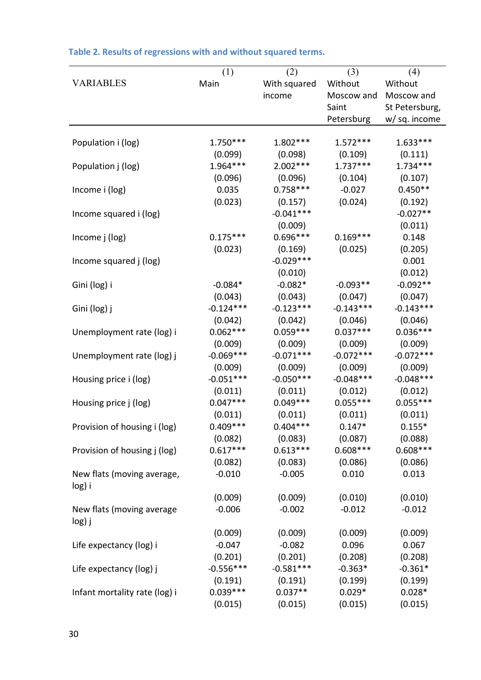|                               | (1)         | (2)                  | (3)         | (4)            |
|-------------------------------|-------------|----------------------|-------------|----------------|
| <b>VARIABLES</b>              | Main        | With squared         | Without     | Without        |
|                               |             | income               | Moscow and  | Moscow and     |
|                               |             |                      | Saint       | St Petersburg, |
|                               |             |                      | Petersburg  | w/ sq. income  |
|                               |             |                      |             |                |
| Population i (log)            | $1.750***$  | 1.802 ***            | $1.572***$  | $1.633***$     |
|                               | (0.099)     | (0.098)              | (0.109)     | (0.111)        |
| Population j (log)            | 1.964***    | $2.002***$           | $1.737***$  | $1.734***$     |
|                               | (0.096)     | (0.096)              | (0.104)     | (0.107)        |
| Income i (log)                | 0.035       | $0.758***$           | $-0.027$    | $0.450**$      |
|                               | (0.023)     | (0.157)              | (0.024)     | (0.192)        |
| Income squared i (log)        |             | $-0.041***$          |             | $-0.027**$     |
|                               |             | (0.009)              |             | (0.011)        |
| Income j (log)                | $0.175***$  | $0.696***$           | $0.169***$  | 0.148          |
|                               | (0.023)     | (0.169)              | (0.025)     | (0.205)        |
| Income squared j (log)        |             | $-0.029***$          |             | 0.001          |
|                               |             | (0.010)              |             | (0.012)        |
| Gini (log) i                  | $-0.084*$   | $-0.082*$            | $-0.093**$  | $-0.092**$     |
|                               | (0.043)     | (0.043)              | (0.047)     | (0.047)        |
| Gini (log) j                  | $-0.124***$ | $-0.123***$          | $-0.143***$ | $-0.143***$    |
|                               | (0.042)     | (0.042)              | (0.046)     | (0.046)        |
| Unemployment rate (log) i     | $0.062***$  | $0.059***$           | $0.037***$  | $0.036***$     |
|                               | (0.009)     | (0.009)              | (0.009)     | (0.009)        |
| Unemployment rate (log) j     | $-0.069***$ | $-0.071***$          | $-0.072***$ | $-0.072***$    |
|                               | (0.009)     | (0.009)              | (0.009)     | (0.009)        |
| Housing price i (log)         | $-0.051***$ | $-0.050***$          | $-0.048***$ | $-0.048***$    |
|                               | (0.011)     | (0.011)              | (0.012)     | (0.012)        |
| Housing price j (log)         | $0.047***$  | $0.049***$           | $0.055***$  | $0.055***$     |
|                               | (0.011)     | (0.011)              | (0.011)     | (0.011)        |
| Provision of housing i (log)  | $0.409***$  | $0.404***$           | $0.147*$    | $0.155*$       |
|                               | (0.082)     | (0.083)              | (0.087)     | (0.088)        |
| Provision of housing j (log)  | $0.617***$  | $0.613***$           | $0.608***$  | $0.608***$     |
|                               | (0.082)     | (0.083)              | (0.086)     | (0.086)        |
| New flats (moving average,    | $-0.010$    | $-0.005$             | 0.010       | 0.013          |
| log) i                        |             |                      |             |                |
|                               | (0.009)     | (0.009)              | (0.010)     | (0.010)        |
| New flats (moving average     | $-0.006$    | $-0.002$             | $-0.012$    | $-0.012$       |
| log) j                        |             |                      |             |                |
|                               | (0.009)     | (0.009)              | (0.009)     | (0.009)        |
| Life expectancy (log) i       | $-0.047$    | $-0.082$             | 0.096       | 0.067          |
|                               | (0.201)     | (0.201)              | (0.208)     | (0.208)        |
|                               | $-0.556***$ | $-0.581***$          | $-0.363*$   | $-0.361*$      |
| Life expectancy (log) j       | (0.191)     |                      | (0.199)     | (0.199)        |
|                               | $0.039***$  | (0.191)<br>$0.037**$ | $0.029*$    | $0.028*$       |
| Infant mortality rate (log) i |             |                      |             |                |
|                               | (0.015)     | (0.015)              | (0.015)     | (0.015)        |

# **Table 2. Results of regressions with and without squared terms.**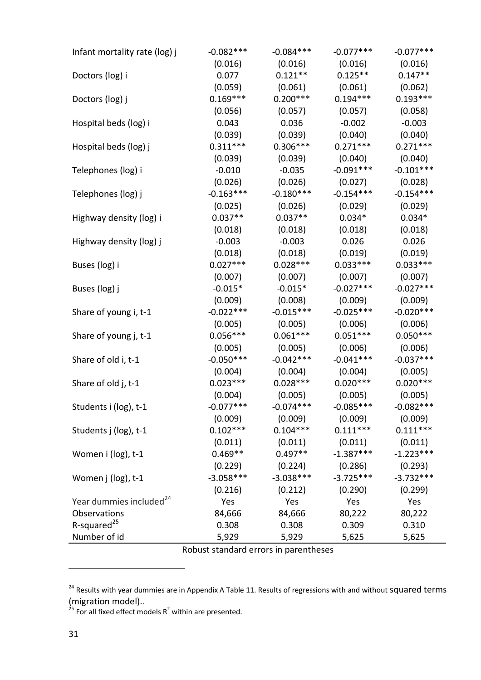| Infant mortality rate (log) j       | $-0.082***$ | $-0.084***$ | $-0.077***$ | $-0.077***$ |
|-------------------------------------|-------------|-------------|-------------|-------------|
|                                     | (0.016)     | (0.016)     | (0.016)     | (0.016)     |
| Doctors (log) i                     | 0.077       | $0.121**$   | $0.125**$   | $0.147**$   |
|                                     | (0.059)     | (0.061)     | (0.061)     | (0.062)     |
| Doctors (log) j                     | $0.169***$  | $0.200***$  | $0.194***$  | $0.193***$  |
|                                     | (0.056)     | (0.057)     | (0.057)     | (0.058)     |
| Hospital beds (log) i               | 0.043       | 0.036       | $-0.002$    | $-0.003$    |
|                                     | (0.039)     | (0.039)     | (0.040)     | (0.040)     |
| Hospital beds (log) j               | $0.311***$  | $0.306***$  | $0.271***$  | $0.271***$  |
|                                     | (0.039)     | (0.039)     | (0.040)     | (0.040)     |
| Telephones (log) i                  | $-0.010$    | $-0.035$    | $-0.091***$ | $-0.101***$ |
|                                     | (0.026)     | (0.026)     | (0.027)     | (0.028)     |
| Telephones (log) j                  | $-0.163***$ | $-0.180***$ | $-0.154***$ | $-0.154***$ |
|                                     | (0.025)     | (0.026)     | (0.029)     | (0.029)     |
| Highway density (log) i             | $0.037**$   | $0.037**$   | $0.034*$    | $0.034*$    |
|                                     | (0.018)     | (0.018)     | (0.018)     | (0.018)     |
| Highway density (log) j             | $-0.003$    | $-0.003$    | 0.026       | 0.026       |
|                                     | (0.018)     | (0.018)     | (0.019)     | (0.019)     |
| Buses (log) i                       | $0.027***$  | $0.028***$  | $0.033***$  | $0.033***$  |
|                                     | (0.007)     | (0.007)     | (0.007)     | (0.007)     |
| Buses (log) j                       | $-0.015*$   | $-0.015*$   | $-0.027***$ | $-0.027***$ |
|                                     | (0.009)     | (0.008)     | (0.009)     | (0.009)     |
| Share of young i, t-1               | $-0.022***$ | $-0.015***$ | $-0.025***$ | $-0.020***$ |
|                                     | (0.005)     | (0.005)     | (0.006)     | (0.006)     |
| Share of young j, t-1               | $0.056***$  | $0.061***$  | $0.051***$  | $0.050***$  |
|                                     | (0.005)     | (0.005)     | (0.006)     | (0.006)     |
| Share of old i, t-1                 | $-0.050***$ | $-0.042***$ | $-0.041***$ | $-0.037***$ |
|                                     | (0.004)     | (0.004)     | (0.004)     | (0.005)     |
| Share of old j, t-1                 | $0.023***$  | $0.028***$  | $0.020***$  | $0.020***$  |
|                                     | (0.004)     | (0.005)     | (0.005)     | (0.005)     |
| Students i (log), t-1               | $-0.077***$ | $-0.074***$ | $-0.085***$ | $-0.082***$ |
|                                     | (0.009)     | (0.009)     | (0.009)     | (0.009)     |
| Students j (log), t-1               | $0.102***$  | $0.104***$  | $0.111***$  | $0.111***$  |
|                                     | (0.011)     | (0.011)     | (0.011)     | (0.011)     |
| Women i (log), t-1                  | $0.469**$   | $0.497**$   | $-1.387***$ | $-1.223***$ |
|                                     | (0.229)     | (0.224)     | (0.286)     | (0.293)     |
| Women j (log), t-1                  | $-3.058***$ | $-3.038***$ | $-3.725***$ | $-3.732***$ |
|                                     | (0.216)     | (0.212)     | (0.290)     | (0.299)     |
| Year dummies included <sup>24</sup> | Yes         | Yes         | Yes         | Yes         |
| Observations                        | 84,666      | 84,666      | 80,222      | 80,222      |
| R-squared <sup>25</sup>             | 0.308       | 0.308       | 0.309       | 0.310       |
| Number of id                        | 5,929       | 5,929       | 5,625       | 5,625       |

Robust standard errors in parentheses

<sup>&</sup>lt;sup>24</sup> Results with year dummies are in Appendix A Table 11. Results of regressions with and without Squared terms (migration model)..

<sup>&</sup>lt;sup>25</sup> For all fixed effect models  $R^2$  within are presented.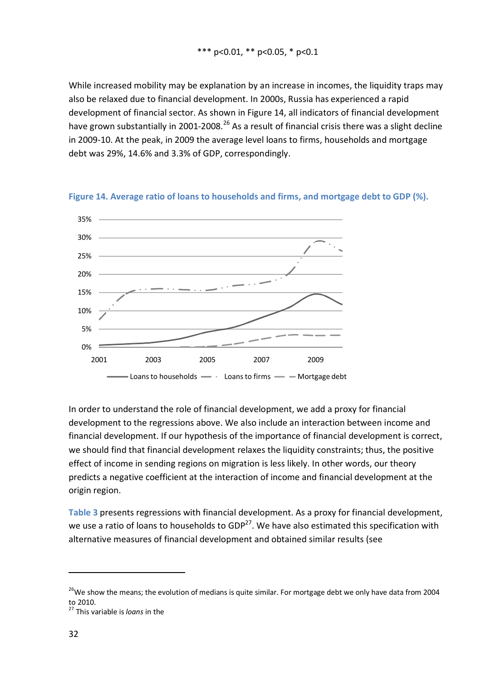While increased mobility may be explanation by an increase in incomes, the liquidity traps may also be relaxed due to financial development. In 2000s, Russia has experienced a rapid development of financial sector. As shown in Figure 14, all indicators of financial development have grown substantially in 2001-2008.<sup>26</sup> As a result of financial crisis there was a slight decline in 2009-10. At the peak, in 2009 the average level loans to firms, households and mortgage debt was 29%, 14.6% and 3.3% of GDP, correspondingly.



**Figure 14. Average ratio of loans to households and firms, and mortgage debt to GDP (%).**

In order to understand the role of financial development, we add a proxy for financial development to the regressions above. We also include an interaction between income and financial development. If our hypothesis of the importance of financial development is correct, we should find that financial development relaxes the liquidity constraints; thus, the positive effect of income in sending regions on migration is less likely. In other words, our theory predicts a negative coefficient at the interaction of income and financial development at the origin region.

**Table 3** presents regressions with financial development. As a proxy for financial development, we use a ratio of loans to households to  $GDP^{27}$ . We have also estimated this specification with alternative measures of financial development and obtained similar results (see

 $^{26}$ We show the means; the evolution of medians is quite similar. For mortgage debt we only have data from 2004 to 2010.

<sup>27</sup> This variable is *loans* in the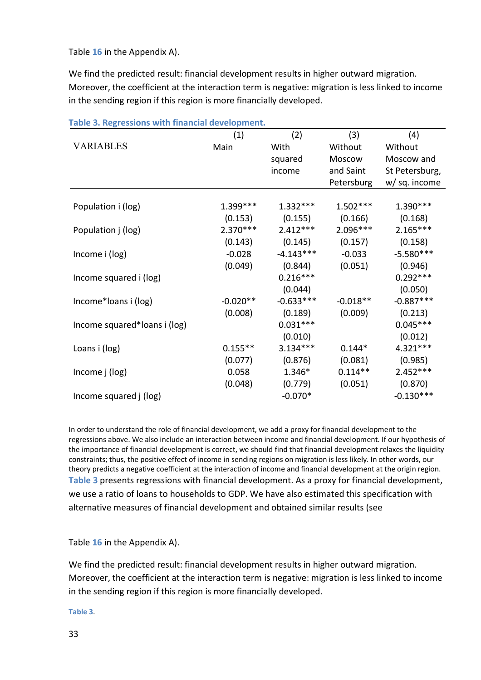Table **16** in the Appendix A).

We find the predicted result: financial development results in higher outward migration. Moreover, the coefficient at the interaction term is negative: migration is less linked to income in the sending region if this region is more financially developed.

|                              | (1)        | (2)         | (3)        | (4)            |
|------------------------------|------------|-------------|------------|----------------|
| <b>VARIABLES</b>             | Main       | With        | Without    | Without        |
|                              |            | squared     | Moscow     | Moscow and     |
|                              |            | income      | and Saint  | St Petersburg, |
|                              |            |             | Petersburg | w/ sq. income  |
|                              |            |             |            |                |
| Population i (log)           | $1.399***$ | $1.332***$  | $1.502***$ | $1.390***$     |
|                              | (0.153)    | (0.155)     | (0.166)    | (0.168)        |
| Population j (log)           | $2.370***$ | $2.412***$  | $2.096***$ | $2.165***$     |
|                              | (0.143)    | (0.145)     | (0.157)    | (0.158)        |
| Income i (log)               | $-0.028$   | $-4.143***$ | $-0.033$   | $-5.580***$    |
|                              | (0.049)    | (0.844)     | (0.051)    | (0.946)        |
| Income squared i (log)       |            | $0.216***$  |            | $0.292***$     |
|                              |            | (0.044)     |            | (0.050)        |
| Income*Ioans i (log)         | $-0.020**$ | $-0.633***$ | $-0.018**$ | $-0.887***$    |
|                              | (0.008)    | (0.189)     | (0.009)    | (0.213)        |
| Income squared*Ioans i (log) |            | $0.031***$  |            | $0.045***$     |
|                              |            | (0.010)     |            | (0.012)        |
| Loans i (log)                | $0.155**$  | $3.134***$  | $0.144*$   | 4.321 ***      |
|                              | (0.077)    | (0.876)     | (0.081)    | (0.985)        |
| Income j (log)               | 0.058      | 1.346*      | $0.114**$  | $2.452***$     |
|                              | (0.048)    | (0.779)     | (0.051)    | (0.870)        |
| Income squared j (log)       |            | $-0.070*$   |            | $-0.130***$    |

**Table 3. Regressions with financial development.** 

In order to understand the role of financial development, we add a proxy for financial development to the regressions above. We also include an interaction between income and financial development. If our hypothesis of the importance of financial development is correct, we should find that financial development relaxes the liquidity constraints; thus, the positive effect of income in sending regions on migration is less likely. In other words, our theory predicts a negative coefficient at the interaction of income and financial development at the origin region. **Table 3** presents regressions with financial development. As a proxy for financial development, we use a ratio of loans to households to GDP. We have also estimated this specification with alternative measures of financial development and obtained similar results (see

Table **16** in the Appendix A).

We find the predicted result: financial development results in higher outward migration. Moreover, the coefficient at the interaction term is negative: migration is less linked to income in the sending region if this region is more financially developed.

**Table 3**.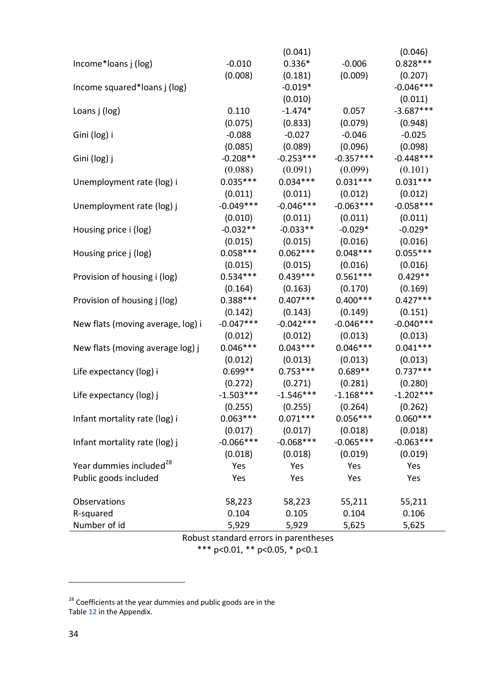|                                     |             | (0.041)     |             | (0.046)     |
|-------------------------------------|-------------|-------------|-------------|-------------|
| Income*Ioans j (log)                | $-0.010$    | $0.336*$    | $-0.006$    | $0.828***$  |
|                                     | (0.008)     | (0.181)     | (0.009)     | (0.207)     |
| Income squared*loans j (log)        |             | $-0.019*$   |             | $-0.046***$ |
|                                     |             | (0.010)     |             | (0.011)     |
| Loans j (log)                       | 0.110       | $-1.474*$   | 0.057       | $-3.687***$ |
|                                     | (0.075)     | (0.833)     | (0.079)     | (0.948)     |
| Gini (log) i                        | $-0.088$    | $-0.027$    | $-0.046$    | $-0.025$    |
|                                     | (0.085)     | (0.089)     | (0.096)     | (0.098)     |
| Gini (log) j                        | $-0.208**$  | $-0.253***$ | $-0.357***$ | $-0.448***$ |
|                                     | (0.088)     | (0.091)     | (0.099)     | (0.101)     |
| Unemployment rate (log) i           | $0.035***$  | $0.034***$  | $0.031***$  | $0.031***$  |
|                                     | (0.011)     | (0.011)     | (0.012)     | (0.012)     |
| Unemployment rate (log) j           | $-0.049***$ | $-0.046***$ | $-0.063***$ | $-0.058***$ |
|                                     | (0.010)     | (0.011)     | (0.011)     | (0.011)     |
| Housing price i (log)               | $-0.032**$  | $-0.033**$  | $-0.029*$   | $-0.029*$   |
|                                     | (0.015)     | (0.015)     | (0.016)     | (0.016)     |
| Housing price j (log)               | $0.058***$  | $0.062***$  | $0.048***$  | $0.055***$  |
|                                     | (0.015)     | (0.015)     | (0.016)     | (0.016)     |
| Provision of housing i (log)        | $0.534***$  | $0.439***$  | $0.561***$  | $0.429**$   |
|                                     | (0.164)     | (0.163)     | (0.170)     | (0.169)     |
| Provision of housing j (log)        | $0.388***$  | $0.407***$  | $0.400***$  | $0.427***$  |
|                                     | (0.142)     | (0.143)     | (0.149)     | (0.151)     |
| New flats (moving average, log) i   | $-0.047***$ | $-0.042***$ | $-0.046***$ | $-0.040***$ |
|                                     | (0.012)     | (0.012)     | (0.013)     | (0.013)     |
| New flats (moving average log) j    | $0.046***$  | $0.043***$  | $0.046***$  | $0.041***$  |
|                                     | (0.012)     | (0.013)     | (0.013)     | (0.013)     |
| Life expectancy (log) i             | $0.699**$   | $0.753***$  | $0.689**$   | $0.737***$  |
|                                     | (0.272)     | (0.271)     | (0.281)     | (0.280)     |
| Life expectancy (log) j             | $-1.503***$ | $-1.546***$ | $-1.168***$ | $-1.202***$ |
|                                     | (0.255)     | (0.255)     | (0.264)     | (0.262)     |
| Infant mortality rate (log) i       | $0.063***$  | $0.071***$  | $0.056***$  | $0.060***$  |
|                                     | (0.017)     | (0.017)     | (0.018)     | (0.018)     |
| Infant mortality rate (log) j       | $-0.066***$ | $-0.068***$ | $-0.065***$ | $-0.063***$ |
|                                     | (0.018)     | (0.018)     | (0.019)     | (0.019)     |
| Year dummies included <sup>28</sup> | Yes         | Yes         | Yes         | Yes         |
| Public goods included               | Yes         | Yes         | Yes         | Yes         |
| Observations                        | 58,223      | 58,223      | 55,211      | 55,211      |
| R-squared                           | 0.104       | 0.105       | 0.104       | 0.106       |
| Number of id                        | 5,929       | 5,929       | 5,625       | 5,625       |

Robust standard errors in parentheses \*\*\* p<0.01, \*\* p<0.05, \* p<0.1

 $^{28}$  Coefficients at the year dummies and public goods are in the Table **12** in the Appendix.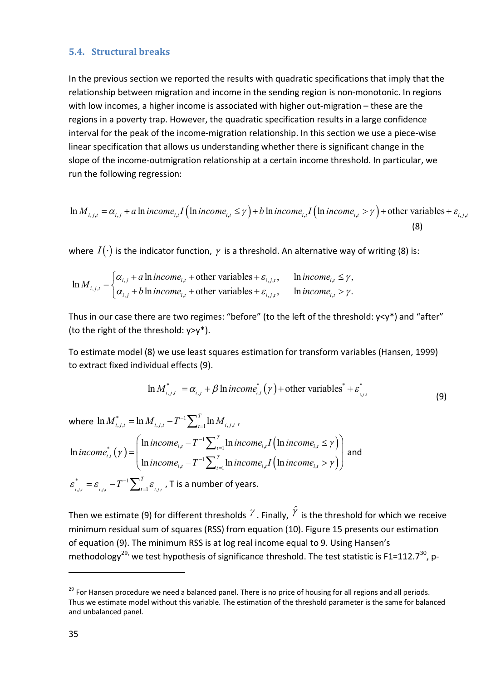#### **5.4. Structural breaks**

In the previous section we reported the results with quadratic specifications that imply that the relationship between migration and income in the sending region is non-monotonic. In regions with low incomes, a higher income is associated with higher out-migration – these are the regions in a poverty trap. However, the quadratic specification results in a large confidence interval for the peak of the income-migration relationship. In this section we use a piece-wise linear specification that allows us understanding whether there is significant change in the slope of the income-outmigration relationship at a certain income threshold. In particular, we run the following regression:

$$
\ln M_{i,j,t} = \alpha_{i,j} + a \ln income_{i,t} I \left( \ln income_{i,t} \le \gamma \right) + b \ln income_{i,t} I \left( \ln income_{i,t} > \gamma \right) + \text{other variables} + \varepsilon_{i,j,t}
$$
\n(8)

where  $I(\cdot)$  is the indicator function,  $\gamma$  is a threshold. An alternative way of writing (8) is:

$$
\ln M_{i,j,t} = \begin{cases} \alpha_{i,j} + a \ln income_{i,t} + \text{other variables} + \varepsilon_{i,j,t}, & \ln income_{i,t} \le \gamma, \\ \alpha_{i,j} + b \ln income_{i,t} + \text{other variables} + \varepsilon_{i,j,t}, & \ln income_{i,t} > \gamma. \end{cases}
$$

Thus in our case there are two regimes: "before" (to the left of the threshold: y<y\*) and "after" (to the right of the threshold: y>y\*).

To estimate model (8) we use least squares estimation for transform variables (Hansen, 1999) to extract fixed individual effects (9).

$$
\ln M_{i,j,t}^* = \alpha_{i,j} + \beta \ln income_{i,t}^*(\gamma) + \text{other variables}^* + \varepsilon_{i,j,t}^*
$$
\n(9)

where  $\ln \overline{M}^*_{i,j,t} = \ln \overline{M}_{i,j,t} - T^{-1} \sum_{t=1}^T \ln \overline{M}_{i,j,t}$  ,  $=\ln M_{i,j,t}-T^{-1}\sum_{t=1}^{T}\ln M_{i,j,t}$ ,  $(\gamma)$  $\left(\text{ln} \text{ income}_{i,t} \leq \gamma\right)$  $(\ln income_{i,t}>\gamma)$ 1  $\sum_{i=1}^{\infty}$  mincome<sub>i,t</sub>  $\sum_{t=1}^{\infty}$  mincome<sub>i,t</sub>  $\sum_{i=1}^{\infty}$  mincome<sub>i,t</sub>  $T^{-1}$   $\ln$  income  $T^{-1}$  $\mathcal{L}_{t-1}$   $\mathcal{L}_{t-1}$  muncome<sub>i,t</sub>  $\left($  muncome<sub>i,t</sub>  $\ln$  income<sub>it</sub>  $-T^{-1}\sum_{t=1}^{T} \ln$  income<sub>it</sub> I  $\ln \frac{1}{T}$ ln  $\ln$  income<sub>it</sub>  $-T^{-1}\sum_{t=1}^{T} \ln$  income<sub>it</sub> I  $\ln n$ *T*  $\sum_{t=1}^{\infty}$   $\sum_{t=1}^{\infty}$  *the income*<sub>*i,t*</sub>  $\sum_{t=1}^{\infty}$  $\left| \begin{array}{ccc} \n\frac{1}{t} & t \end{array} \right|$   $\left| \begin{array}{c} \n\frac{1}{t} & t \end{array} \right|$  $\sum_{t=1}^{\infty}$  **i** *theome<sub>i,t</sub>*  $\sum_{i}$  **i** *theome<sub>i,t</sub>*  $line_{i_t} - T^{-1} \sum_{t=1}^{T} \ln income_{i_t} I$  (ln *income income*  $line_{i_t} - T^{-1} \sum_{t=1}^{T} \ln income_{i_t} I$  (ln *income* γ γ γ - $\overline{a}$ - $\overline{a}$  $=\left(\frac{\ln{income}_{i,t}-T^{-1}\sum_{t=1}^{T}\ln{income}_{i,t}I(\ln{income}_{i,t} \leq \gamma)}{\prod_{t=1}^{T}\ln{income}_{i,t}I(\ln{income}_{i,t} \leq \gamma)}\right)$  $\left(\ln{income}_{i,t} - T^{-1}\sum_{t=1}^{N} \ln{income}_{i,t} I(\ln{income}_{i,t} > \gamma)\right)$  $\sum$  $\sum$ and  $i, j, t$   $i, j, t$   $\qquad \qquad \Longleftrightarrow t = 1 \quad i, j, t$ \*  $\qquad \qquad$   $\qquad \qquad$   $T^{-1}$  $i, j, t$   $i, j, t$   $\qquad \qquad \angle t = 1 \quad i, j, t$ *T*  $\varepsilon_{_{i,j,t}}^{^{\ast}}=\varepsilon_{_{i,j,t}}-T^{-1}\sum\nolimits_{t=1}^{T}\varepsilon_{_{i,j}}$  $=\varepsilon_{_{i,j,t}}-T^{-1}{\sum}_{_{t=1}^{t}}\varepsilon_{_{i,j,t}}$  , T is a number of years.

Then we estimate (9) for different thresholds  $^{\gamma}$  . Finally,  $^{\hat{\gamma}}$  is the threshold for which we receive minimum residual sum of squares (RSS) from equation (10). Figure 15 presents our estimation of equation (9). The minimum RSS is at log real income equal to 9. Using Hansen's methodology<sup>29,</sup> we test hypothesis of significance threshold. The test statistic is F1=112.7<sup>30</sup>, p-

 $^{29}$  For Hansen procedure we need a balanced panel. There is no price of housing for all regions and all periods. Thus we estimate model without this variable. The estimation of the threshold parameter is the same for balanced and unbalanced panel.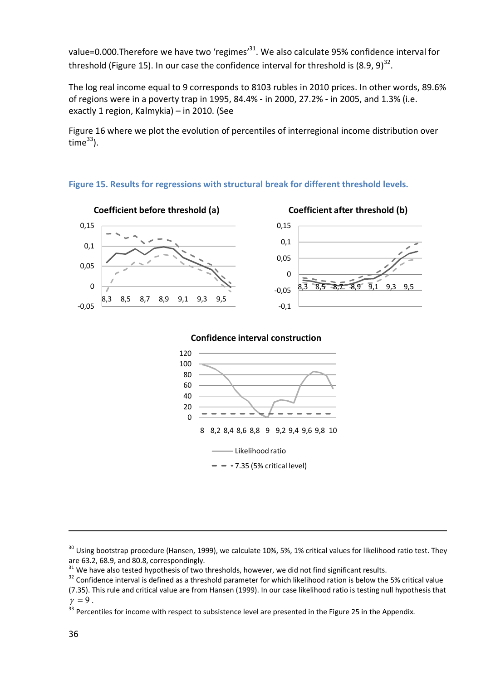value=0.000.Therefore we have two 'regimes'<sup>31</sup>. We also calculate 95% confidence interval for threshold (Figure 15). In our case the confidence interval for threshold is  $(8.9, 9)^{32}$ .

The log real income equal to 9 corresponds to 8103 rubles in 2010 prices. In other words, 89.6% of regions were in a poverty trap in 1995, 84.4% - in 2000, 27.2% - in 2005, and 1.3% (i.e. exactly 1 region, Kalmykia) – in 2010. (See

Figure 16 where we plot the evolution of percentiles of interregional income distribution over time $^{33}$ ).

## **Figure 15. Results for regressions with structural break for different threshold levels.**



 $30$  Using bootstrap procedure (Hansen, 1999), we calculate 10%, 5%, 1% critical values for likelihood ratio test. They are 63.2, 68.9, and 80.8, correspondingly.

 $31$  We have also tested hypothesis of two thresholds, however, we did not find significant results.

<sup>&</sup>lt;sup>32</sup> Confidence interval is defined as a threshold parameter for which likelihood ration is below the 5% critical value (7.35). This rule and critical value are from Hansen (1999). In our case likelihood ratio is testing null hypothesis that

 $\gamma = 9$ .

 $33$  Percentiles for income with respect to subsistence level are presented in the Figure 25 in the Appendix.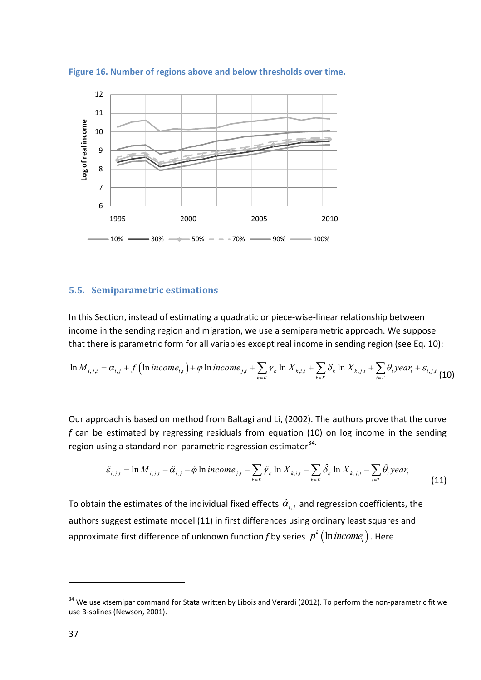**Figure 16. Number of regions above and below thresholds over time.**



#### **5.5. Semiparametric estimations**

In this Section, instead of estimating a quadratic or piece-wise-linear relationship between income in the sending region and migration, we use a semiparametric approach. We suppose that there is parametric form for all variables except real income in sending region (see Eq. 10):

$$
\ln M_{i,j,t} = \alpha_{i,j} + f\left(\ln\text{income}_{i,t}\right) + \varphi\ln\text{income}_{j,t} + \sum_{k \in K} \gamma_k\ln X_{k,i,t} + \sum_{k \in K} \delta_k\ln X_{k,j,t} + \sum_{t \in T} \theta_t \text{year}_t + \varepsilon_{i,j,t} \tag{10}
$$

Our approach is based on method from Baltagi and Li, (2002). The authors prove that the curve *f* can be estimated by regressing residuals from equation (10) on log income in the sending region using a standard non-parametric regression estimator<sup>34.</sup>

$$
\hat{\varepsilon}_{i,j,t} = \ln M_{i,j,t} - \hat{\alpha}_{i,j} - \hat{\varphi} \ln income_{j,t} - \sum_{k \in K} \hat{\gamma}_k \ln X_{k,i,t} - \sum_{k \in K} \hat{\delta}_k \ln X_{k,j,t} - \sum_{t \in T} \hat{\theta}_t year_t
$$
\n(11)

To obtain the estimates of the individual fixed effects  $\hat{\alpha}_{_{i,j}}$  and regression coefficients, the authors suggest estimate model (11) in first differences using ordinary least squares and approximate first difference of unknown function  $f$  by series  $\ p^{k}\big(\ln{income}_i\big)$  $p^{\kappa} \big($   $\text{ln}$   $\textit{income}_i \big)$  . Here

<sup>&</sup>lt;sup>34</sup> We use xtsemipar command for Stata written by Libois and Verardi (2012). To perform the non-parametric fit we use B-splines (Newson, 2001).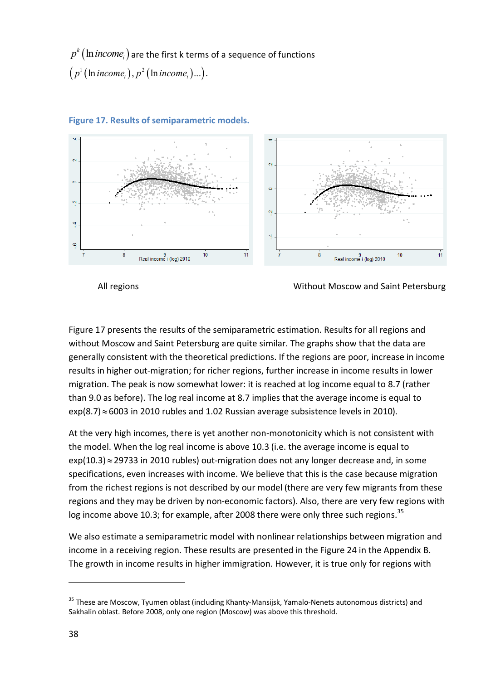$\kappa$  (ln income<sub>i</sub>)  $p^k\big(\ln{income}_i\big)$  are the first k terms of a sequence of functions  $\bigl(\, p^1\bigl(\ln{income}_i\bigr), p^2\bigl(\ln{income}_i\bigr)...\bigr).$ 



#### **Figure 17. Results of semiparametric models.**

All regions **All regions** and Saint Petersburg **All regions** without Moscow and Saint Petersburg

Figure 17 presents the results of the semiparametric estimation. Results for all regions and without Moscow and Saint Petersburg are quite similar. The graphs show that the data are generally consistent with the theoretical predictions. If the regions are poor, increase in income results in higher out-migration; for richer regions, further increase in income results in lower migration. The peak is now somewhat lower: it is reached at log income equal to 8.7 (rather than 9.0 as before). The log real income at 8.7 implies that the average income is equal to  $exp(8.7) \approx 6003$  in 2010 rubles and 1.02 Russian average subsistence levels in 2010).

At the very high incomes, there is yet another non-monotonicity which is not consistent with the model. When the log real income is above 10.3 (i.e. the average income is equal to  $exp(10.3) \approx 29733$  in 2010 rubles) out-migration does not any longer decrease and, in some specifications, even increases with income. We believe that this is the case because migration from the richest regions is not described by our model (there are very few migrants from these regions and they may be driven by non-economic factors). Also, there are very few regions with log income above 10.3; for example, after 2008 there were only three such regions.<sup>35</sup>

We also estimate a semiparametric model with nonlinear relationships between migration and income in a receiving region. These results are presented in the Figure 24 in the Appendix B. The growth in income results in higher immigration. However, it is true only for regions with

<sup>&</sup>lt;sup>35</sup> These are Moscow, Tyumen oblast (including Khanty-Mansijsk, Yamalo-Nenets autonomous districts) and Sakhalin oblast. Before 2008, only one region (Moscow) was above this threshold.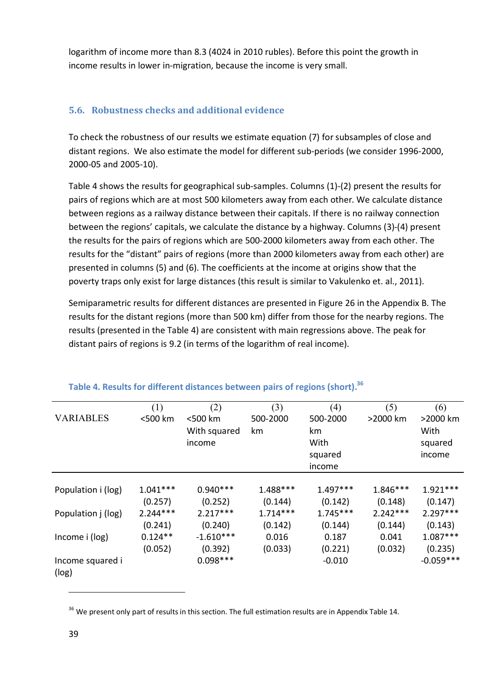logarithm of income more than 8.3 (4024 in 2010 rubles). Before this point the growth in income results in lower in-migration, because the income is very small.

## **5.6. Robustness checks and additional evidence**

To check the robustness of our results we estimate equation (7) for subsamples of close and distant regions. We also estimate the model for different sub-periods (we consider 1996-2000, 2000-05 and 2005-10).

Table 4 shows the results for geographical sub-samples. Columns (1)-(2) present the results for pairs of regions which are at most 500 kilometers away from each other. We calculate distance between regions as a railway distance between their capitals. If there is no railway connection between the regions' capitals, we calculate the distance by a highway. Columns (3)-(4) present the results for the pairs of regions which are 500-2000 kilometers away from each other. The results for the "distant" pairs of regions (more than 2000 kilometers away from each other) are presented in columns (5) and (6). The coefficients at the income at origins show that the poverty traps only exist for large distances (this result is similar to Vakulenko et. al., 2011).

Semiparametric results for different distances are presented in Figure 26 in the Appendix B. The results for the distant regions (more than 500 km) differ from those for the nearby regions. The results (presented in the Table 4) are consistent with main regressions above. The peak for distant pairs of regions is 9.2 (in terms of the logarithm of real income).

|                    | (1)        | (2)          | (3)        | (4)        | (5)        | (6)         |
|--------------------|------------|--------------|------------|------------|------------|-------------|
| <b>VARIABLES</b>   | <500 km    | <500 km      | 500-2000   | 500-2000   | >2000 km   | >2000 km    |
|                    |            | With squared | km         | km         |            | With        |
|                    |            | income       |            | With       |            | squared     |
|                    |            |              |            | squared    |            | income      |
|                    |            |              |            | income     |            |             |
|                    |            |              |            |            |            |             |
| Population i (log) | $1.041***$ | $0.940***$   | 1.488***   | $1.497***$ | $1.846***$ | $1.921***$  |
|                    | (0.257)    | (0.252)      | (0.144)    | (0.142)    | (0.148)    | (0.147)     |
| Population j (log) | $2.244***$ | $2.217***$   | $1.714***$ | $1.745***$ | $2.242***$ | $2.297***$  |
|                    | (0.241)    | (0.240)      | (0.142)    | (0.144)    | (0.144)    | (0.143)     |
| Income i (log)     | $0.124**$  | $-1.610***$  | 0.016      | 0.187      | 0.041      | $1.087***$  |
|                    | (0.052)    | (0.392)      | (0.033)    | (0.221)    | (0.032)    | (0.235)     |
| Income squared i   |            | $0.098***$   |            | $-0.010$   |            | $-0.059***$ |
| (log)              |            |              |            |            |            |             |

## **Table 4. Results for different distances between pairs of regions (short). 36**

<sup>&</sup>lt;sup>36</sup> We present only part of results in this section. The full estimation results are in Appendix Table 14.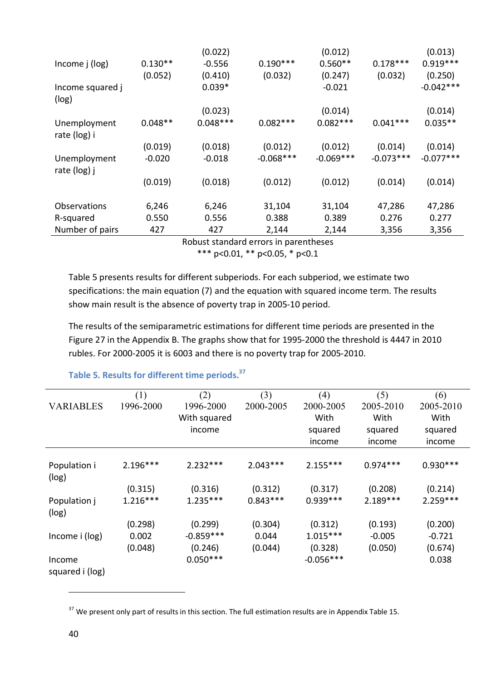|                              |           | (0.022)    |             | (0.012)     |             | (0.013)     |
|------------------------------|-----------|------------|-------------|-------------|-------------|-------------|
| Income j (log)               | $0.130**$ | $-0.556$   | $0.190***$  | $0.560**$   | $0.178***$  | $0.919***$  |
|                              | (0.052)   | (0.410)    | (0.032)     | (0.247)     | (0.032)     | (0.250)     |
| Income squared j<br>(log)    |           | $0.039*$   |             | $-0.021$    |             | $-0.042***$ |
|                              |           | (0.023)    |             | (0.014)     |             | (0.014)     |
| Unemployment<br>rate (log) i | $0.048**$ | $0.048***$ | $0.082***$  | $0.082***$  | $0.041***$  | $0.035**$   |
|                              | (0.019)   | (0.018)    | (0.012)     | (0.012)     | (0.014)     | (0.014)     |
| Unemployment<br>rate (log) j | $-0.020$  | $-0.018$   | $-0.068***$ | $-0.069***$ | $-0.073***$ | $-0.077***$ |
|                              | (0.019)   | (0.018)    | (0.012)     | (0.012)     | (0.014)     | (0.014)     |
| Observations                 | 6,246     | 6,246      | 31,104      | 31,104      | 47,286      | 47,286      |
| R-squared                    | 0.550     | 0.556      | 0.388       | 0.389       | 0.276       | 0.277       |
| Number of pairs              | 427       | 427        | 2,144       | 2,144       | 3,356       | 3,356       |

Robust standard errors in parentheses \*\*\* p<0.01, \*\* p<0.05, \* p<0.1

Table 5 presents results for different subperiods. For each subperiod, we estimate two specifications: the main equation (7) and the equation with squared income term. The results show main result is the absence of poverty trap in 2005-10 period.

The results of the semiparametric estimations for different time periods are presented in the Figure 27 in the Appendix B. The graphs show that for 1995-2000 the threshold is 4447 in 2010 rubles. For 2000-2005 it is 6003 and there is no poverty trap for 2005-2010.

|                  | (1)        | (2)          | (3)        | (4)         | (5)        | (6)        |
|------------------|------------|--------------|------------|-------------|------------|------------|
| <b>VARIABLES</b> | 1996-2000  | 1996-2000    | 2000-2005  | 2000-2005   | 2005-2010  | 2005-2010  |
|                  |            | With squared |            | With        | With       | With       |
|                  |            | income       |            | squared     | squared    | squared    |
|                  |            |              |            | income      | income     | income     |
|                  |            |              |            |             |            |            |
| Population i     | $2.196***$ | $2.232***$   | $2.043***$ | $2.155***$  | $0.974***$ | $0.930***$ |
| (log)            |            |              |            |             |            |            |
|                  | (0.315)    | (0.316)      | (0.312)    | (0.317)     | (0.208)    | (0.214)    |
| Population j     | $1.216***$ | $1.235***$   | $0.843***$ | $0.939***$  | $2.189***$ | $2.259***$ |
| (log)            |            |              |            |             |            |            |
|                  | (0.298)    | (0.299)      | (0.304)    | (0.312)     | (0.193)    | (0.200)    |
| Income i (log)   | 0.002      | $-0.859***$  | 0.044      | $1.015***$  | $-0.005$   | $-0.721$   |
|                  | (0.048)    | (0.246)      | (0.044)    | (0.328)     | (0.050)    | (0.674)    |
| Income           |            | $0.050***$   |            | $-0.056***$ |            | 0.038      |
| squared i (log)  |            |              |            |             |            |            |

# **Table 5. Results for different time periods.<sup>37</sup>**

<sup>&</sup>lt;sup>37</sup> We present only part of results in this section. The full estimation results are in Appendix Table 15.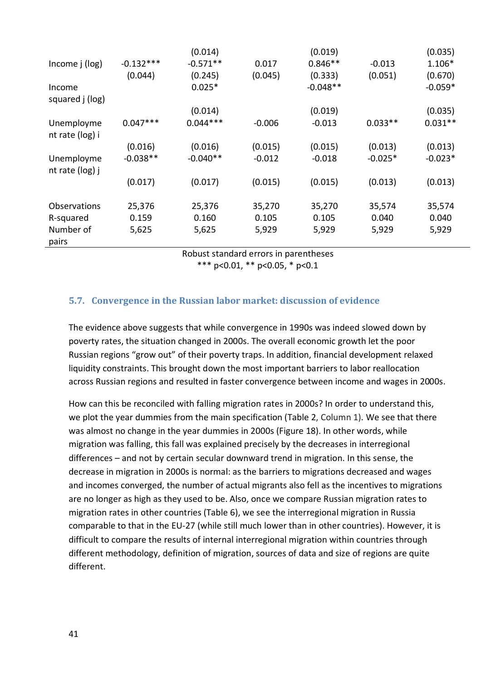|                   |             | (0.014)    |          | (0.019)    |           | (0.035)   |
|-------------------|-------------|------------|----------|------------|-----------|-----------|
| Income j (log)    | $-0.132***$ | $-0.571**$ | 0.017    | $0.846**$  | $-0.013$  | 1.106*    |
|                   | (0.044)     | (0.245)    | (0.045)  | (0.333)    | (0.051)   | (0.670)   |
| Income            |             | $0.025*$   |          | $-0.048**$ |           | $-0.059*$ |
| squared j (log)   |             |            |          |            |           |           |
|                   |             | (0.014)    |          | (0.019)    |           | (0.035)   |
| Unemployme        | $0.047***$  | $0.044***$ | $-0.006$ | $-0.013$   | $0.033**$ | $0.031**$ |
| nt rate (log) i   |             |            |          |            |           |           |
|                   | (0.016)     | (0.016)    | (0.015)  | (0.015)    | (0.013)   | (0.013)   |
| Unemployme        | $-0.038**$  | $-0.040**$ | $-0.012$ | $-0.018$   | $-0.025*$ | $-0.023*$ |
| nt rate $(log)$ j |             |            |          |            |           |           |
|                   | (0.017)     | (0.017)    | (0.015)  | (0.015)    | (0.013)   | (0.013)   |
|                   |             |            |          |            |           |           |
| Observations      | 25,376      | 25,376     | 35,270   | 35,270     | 35,574    | 35,574    |
| R-squared         | 0.159       | 0.160      | 0.105    | 0.105      | 0.040     | 0.040     |
| Number of         | 5,625       | 5,625      | 5,929    | 5,929      | 5,929     | 5,929     |
| pairs             |             |            |          |            |           |           |

Robust standard errors in parentheses

\*\*\* p<0.01, \*\* p<0.05, \* p<0.1

### **5.7. Convergence in the Russian labor market: discussion of evidence**

The evidence above suggests that while convergence in 1990s was indeed slowed down by poverty rates, the situation changed in 2000s. The overall economic growth let the poor Russian regions "grow out" of their poverty traps. In addition, financial development relaxed liquidity constraints. This brought down the most important barriers to labor reallocation across Russian regions and resulted in faster convergence between income and wages in 2000s.

How can this be reconciled with falling migration rates in 2000s? In order to understand this, we plot the year dummies from the main specification (Table 2, Column 1). We see that there was almost no change in the year dummies in 2000s (Figure 18). In other words, while migration was falling, this fall was explained precisely by the decreases in interregional differences – and not by certain secular downward trend in migration. In this sense, the decrease in migration in 2000s is normal: as the barriers to migrations decreased and wages and incomes converged, the number of actual migrants also fell as the incentives to migrations are no longer as high as they used to be. Also, once we compare Russian migration rates to migration rates in other countries (Table 6), we see the interregional migration in Russia comparable to that in the EU-27 (while still much lower than in other countries). However, it is difficult to compare the results of internal interregional migration within countries through different methodology, definition of migration, sources of data and size of regions are quite different.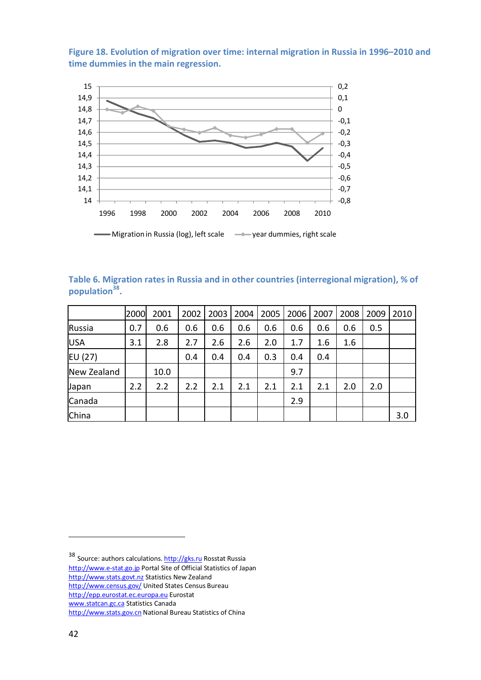**Figure 18. Evolution of migration over time: internal migration in Russia in 1996–2010 and time dummies in the main regression.**



| Table 6. Migration rates in Russia and in other countries (interregional migration), % of |  |  |  |
|-------------------------------------------------------------------------------------------|--|--|--|
| population <sup>38</sup> .                                                                |  |  |  |

|              | 2000 | 2001 | 2002 | 2003 | 2004 | 2005 | 2006 | 2007 | 2008 | 2009 | 2010 |
|--------------|------|------|------|------|------|------|------|------|------|------|------|
| Russia       | 0.7  | 0.6  | 0.6  | 0.6  | 0.6  | 0.6  | 0.6  | 0.6  | 0.6  | 0.5  |      |
| <b>USA</b>   | 3.1  | 2.8  | 2.7  | 2.6  | 2.6  | 2.0  | 1.7  | 1.6  | 1.6  |      |      |
| EU (27)      |      |      | 0.4  | 0.4  | 0.4  | 0.3  | 0.4  | 0.4  |      |      |      |
| New Zealand  |      | 10.0 |      |      |      |      | 9.7  |      |      |      |      |
| <b>Japan</b> | 2.2  | 2.2  | 2.2  | 2.1  | 2.1  | 2.1  | 2.1  | 2.1  | 2.0  | 2.0  |      |
| Canada       |      |      |      |      |      |      | 2.9  |      |      |      |      |
| China        |      |      |      |      |      |      |      |      |      |      | 3.0  |

<sup>38</sup> Source: authors calculations. http://gks.ru Rosstat Russia http://www.e-stat.go.jp Portal Site of Official Statistics of Japan http://www.stats.govt.nz Statistics New Zealand http://www.census.gov/ United States Census Bureau http://epp.eurostat.ec.europa.eu Eurostat www.statcan.gc.ca Statistics Canada http://www.stats.gov.cn National Bureau Statistics of China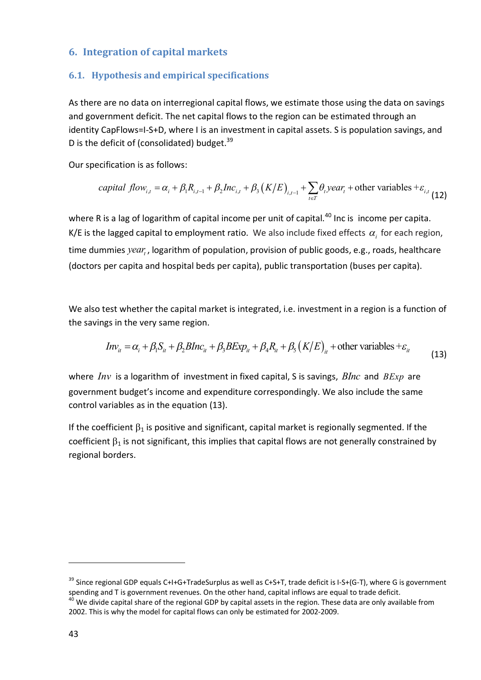## **6. Integration of capital markets**

### **6.1. Hypothesis and empirical specifications**

As there are no data on interregional capital flows, we estimate those using the data on savings and government deficit. The net capital flows to the region can be estimated through an identity CapFlows=I-S+D, where I is an investment in capital assets. S is population savings, and D is the deficit of (consolidated) budget.<sup>39</sup>

Our specification is as follows:

*capital flow*<sub>i,t</sub> = 
$$
\alpha_i + \beta_1 R_{i,t-1} + \beta_2 Inc_{i,t} + \beta_3 (K/E)_{i,t-1} + \sum_{t \in T} \theta_t year_t
$$
 + other variables +  $\varepsilon_{i,t}$  (12)

where R is a lag of logarithm of capital income per unit of capital.<sup>40</sup> Inc is income per capita. K/E is the lagged capital to employment ratio. We also include fixed effects  $\alpha_{i}$  for each region, time dummies *year<sub>t</sub>*, logarithm of population, provision of public goods, e.g., roads, healthcare (doctors per capita and hospital beds per capita), public transportation (buses per capita).

We also test whether the capital market is integrated, i.e. investment in a region is a function of the savings in the very same region.

$$
Inv_{it} = \alpha_i + \beta_1 S_{it} + \beta_2 BInc_{it} + \beta_3 BExp_{it} + \beta_4 R_{it} + \beta_5 (K/E)_{it} + \text{other variables} + \varepsilon_{it}
$$
\n(13)

where *Inv* is a logarithm of investment in fixed capital, S is savings, *BInc* and *BExp* are government budget's income and expenditure correspondingly. We also include the same control variables as in the equation (13).

If the coefficient  $\beta_1$  is positive and significant, capital market is regionally segmented. If the coefficient  $\beta_1$  is not significant, this implies that capital flows are not generally constrained by regional borders.

 $39$  Since regional GDP equals C+I+G+TradeSurplus as well as C+S+T, trade deficit is I-S+(G-T), where G is government spending and T is government revenues. On the other hand, capital inflows are equal to trade deficit.

<sup>&</sup>lt;sup>40</sup> We divide capital share of the regional GDP by capital assets in the region. These data are only available from 2002. This is why the model for capital flows can only be estimated for 2002-2009.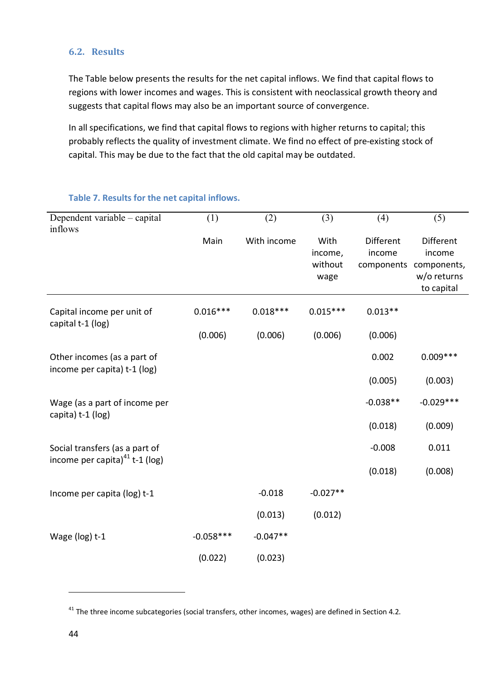### **6.2. Results**

The Table below presents the results for the net capital inflows. We find that capital flows to regions with lower incomes and wages. This is consistent with neoclassical growth theory and suggests that capital flows may also be an important source of convergence.

In all specifications, we find that capital flows to regions with higher returns to capital; this probably reflects the quality of investment climate. We find no effect of pre-existing stock of capital. This may be due to the fact that the old capital may be outdated.

| Dependent variable – capital<br>inflows                             | (1)         | (2)         | (3)                                | (4)                               | (5)                                                                    |
|---------------------------------------------------------------------|-------------|-------------|------------------------------------|-----------------------------------|------------------------------------------------------------------------|
|                                                                     | Main        | With income | With<br>income,<br>without<br>wage | Different<br>income<br>components | <b>Different</b><br>income<br>components,<br>w/o returns<br>to capital |
| Capital income per unit of<br>capital t-1 (log)                     | $0.016***$  | $0.018***$  | $0.015***$                         | $0.013**$                         |                                                                        |
|                                                                     | (0.006)     | (0.006)     | (0.006)                            | (0.006)                           |                                                                        |
| Other incomes (as a part of<br>income per capita) t-1 (log)         |             |             |                                    | 0.002                             | $0.009***$                                                             |
|                                                                     |             |             |                                    | (0.005)                           | (0.003)                                                                |
| Wage (as a part of income per<br>capita) t-1 (log)                  |             |             |                                    | $-0.038**$                        | $-0.029***$                                                            |
|                                                                     |             |             |                                    | (0.018)                           | (0.009)                                                                |
| Social transfers (as a part of<br>income per capita) $41$ t-1 (log) |             |             |                                    | $-0.008$                          | 0.011                                                                  |
|                                                                     |             |             |                                    | (0.018)                           | (0.008)                                                                |
| Income per capita (log) t-1                                         |             | $-0.018$    | $-0.027**$                         |                                   |                                                                        |
|                                                                     |             | (0.013)     | (0.012)                            |                                   |                                                                        |
| Wage (log) t-1                                                      | $-0.058***$ | $-0.047**$  |                                    |                                   |                                                                        |
|                                                                     | (0.022)     | (0.023)     |                                    |                                   |                                                                        |

#### **Table 7. Results for the net capital inflows.**

 $41$  The three income subcategories (social transfers, other incomes, wages) are defined in Section 4.2.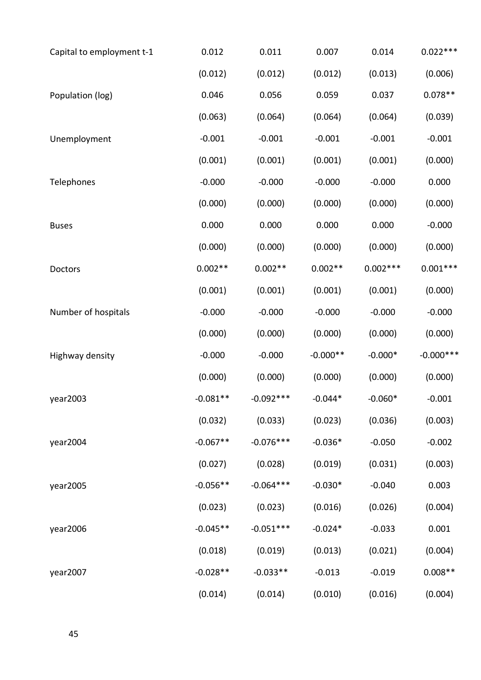| Capital to employment t-1 | 0.012      | 0.011       | 0.007      | 0.014      | $0.022***$   |
|---------------------------|------------|-------------|------------|------------|--------------|
|                           | (0.012)    | (0.012)     | (0.012)    | (0.013)    | (0.006)      |
| Population (log)          | 0.046      | 0.056       | 0.059      | 0.037      | $0.078**$    |
|                           | (0.063)    | (0.064)     | (0.064)    | (0.064)    | (0.039)      |
| Unemployment              | $-0.001$   | $-0.001$    | $-0.001$   | $-0.001$   | $-0.001$     |
|                           | (0.001)    | (0.001)     | (0.001)    | (0.001)    | (0.000)      |
| Telephones                | $-0.000$   | $-0.000$    | $-0.000$   | $-0.000$   | 0.000        |
|                           | (0.000)    | (0.000)     | (0.000)    | (0.000)    | (0.000)      |
| <b>Buses</b>              | 0.000      | 0.000       | 0.000      | 0.000      | $-0.000$     |
|                           | (0.000)    | (0.000)     | (0.000)    | (0.000)    | (0.000)      |
| Doctors                   | $0.002**$  | $0.002**$   | $0.002**$  | $0.002***$ | $0.001***$   |
|                           | (0.001)    | (0.001)     | (0.001)    | (0.001)    | (0.000)      |
| Number of hospitals       | $-0.000$   | $-0.000$    | $-0.000$   | $-0.000$   | $-0.000$     |
|                           | (0.000)    | (0.000)     | (0.000)    | (0.000)    | (0.000)      |
| Highway density           | $-0.000$   | $-0.000$    | $-0.000**$ | $-0.000*$  | $-0.000$ *** |
|                           | (0.000)    | (0.000)     | (0.000)    | (0.000)    | (0.000)      |
| year2003                  | $-0.081**$ | $-0.092***$ | $-0.044*$  | $-0.060*$  | $-0.001$     |
|                           | (0.032)    | (0.033)     | (0.023)    | (0.036)    | (0.003)      |
| year2004                  | $-0.067**$ | $-0.076***$ | $-0.036*$  | $-0.050$   | $-0.002$     |
|                           | (0.027)    | (0.028)     | (0.019)    | (0.031)    | (0.003)      |
| year2005                  | $-0.056**$ | $-0.064***$ | $-0.030*$  | $-0.040$   | 0.003        |
|                           | (0.023)    | (0.023)     | (0.016)    | (0.026)    | (0.004)      |
| year2006                  | $-0.045**$ | $-0.051***$ | $-0.024*$  | $-0.033$   | 0.001        |
|                           | (0.018)    | (0.019)     | (0.013)    | (0.021)    | (0.004)      |
| year2007                  | $-0.028**$ | $-0.033**$  | $-0.013$   | $-0.019$   | $0.008**$    |
|                           | (0.014)    | (0.014)     | (0.010)    | (0.016)    | (0.004)      |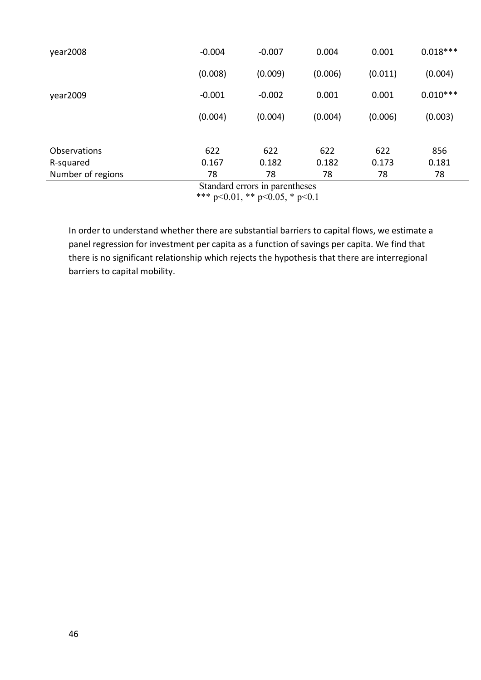| year2008            | $-0.004$ | $-0.007$ | 0.004   | 0.001   | $0.018***$ |
|---------------------|----------|----------|---------|---------|------------|
|                     | (0.008)  | (0.009)  | (0.006) | (0.011) | (0.004)    |
| year2009            | $-0.001$ | $-0.002$ | 0.001   | 0.001   | $0.010***$ |
|                     | (0.004)  | (0.004)  | (0.004) | (0.006) | (0.003)    |
|                     |          |          |         |         |            |
| <b>Observations</b> | 622      | 622      | 622     | 622     | 856        |
| R-squared           | 0.167    | 0.182    | 0.182   | 0.173   | 0.181      |
| Number of regions   | 78       | 78       | 78      | 78      | 78         |

Standard errors in parentheses

\*\*\* p<0.01, \*\* p<0.05, \* p<0.1

In order to understand whether there are substantial barriers to capital flows, we estimate a panel regression for investment per capita as a function of savings per capita. We find that there is no significant relationship which rejects the hypothesis that there are interregional barriers to capital mobility.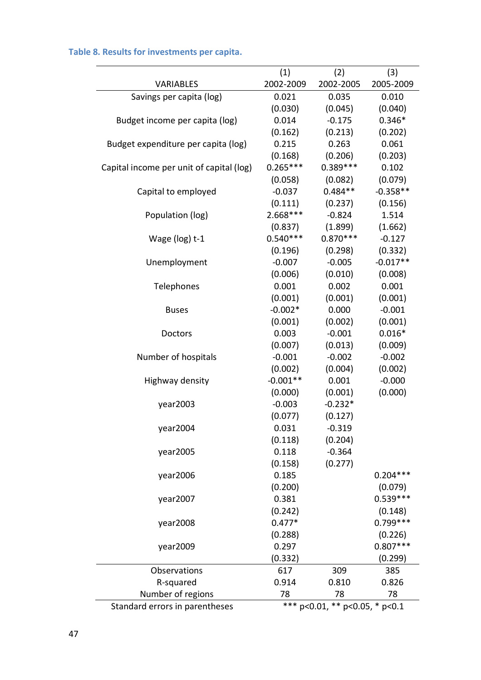|                                          | (1)        | (2)                            | (3)        |
|------------------------------------------|------------|--------------------------------|------------|
| <b>VARIABLES</b>                         | 2002-2009  | 2002-2005                      | 2005-2009  |
| Savings per capita (log)                 | 0.021      | 0.035                          | 0.010      |
|                                          | (0.030)    | (0.045)                        | (0.040)    |
| Budget income per capita (log)           | 0.014      | $-0.175$                       | $0.346*$   |
|                                          | (0.162)    | (0.213)                        | (0.202)    |
| Budget expenditure per capita (log)      | 0.215      | 0.263                          | 0.061      |
|                                          | (0.168)    | (0.206)                        | (0.203)    |
| Capital income per unit of capital (log) | $0.265***$ | $0.389***$                     | 0.102      |
|                                          | (0.058)    | (0.082)                        | (0.079)    |
| Capital to employed                      | $-0.037$   | $0.484**$                      | $-0.358**$ |
|                                          | (0.111)    | (0.237)                        | (0.156)    |
| Population (log)                         | $2.668***$ | $-0.824$                       | 1.514      |
|                                          | (0.837)    | (1.899)                        | (1.662)    |
| Wage (log) t-1                           | $0.540***$ | $0.870***$                     | $-0.127$   |
|                                          | (0.196)    | (0.298)                        | (0.332)    |
| Unemployment                             | $-0.007$   | $-0.005$                       | $-0.017**$ |
|                                          | (0.006)    | (0.010)                        | (0.008)    |
| Telephones                               | 0.001      | 0.002                          | 0.001      |
|                                          | (0.001)    | (0.001)                        | (0.001)    |
| <b>Buses</b>                             | $-0.002*$  | 0.000                          | $-0.001$   |
|                                          | (0.001)    | (0.002)                        | (0.001)    |
| Doctors                                  | 0.003      | $-0.001$                       | $0.016*$   |
|                                          | (0.007)    | (0.013)                        | (0.009)    |
| Number of hospitals                      | $-0.001$   | $-0.002$                       | $-0.002$   |
|                                          | (0.002)    | (0.004)                        | (0.002)    |
| Highway density                          | $-0.001**$ | 0.001                          | $-0.000$   |
|                                          | (0.000)    | (0.001)                        | (0.000)    |
| year2003                                 | $-0.003$   | $-0.232*$                      |            |
|                                          | (0.077)    | (0.127)                        |            |
| year2004                                 | 0.031      | $-0.319$                       |            |
|                                          | (0.118)    | (0.204)                        |            |
| year2005                                 | 0.118      | $-0.364$                       |            |
|                                          | (0.158)    | (0.277)                        |            |
| year2006                                 | 0.185      |                                | $0.204***$ |
|                                          | (0.200)    |                                | (0.079)    |
| year2007                                 | 0.381      |                                | $0.539***$ |
|                                          | (0.242)    |                                | (0.148)    |
| year2008                                 | $0.477*$   |                                | $0.799***$ |
|                                          | (0.288)    |                                | (0.226)    |
| year2009                                 | 0.297      |                                | $0.807***$ |
|                                          | (0.332)    |                                | (0.299)    |
| Observations                             | 617        | 309                            | 385        |
| R-squared                                | 0.914      | 0.810                          | 0.826      |
| Number of regions                        | 78         | 78                             | 78         |
| Standard errors in parentheses           |            | *** p<0.01, ** p<0.05, * p<0.1 |            |

# **Table 8. Results for investments per capita.**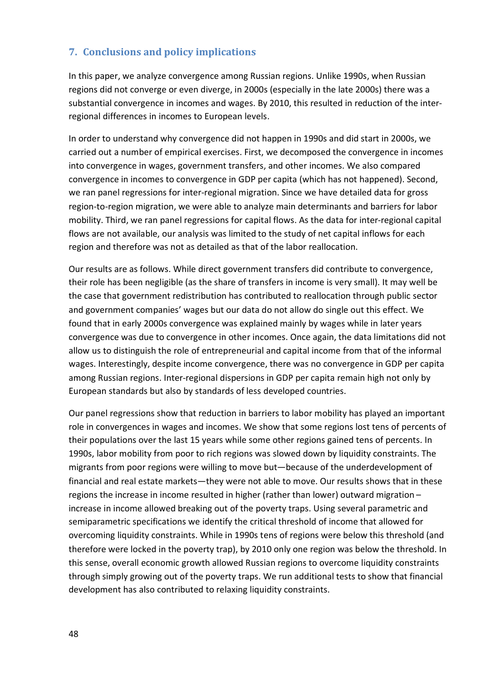## **7. Conclusions and policy implications**

In this paper, we analyze convergence among Russian regions. Unlike 1990s, when Russian regions did not converge or even diverge, in 2000s (especially in the late 2000s) there was a substantial convergence in incomes and wages. By 2010, this resulted in reduction of the interregional differences in incomes to European levels.

In order to understand why convergence did not happen in 1990s and did start in 2000s, we carried out a number of empirical exercises. First, we decomposed the convergence in incomes into convergence in wages, government transfers, and other incomes. We also compared convergence in incomes to convergence in GDP per capita (which has not happened). Second, we ran panel regressions for inter-regional migration. Since we have detailed data for gross region-to-region migration, we were able to analyze main determinants and barriers for labor mobility. Third, we ran panel regressions for capital flows. As the data for inter-regional capital flows are not available, our analysis was limited to the study of net capital inflows for each region and therefore was not as detailed as that of the labor reallocation.

Our results are as follows. While direct government transfers did contribute to convergence, their role has been negligible (as the share of transfers in income is very small). It may well be the case that government redistribution has contributed to reallocation through public sector and government companies' wages but our data do not allow do single out this effect. We found that in early 2000s convergence was explained mainly by wages while in later years convergence was due to convergence in other incomes. Once again, the data limitations did not allow us to distinguish the role of entrepreneurial and capital income from that of the informal wages. Interestingly, despite income convergence, there was no convergence in GDP per capita among Russian regions. Inter-regional dispersions in GDP per capita remain high not only by European standards but also by standards of less developed countries.

Our panel regressions show that reduction in barriers to labor mobility has played an important role in convergences in wages and incomes. We show that some regions lost tens of percents of their populations over the last 15 years while some other regions gained tens of percents. In 1990s, labor mobility from poor to rich regions was slowed down by liquidity constraints. The migrants from poor regions were willing to move but—because of the underdevelopment of financial and real estate markets—they were not able to move. Our results shows that in these regions the increase in income resulted in higher (rather than lower) outward migration – increase in income allowed breaking out of the poverty traps. Using several parametric and semiparametric specifications we identify the critical threshold of income that allowed for overcoming liquidity constraints. While in 1990s tens of regions were below this threshold (and therefore were locked in the poverty trap), by 2010 only one region was below the threshold. In this sense, overall economic growth allowed Russian regions to overcome liquidity constraints through simply growing out of the poverty traps. We run additional tests to show that financial development has also contributed to relaxing liquidity constraints.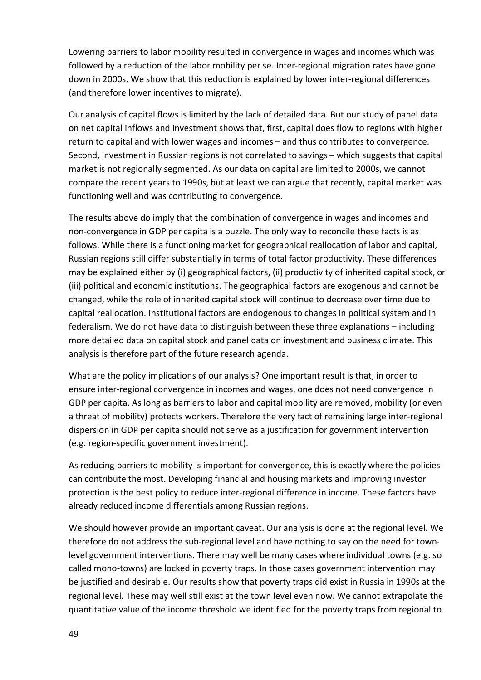Lowering barriers to labor mobility resulted in convergence in wages and incomes which was followed by a reduction of the labor mobility per se. Inter-regional migration rates have gone down in 2000s. We show that this reduction is explained by lower inter-regional differences (and therefore lower incentives to migrate).

Our analysis of capital flows is limited by the lack of detailed data. But our study of panel data on net capital inflows and investment shows that, first, capital does flow to regions with higher return to capital and with lower wages and incomes – and thus contributes to convergence. Second, investment in Russian regions is not correlated to savings – which suggests that capital market is not regionally segmented. As our data on capital are limited to 2000s, we cannot compare the recent years to 1990s, but at least we can argue that recently, capital market was functioning well and was contributing to convergence.

The results above do imply that the combination of convergence in wages and incomes and non-convergence in GDP per capita is a puzzle. The only way to reconcile these facts is as follows. While there is a functioning market for geographical reallocation of labor and capital, Russian regions still differ substantially in terms of total factor productivity. These differences may be explained either by (i) geographical factors, (ii) productivity of inherited capital stock, or (iii) political and economic institutions. The geographical factors are exogenous and cannot be changed, while the role of inherited capital stock will continue to decrease over time due to capital reallocation. Institutional factors are endogenous to changes in political system and in federalism. We do not have data to distinguish between these three explanations – including more detailed data on capital stock and panel data on investment and business climate. This analysis is therefore part of the future research agenda.

What are the policy implications of our analysis? One important result is that, in order to ensure inter-regional convergence in incomes and wages, one does not need convergence in GDP per capita. As long as barriers to labor and capital mobility are removed, mobility (or even a threat of mobility) protects workers. Therefore the very fact of remaining large inter-regional dispersion in GDP per capita should not serve as a justification for government intervention (e.g. region-specific government investment).

As reducing barriers to mobility is important for convergence, this is exactly where the policies can contribute the most. Developing financial and housing markets and improving investor protection is the best policy to reduce inter-regional difference in income. These factors have already reduced income differentials among Russian regions.

We should however provide an important caveat. Our analysis is done at the regional level. We therefore do not address the sub-regional level and have nothing to say on the need for townlevel government interventions. There may well be many cases where individual towns (e.g. so called mono-towns) are locked in poverty traps. In those cases government intervention may be justified and desirable. Our results show that poverty traps did exist in Russia in 1990s at the regional level. These may well still exist at the town level even now. We cannot extrapolate the quantitative value of the income threshold we identified for the poverty traps from regional to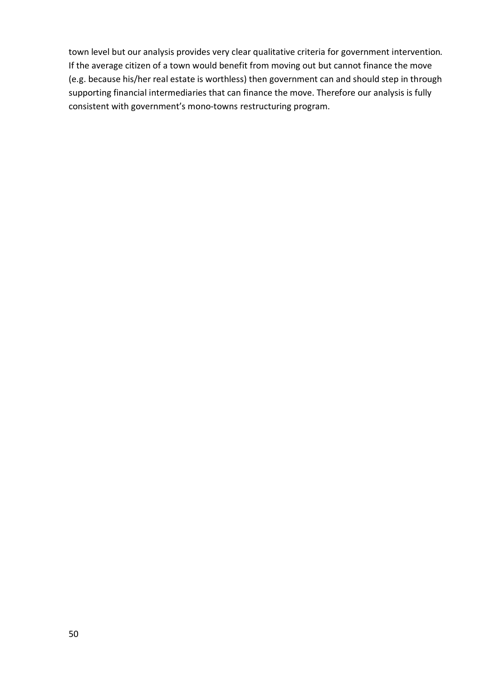town level but our analysis provides very clear qualitative criteria for government intervention. If the average citizen of a town would benefit from moving out but cannot finance the move (e.g. because his/her real estate is worthless) then government can and should step in through supporting financial intermediaries that can finance the move. Therefore our analysis is fully consistent with government's mono-towns restructuring program.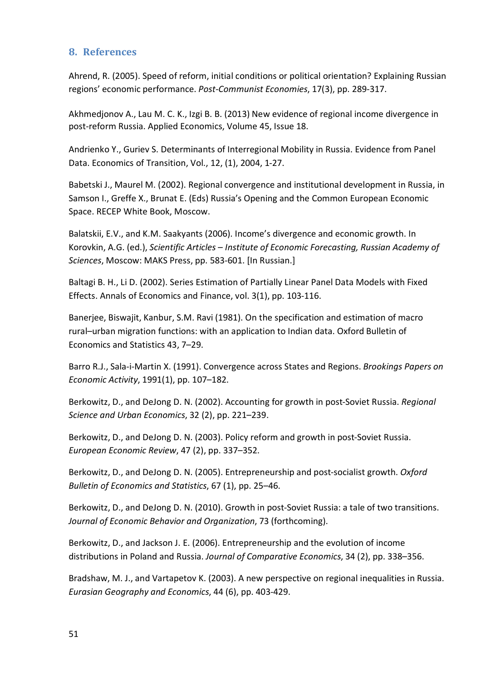## **8. References**

Ahrend, R. (2005). Speed of reform, initial conditions or political orientation? Explaining Russian regions' economic performance. *Post-Communist Economies*, 17(3), pp. 289-317.

Akhmedjonov A., Lau M. C. K., Izgi B. B. (2013) New evidence of regional income divergence in post-reform Russia. Applied Economics, Volume 45, Issue 18.

Andrienko Y., Guriev S. Determinants of Interregional Mobility in Russia. Evidence from Panel Data. Economics of Transition, Vol., 12, (1), 2004, 1-27.

Babetski J., Maurel M. (2002). Regional convergence and institutional development in Russia, in Samson I., Greffe X., Brunat E. (Eds) Russia's Opening and the Common European Economic Space. RECEP White Book, Moscow.

Balatskii, E.V., and K.M. Saakyants (2006). Income's divergence and economic growth. In Korovkin, A.G. (ed.), *Scientific Articles – Institute of Economic Forecasting, Russian Academy of Sciences*, Moscow: MAKS Press, pp. 583-601. [In Russian.]

Baltagi B. H., Li D. (2002). Series Estimation of Partially Linear Panel Data Models with Fixed Effects. Annals of Economics and Finance, vol. 3(1), pp. 103-116.

Banerjee, Biswajit, Kanbur, S.M. Ravi (1981). On the specification and estimation of macro rural–urban migration functions: with an application to Indian data. Oxford Bulletin of Economics and Statistics 43, 7–29.

Barro R.J., Sala-i-Martin X. (1991). Convergence across States and Regions. *Brookings Papers on Economic Activity*, 1991(1), pp. 107–182.

Berkowitz, D., and DeJong D. N. (2002). Accounting for growth in post-Soviet Russia. *Regional Science and Urban Economics*, 32 (2), pp. 221–239.

Berkowitz, D., and DeJong D. N. (2003). Policy reform and growth in post-Soviet Russia. *European Economic Review*, 47 (2), pp. 337–352.

Berkowitz, D., and DeJong D. N. (2005). Entrepreneurship and post-socialist growth. *Oxford Bulletin of Economics and Statistics*, 67 (1), pp. 25–46.

Berkowitz, D., and DeJong D. N. (2010). Growth in post-Soviet Russia: a tale of two transitions. *Journal of Economic Behavior and Organization*, 73 (forthcoming).

Berkowitz, D., and Jackson J. E. (2006). Entrepreneurship and the evolution of income distributions in Poland and Russia. *Journal of Comparative Economics*, 34 (2), pp. 338–356.

Bradshaw, M. J., and Vartapetov K. (2003). A new perspective on regional inequalities in Russia. *Eurasian Geography and Economics*, 44 (6), pp. 403-429.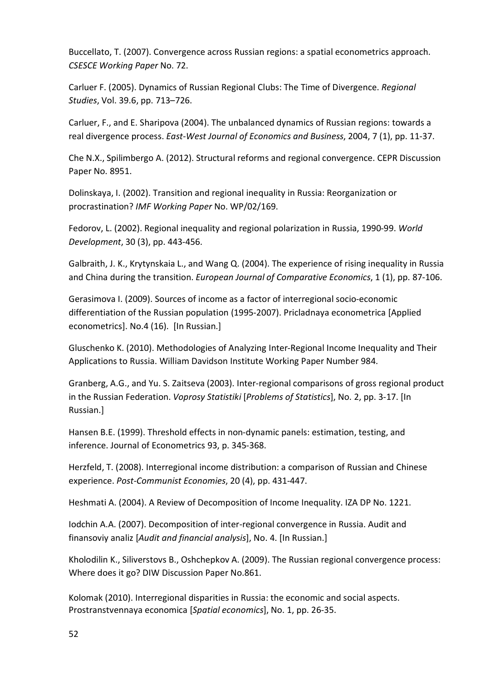Buccellato, T. (2007). Convergence across Russian regions: a spatial econometrics approach. *CSESCE Working Paper* No. 72.

Carluer F. (2005). Dynamics of Russian Regional Clubs: The Time of Divergence. *Regional Studies*, Vol. 39.6, pp. 713–726.

Carluer, F., and E. Sharipova (2004). The unbalanced dynamics of Russian regions: towards a real divergence process. *East-West Journal of Economics and Business*, 2004, 7 (1), pp. 11-37.

Che N.X., Spilimbergo A. (2012). Structural reforms and regional convergence. CEPR Discussion Paper No. 8951.

Dolinskaya, I. (2002). Transition and regional inequality in Russia: Reorganization or procrastination? *IMF Working Paper* No. WP/02/169.

Fedorov, L. (2002). Regional inequality and regional polarization in Russia, 1990-99. *World Development*, 30 (3), pp. 443-456.

Galbraith, J. K., Krytynskaia L., and Wang Q. (2004). The experience of rising inequality in Russia and China during the transition. *European Journal of Comparative Economics*, 1 (1), pp. 87-106.

Gerasimova I. (2009). Sources of income as a factor of interregional socio-economic differentiation of the Russian population (1995-2007). Pricladnaya econometrica [Applied econometrics]. No.4 (16). [In Russian.]

Gluschenko K. (2010). Methodologies of Analyzing Inter-Regional Income Inequality and Their Applications to Russia. William Davidson Institute Working Paper Number 984.

Granberg, A.G., and Yu. S. Zaitseva (2003). Inter-regional comparisons of gross regional product in the Russian Federation. *Voprosy Statistiki* [*Problems of Statistics*], No. 2, pp. 3-17. [In Russian.]

Hansen B.E. (1999). Threshold effects in non-dynamic panels: estimation, testing, and inference. Journal of Econometrics 93, p. 345-368.

Herzfeld, T. (2008). Interregional income distribution: a comparison of Russian and Chinese experience. *Post-Communist Economies*, 20 (4), pp. 431-447.

Heshmati A. (2004). A Review of Decomposition of Income Inequality. IZA DP No. 1221.

Iodchin A.A. (2007). Decomposition of inter-regional convergence in Russia. Audit and finansoviy analiz [*Audit and financial analysis*], No. 4. [In Russian.]

Kholodilin K., Siliverstovs B., Oshchepkov A. (2009). The Russian regional convergence process: Where does it go? DIW Discussion Paper No.861.

Kolomak (2010). Interregional disparities in Russia: the economic and social aspects. Prostranstvennaya economica [*Spatial economics*], No. 1, pp. 26-35.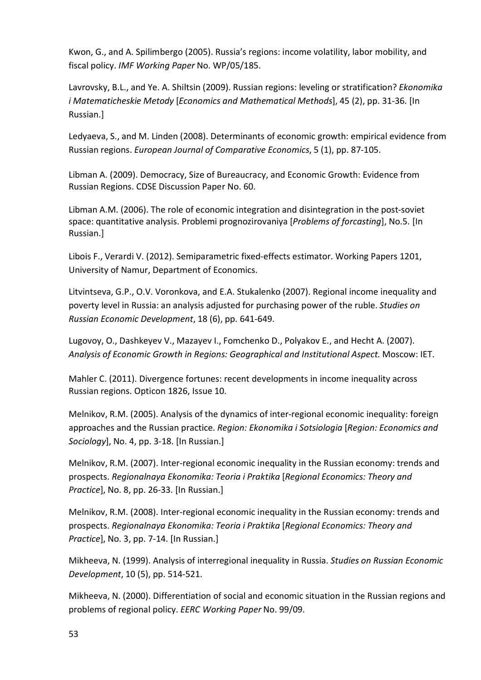Kwon, G., and A. Spilimbergo (2005). Russia's regions: income volatility, labor mobility, and fiscal policy. *IMF Working Paper* No. WP/05/185.

Lavrovsky, B.L., and Ye. A. Shiltsin (2009). Russian regions: leveling or stratification? *Ekonomika i Matematicheskie Metody* [*Economics and Mathematical Methods*], 45 (2), pp. 31-36. [In Russian.]

Ledyaeva, S., and M. Linden (2008). Determinants of economic growth: empirical evidence from Russian regions. *European Journal of Comparative Economics*, 5 (1), pp. 87-105.

Libman A. (2009). Democracy, Size of Bureaucracy, and Economic Growth: Evidence from Russian Regions. CDSE Discussion Paper No. 60.

Libman A.M. (2006). The role of economic integration and disintegration in the post-soviet space: quantitative analysis. Problemi prognozirovaniya [*Problems of forcasting*], No.5. [In Russian.]

Libois F., Verardi V. (2012). Semiparametric fixed-effects estimator. Working Papers 1201, University of Namur, Department of Economics.

Litvintseva, G.P., O.V. Voronkova, and E.A. Stukalenko (2007). Regional income inequality and poverty level in Russia: an analysis adjusted for purchasing power of the ruble. *Studies on Russian Economic Development*, 18 (6), pp. 641-649.

Lugovoy, O., Dashkeyev V., Mazayev I., Fomchenko D., Polyakov Е., and Hecht A. (2007). *Analysis of Economic Growth in Regions: Geographical and Institutional Aspect*. Moscow: IET.

Mahler C. (2011). Divergence fortunes: recent developments in income inequality across Russian regions. Opticon 1826, Issue 10.

Melnikov, R.M. (2005). Analysis of the dynamics of inter-regional economic inequality: foreign approaches and the Russian practice. *Region: Ekonomika i Sotsiologia* [*Region: Economics and Sociology*], No. 4, pp. 3-18. [In Russian.]

Melnikov, R.M. (2007). Inter-regional economic inequality in the Russian economy: trends and prospects. *Regionalnaya Ekonomika: Teoria i Praktika* [*Regional Economics: Theory and Practice*], No. 8, pp. 26-33. [In Russian.]

Melnikov, R.M. (2008). Inter-regional economic inequality in the Russian economy: trends and prospects. *Regionalnaya Ekonomika: Teoria i Praktika* [*Regional Economics: Theory and Practice*], No. 3, pp. 7-14. [In Russian.]

Mikheeva, N. (1999). Analysis of interregional inequality in Russia. *Studies on Russian Economic Development*, 10 (5), pp. 514-521.

Mikheeva, N. (2000). Differentiation of social and economic situation in the Russian regions and problems of regional policy. *EERC Working Paper* No. 99/09.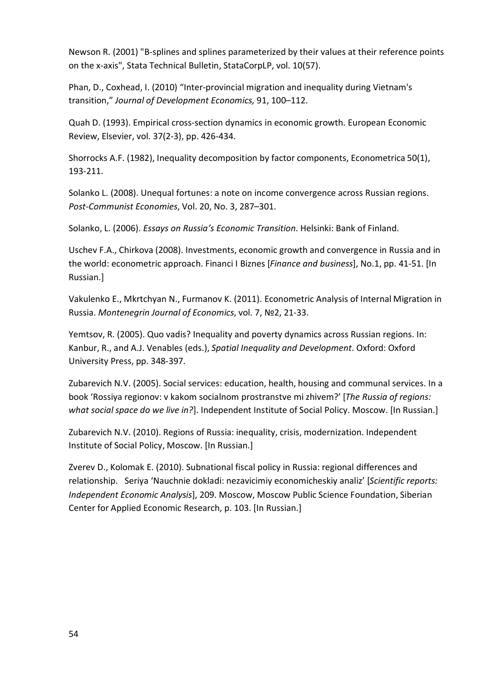Newson R. (2001) "B-splines and splines parameterized by their values at their reference points on the x-axis", Stata Technical Bulletin, StataCorpLP, vol. 10(57).

Phan, D., Coxhead, I. (2010) "Inter-provincial migration and inequality during Vietnam's transition," *Journal of Development Economics,* 91, 100–112.

Quah D. (1993). Empirical cross-section dynamics in economic growth. European Economic Review, Elsevier, vol. 37(2-3), pp. 426-434.

Shorrocks A.F. (1982), Inequality decomposition by factor components, Econometrica 50(1), 193-211.

Solanko L. (2008). Unequal fortunes: a note on income convergence across Russian regions. *Post-Communist Economies*, Vol. 20, No. 3, 287–301.

Solanko, L. (2006). *Essays on Russia's Economic Transition*. Helsinki: Bank of Finland.

Uschev F.A., Chirkova (2008). Investments, economic growth and convergence in Russia and in the world: econometric approach. Financi I Biznes [*Finance and business*], No.1, pp. 41-51. [In Russian.]

Vakulenko E., Mkrtchyan N., Furmanov K. (2011). Econometric Analysis of Internal Migration in Russia. *Montenegrin Journal of Economics*, vol. 7, №2, 21-33.

Yemtsov, R. (2005). Quo vadis? Inequality and poverty dynamics across Russian regions. In: Kanbur, R., and A.J. Venables (eds.), *Spatial Inequality and Development*. Oxford: Oxford University Press, pp. 348-397.

Zubarevich N.V. (2005). Social services: education, health, housing and communal services. In a book 'Rossiya regionov: v kakom socialnom prostranstve mi zhivem?' [*The Russia of regions: what social space do we live in?*]. Independent Institute of Social Policy. Moscow. [In Russian.]

Zubarevich N.V. (2010). Regions of Russia: inequality, crisis, modernization. Independent Institute of Social Policy, Moscow. [In Russian.]

Zverev D., Kolomak E. (2010). Subnational fiscal policy in Russia: regional differences and relationship. Seriya 'Nauchnie dokladi: nezavicimiy economicheskiy analiz' [*Scientific reports: Independent Economic Analysis*], 209. Moscow, Moscow Public Science Foundation, Siberian Center for Applied Economic Research, p. 103. [In Russian.]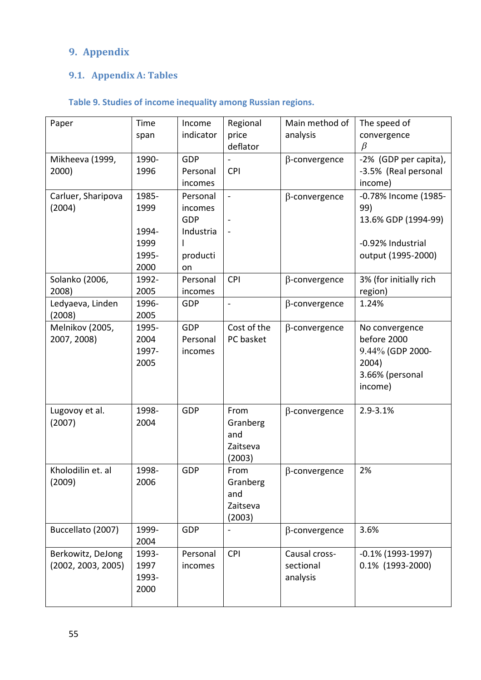# **9. Appendix**

# **9.1. Appendix A: Tables**

# **Table 9. Studies of income inequality among Russian regions.**

| Paper              | Time  | Income     | Regional                 | Main method of       | The speed of           |
|--------------------|-------|------------|--------------------------|----------------------|------------------------|
|                    | span  | indicator  | price                    | analysis             | convergence            |
|                    |       |            | deflator                 |                      | $\beta$                |
| Mikheeva (1999,    | 1990- | <b>GDP</b> |                          | $\beta$ -convergence | -2% (GDP per capita),  |
| 2000)              | 1996  | Personal   | <b>CPI</b>               |                      | -3.5% (Real personal   |
|                    |       | incomes    |                          |                      | income)                |
| Carluer, Sharipova | 1985- | Personal   | $\blacksquare$           | $\beta$ -convergence | -0.78% Income (1985-   |
| (2004)             | 1999  | incomes    |                          |                      | 99)                    |
|                    |       | GDP        | $\blacksquare$           |                      | 13.6% GDP (1994-99)    |
|                    | 1994- | Industria  |                          |                      |                        |
|                    | 1999  |            |                          |                      | -0.92% Industrial      |
|                    | 1995- | producti   |                          |                      | output (1995-2000)     |
|                    | 2000  | on         |                          |                      |                        |
| Solanko (2006,     | 1992- | Personal   | <b>CPI</b>               | $\beta$ -convergence | 3% (for initially rich |
| 2008)              | 2005  | incomes    |                          |                      | region)                |
| Ledyaeva, Linden   | 1996- | GDP        | $\overline{\phantom{a}}$ | $\beta$ -convergence | 1.24%                  |
| (2008)             | 2005  |            |                          |                      |                        |
| Melnikov (2005,    | 1995- | <b>GDP</b> | Cost of the              | $\beta$ -convergence | No convergence         |
| 2007, 2008)        | 2004  | Personal   | PC basket                |                      | before 2000            |
|                    | 1997- | incomes    |                          |                      | 9.44% (GDP 2000-       |
|                    | 2005  |            |                          |                      | 2004)                  |
|                    |       |            |                          |                      | 3.66% (personal        |
|                    |       |            |                          |                      | income)                |
|                    |       |            |                          |                      |                        |
| Lugovoy et al.     | 1998- | GDP        | From                     | $\beta$ -convergence | 2.9-3.1%               |
| (2007)             | 2004  |            | Granberg                 |                      |                        |
|                    |       |            | and                      |                      |                        |
|                    |       |            | Zaitseva                 |                      |                        |
|                    |       |            | (2003)                   |                      |                        |
| Kholodilin et. al  | 1998- | GDP        | From                     | $\beta$ -convergence | 2%                     |
| (2009)             | 2006  |            | Granberg                 |                      |                        |
|                    |       |            | and                      |                      |                        |
|                    |       |            | Zaitseva                 |                      |                        |
|                    |       |            | (2003)                   |                      |                        |
| Buccellato (2007)  | 1999- | <b>GDP</b> |                          | $\beta$ -convergence | 3.6%                   |
|                    | 2004  |            |                          |                      |                        |
| Berkowitz, DeJong  | 1993- | Personal   | <b>CPI</b>               | Causal cross-        | $-0.1\%$ (1993-1997)   |
| (2002, 2003, 2005) | 1997  | incomes    |                          | sectional            | 0.1% (1993-2000)       |
|                    | 1993- |            |                          | analysis             |                        |
|                    | 2000  |            |                          |                      |                        |
|                    |       |            |                          |                      |                        |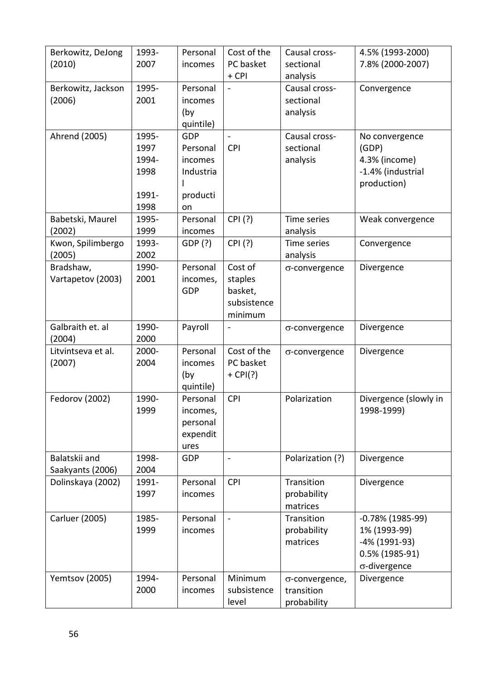| Berkowitz, DeJong  | 1993- | Personal  | Cost of the                  | Causal cross-    | 4.5% (1993-2000)      |
|--------------------|-------|-----------|------------------------------|------------------|-----------------------|
| (2010)             | 2007  | incomes   | PC basket                    | sectional        | 7.8% (2000-2007)      |
|                    |       |           | + CPI                        | analysis         |                       |
| Berkowitz, Jackson | 1995- | Personal  |                              | Causal cross-    | Convergence           |
| (2006)             | 2001  | incomes   |                              | sectional        |                       |
|                    |       | (by       |                              | analysis         |                       |
|                    |       | quintile) |                              |                  |                       |
|                    |       |           |                              |                  |                       |
| Ahrend (2005)      | 1995- | GDP       |                              | Causal cross-    | No convergence        |
|                    | 1997  | Personal  | <b>CPI</b>                   | sectional        | (GDP)                 |
|                    | 1994- | incomes   |                              | analysis         | 4.3% (income)         |
|                    | 1998  | Industria |                              |                  | -1.4% (industrial     |
|                    |       |           |                              |                  | production)           |
|                    | 1991- | producti  |                              |                  |                       |
|                    | 1998  | on        |                              |                  |                       |
| Babetski, Maurel   | 1995- | Personal  | CPI (?)                      | Time series      | Weak convergence      |
| (2002)             | 1999  | incomes   |                              | analysis         |                       |
| Kwon, Spilimbergo  | 1993- | GDP (?)   | CPI (?)                      | Time series      | Convergence           |
| (2005)             | 2002  |           |                              | analysis         |                       |
|                    | 1990- | Personal  | Cost of                      |                  |                       |
| Bradshaw,          |       |           |                              | σ-convergence    | Divergence            |
| Vartapetov (2003)  | 2001  | incomes,  | staples                      |                  |                       |
|                    |       | GDP       | basket,                      |                  |                       |
|                    |       |           | subsistence                  |                  |                       |
|                    |       |           | minimum                      |                  |                       |
| Galbraith et. al   | 1990- | Payroll   | $\qquad \qquad \blacksquare$ | σ-convergence    | Divergence            |
| (2004)             | 2000  |           |                              |                  |                       |
| Litvintseva et al. | 2000- | Personal  | Cost of the                  | σ-convergence    | Divergence            |
| (2007)             | 2004  | incomes   | PC basket                    |                  |                       |
|                    |       | (by       | $+$ CPI(?)                   |                  |                       |
|                    |       | quintile) |                              |                  |                       |
| Fedorov (2002)     | 1990- | Personal  | <b>CPI</b>                   | Polarization     | Divergence (slowly in |
|                    | 1999  | incomes,  |                              |                  | 1998-1999)            |
|                    |       | personal  |                              |                  |                       |
|                    |       |           |                              |                  |                       |
|                    |       | expendit  |                              |                  |                       |
|                    |       | ures      |                              |                  |                       |
| Balatskii and      | 1998- | GDP       | $\blacksquare$               | Polarization (?) | Divergence            |
| Saakyants (2006)   | 2004  |           |                              |                  |                       |
| Dolinskaya (2002)  | 1991- | Personal  | <b>CPI</b>                   | Transition       | Divergence            |
|                    | 1997  | incomes   |                              | probability      |                       |
|                    |       |           |                              | matrices         |                       |
| Carluer (2005)     | 1985- | Personal  |                              | Transition       | $-0.78\%$ (1985-99)   |
|                    | 1999  | incomes   |                              | probability      | 1% (1993-99)          |
|                    |       |           |                              | matrices         | -4% (1991-93)         |
|                    |       |           |                              |                  | 0.5% (1985-91)        |
|                    |       |           |                              |                  | $\sigma$ -divergence  |
|                    |       |           |                              |                  |                       |
| Yemtsov (2005)     | 1994- | Personal  | Minimum                      | σ-convergence,   | Divergence            |
|                    | 2000  | incomes   | subsistence                  | transition       |                       |
|                    |       |           | level                        | probability      |                       |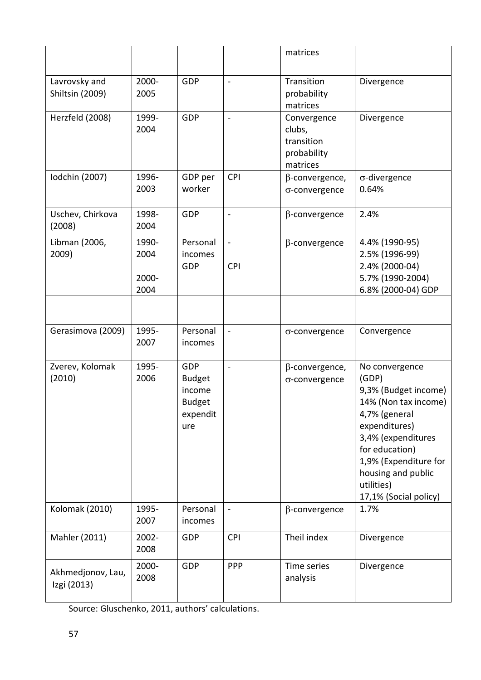|                                  |                                |                                                                           |                              | matrices                                                       |                                                                                                                                                                                                                                         |
|----------------------------------|--------------------------------|---------------------------------------------------------------------------|------------------------------|----------------------------------------------------------------|-----------------------------------------------------------------------------------------------------------------------------------------------------------------------------------------------------------------------------------------|
| Lavrovsky and<br>Shiltsin (2009) | 2000-<br>2005                  | <b>GDP</b>                                                                | $\overline{\phantom{a}}$     | Transition<br>probability<br>matrices                          | Divergence                                                                                                                                                                                                                              |
| Herzfeld (2008)                  | 1999-<br>2004                  | <b>GDP</b>                                                                | $\blacksquare$               | Convergence<br>clubs,<br>transition<br>probability<br>matrices | Divergence                                                                                                                                                                                                                              |
| Iodchin (2007)                   | 1996-<br>2003                  | GDP per<br>worker                                                         | <b>CPI</b>                   | $\beta$ -convergence,<br>σ-convergence                         | $\sigma$ -divergence<br>0.64%                                                                                                                                                                                                           |
| Uschev, Chirkova<br>(2008)       | 1998-<br>2004                  | GDP                                                                       | $\blacksquare$               | $\beta$ -convergence                                           | 2.4%                                                                                                                                                                                                                                    |
| Libman (2006,<br>2009)           | 1990-<br>2004<br>2000-<br>2004 | Personal<br>incomes<br>GDP                                                | $\blacksquare$<br><b>CPI</b> | $\beta$ -convergence                                           | 4.4% (1990-95)<br>2.5% (1996-99)<br>2.4% (2000-04)<br>5.7% (1990-2004)<br>6.8% (2000-04) GDP                                                                                                                                            |
|                                  |                                |                                                                           |                              |                                                                |                                                                                                                                                                                                                                         |
| Gerasimova (2009)                | 1995-<br>2007                  | Personal<br>incomes                                                       | $\blacksquare$               | σ-convergence                                                  | Convergence                                                                                                                                                                                                                             |
| Zverev, Kolomak<br>(2010)        | 1995-<br>2006                  | <b>GDP</b><br><b>Budget</b><br>income<br><b>Budget</b><br>expendit<br>ure | ÷,                           | $\beta$ -convergence,<br>σ-convergence                         | No convergence<br>(GDP)<br>9,3% (Budget income)<br>14% (Non tax income)<br>4,7% (general<br>expenditures)<br>3,4% (expenditures<br>for education)<br>1,9% (Expenditure for<br>housing and public<br>utilities)<br>17,1% (Social policy) |
| <b>Kolomak (2010)</b>            | 1995-<br>2007                  | Personal<br>incomes                                                       |                              | $\beta$ -convergence                                           | 1.7%                                                                                                                                                                                                                                    |
| Mahler (2011)                    | 2002-<br>2008                  | GDP                                                                       | <b>CPI</b>                   | Theil index                                                    | Divergence                                                                                                                                                                                                                              |
| Akhmedjonov, Lau,<br>Izgi (2013) | 2000-<br>2008                  | <b>GDP</b>                                                                | <b>PPP</b>                   | Time series<br>analysis                                        | Divergence                                                                                                                                                                                                                              |

Source: Gluschenko, 2011, authors' calculations.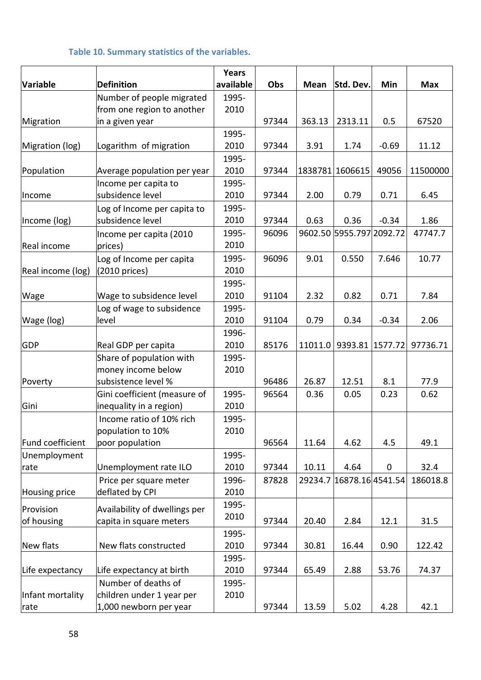## **Table 10. Summary statistics of the variables.**

|                   |                               | <b>Years</b>  |       |         |                          |         |            |
|-------------------|-------------------------------|---------------|-------|---------|--------------------------|---------|------------|
| Variable          | <b>Definition</b>             | available     | Obs   | Mean    | Std. Dev.                | Min     | <b>Max</b> |
|                   | Number of people migrated     | 1995-         |       |         |                          |         |            |
|                   | from one region to another    | 2010          |       |         |                          |         |            |
| Migration         | in a given year               |               | 97344 | 363.13  | 2313.11                  | 0.5     | 67520      |
|                   |                               | 1995-         |       |         |                          |         |            |
| Migration (log)   | Logarithm of migration        | 2010          | 97344 | 3.91    | 1.74                     | $-0.69$ | 11.12      |
|                   |                               | 1995-         |       |         |                          |         |            |
| Population        | Average population per year   | 2010          | 97344 |         | 1838781 1606615          | 49056   | 11500000   |
|                   | Income per capita to          | 1995-         |       |         |                          |         |            |
| Income            | subsidence level              | 2010          | 97344 | 2.00    | 0.79                     | 0.71    | 6.45       |
|                   | Log of Income per capita to   | 1995-         |       |         |                          |         |            |
| Income (log)      | subsidence level              | 2010          | 97344 | 0.63    | 0.36                     | $-0.34$ | 1.86       |
|                   | Income per capita (2010       | 1995-         | 96096 |         | 9602.50 5955.797 2092.72 |         | 47747.7    |
| Real income       | prices)                       | 2010          |       |         |                          |         |            |
|                   | Log of Income per capita      | 1995-         | 96096 | 9.01    | 0.550                    | 7.646   | 10.77      |
| Real income (log) | (2010 prices)                 | 2010          |       |         |                          |         |            |
|                   |                               | 1995-         |       |         |                          |         |            |
| Wage              | Wage to subsidence level      | 2010          | 91104 | 2.32    | 0.82                     | 0.71    | 7.84       |
|                   | Log of wage to subsidence     | 1995-         |       |         |                          |         |            |
| Wage (log)        | level                         | 2010          | 91104 | 0.79    | 0.34                     | $-0.34$ | 2.06       |
|                   |                               | 1996-         |       |         |                          |         |            |
| <b>GDP</b>        | Real GDP per capita           | 2010          | 85176 | 11011.0 | 9393.81                  | 1577.72 | 97736.71   |
|                   | Share of population with      | 1995-         |       |         |                          |         |            |
|                   | money income below            | 2010          |       |         |                          |         |            |
| Poverty           | subsistence level %           |               | 96486 | 26.87   | 12.51                    | 8.1     | 77.9       |
|                   | Gini coefficient (measure of  | 1995-         | 96564 | 0.36    | 0.05                     | 0.23    | 0.62       |
| Gini              | inequality in a region)       | 2010          |       |         |                          |         |            |
|                   | Income ratio of 10% rich      | 1995-         |       |         |                          |         |            |
|                   | population to 10%             | 2010          |       |         |                          |         |            |
| Fund coefficient  | poor population               |               | 96564 | 11.64   | 4.62                     | 4.5     | 49.1       |
| Unemployment      |                               | 1995-         |       |         |                          |         |            |
| rate              | Unemployment rate ILO         | 2010          | 97344 | 10.11   | 4.64                     | 0       | 32.4       |
|                   | Price per square meter        | 1996-         | 87828 |         | 29234.7 16878.16 4541.54 |         | 186018.8   |
| Housing price     | deflated by CPI               | 2010          |       |         |                          |         |            |
|                   |                               | 1995-         |       |         |                          |         |            |
| Provision         | Availability of dwellings per | 2010          | 97344 | 20.40   |                          |         |            |
| of housing        | capita in square meters       |               |       |         | 2.84                     | 12.1    | 31.5       |
|                   | New flats constructed         | 1995-<br>2010 |       |         |                          |         |            |
| New flats         |                               |               | 97344 | 30.81   | 16.44                    | 0.90    | 122.42     |
|                   |                               | 1995-         |       |         |                          |         |            |
| Life expectancy   | Life expectancy at birth      | 2010          | 97344 | 65.49   | 2.88                     | 53.76   | 74.37      |
|                   | Number of deaths of           | 1995-         |       |         |                          |         |            |
| Infant mortality  | children under 1 year per     | 2010          |       |         |                          |         |            |
| rate              | 1,000 newborn per year        |               | 97344 | 13.59   | 5.02                     | 4.28    | 42.1       |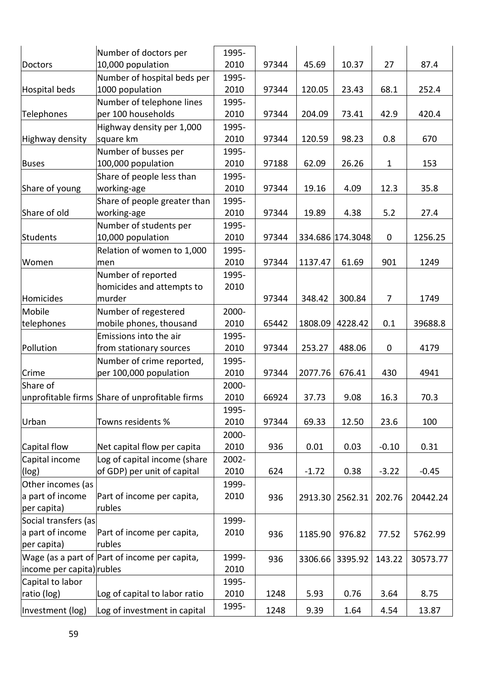|                           | Number of doctors per                          | 1995-         |       |         |                  |                  |          |
|---------------------------|------------------------------------------------|---------------|-------|---------|------------------|------------------|----------|
| Doctors                   | 10,000 population                              | 2010          | 97344 | 45.69   | 10.37            | 27               | 87.4     |
|                           | Number of hospital beds per                    | 1995-         |       |         |                  |                  |          |
| Hospital beds             | 1000 population                                |               | 97344 | 120.05  | 23.43            | 68.1             | 252.4    |
|                           | Number of telephone lines                      | 2010<br>1995- |       |         |                  |                  |          |
| Telephones                | per 100 households                             | 2010          | 97344 | 204.09  | 73.41            | 42.9             | 420.4    |
|                           | Highway density per 1,000                      | 1995-         |       |         |                  |                  |          |
| Highway density           | square km                                      | 2010          | 97344 | 120.59  | 98.23            | 0.8              | 670      |
|                           | Number of busses per                           | 1995-         |       |         |                  |                  |          |
| <b>Buses</b>              | 100,000 population                             | 2010          | 97188 | 62.09   | 26.26            | $\mathbf{1}$     | 153      |
|                           | Share of people less than                      | 1995-         |       |         |                  |                  |          |
| Share of young            | working-age                                    | 2010          | 97344 | 19.16   | 4.09             | 12.3             | 35.8     |
|                           | Share of people greater than                   | 1995-         |       |         |                  |                  |          |
| Share of old              | working-age                                    | 2010          | 97344 | 19.89   | 4.38             | 5.2              | 27.4     |
|                           | Number of students per                         | 1995-         |       |         |                  |                  |          |
| Students                  | 10,000 population                              | 2010          | 97344 |         | 334.686 174.3048 | $\mathbf 0$      | 1256.25  |
|                           | Relation of women to 1,000                     | 1995-         |       |         |                  |                  |          |
| Women                     | men                                            | 2010          | 97344 | 1137.47 | 61.69            | 901              | 1249     |
|                           | Number of reported                             | 1995-         |       |         |                  |                  |          |
|                           | homicides and attempts to                      | 2010          |       |         |                  |                  |          |
| Homicides                 | murder                                         |               | 97344 | 348.42  | 300.84           | $\overline{7}$   | 1749     |
| Mobile                    | Number of regestered                           | 2000-         |       |         |                  |                  |          |
| telephones                | mobile phones, thousand                        | 2010          | 65442 | 1808.09 | 4228.42          | 0.1              | 39688.8  |
|                           | Emissions into the air                         | 1995-         |       |         |                  |                  |          |
| Pollution                 | from stationary sources                        | 2010          | 97344 | 253.27  | 488.06           | $\boldsymbol{0}$ | 4179     |
|                           | Number of crime reported,                      | 1995-         |       |         |                  |                  |          |
| Crime                     | per 100,000 population                         | 2010          | 97344 | 2077.76 | 676.41           | 430              | 4941     |
| Share of                  |                                                | 2000-         |       |         |                  |                  |          |
|                           | unprofitable firms Share of unprofitable firms | 2010          | 66924 | 37.73   | 9.08             | 16.3             | 70.3     |
|                           |                                                | 1995-         |       |         |                  |                  |          |
| Urban                     | Towns residents %                              | 2010          | 97344 | 69.33   | 12.50            | 23.6             | 100      |
|                           |                                                | 2000-         |       |         |                  |                  |          |
| Capital flow              | Net capital flow per capita                    | 2010          | 936   | 0.01    | 0.03             | $-0.10$          | 0.31     |
| Capital income            | Log of capital income (share                   | 2002-         |       |         |                  |                  |          |
| (log)                     | of GDP) per unit of capital                    | 2010          | 624   | $-1.72$ | 0.38             | $-3.22$          | $-0.45$  |
| Other incomes (as         |                                                | 1999-         |       |         |                  |                  |          |
| a part of income          | Part of income per capita,                     | 2010          | 936   | 2913.30 | 2562.31          | 202.76           | 20442.24 |
| per capita)               | rubles                                         |               |       |         |                  |                  |          |
| Social transfers (as      |                                                | 1999-         |       |         |                  |                  |          |
| a part of income          | Part of income per capita,                     | 2010          | 936   | 1185.90 | 976.82           | 77.52            | 5762.99  |
| per capita)               | rubles                                         |               |       |         |                  |                  |          |
|                           | Wage (as a part of Part of income per capita,  | 1999-         | 936   | 3306.66 | 3395.92          | 143.22           | 30573.77 |
| income per capita) rubles |                                                | 2010          |       |         |                  |                  |          |
| Capital to labor          |                                                | 1995-         |       |         |                  |                  |          |
| ratio (log)               | Log of capital to labor ratio                  | 2010          | 1248  | 5.93    | 0.76             | 3.64             | 8.75     |
| Investment (log)          | Log of investment in capital                   | 1995-         | 1248  | 9.39    | 1.64             | 4.54             | 13.87    |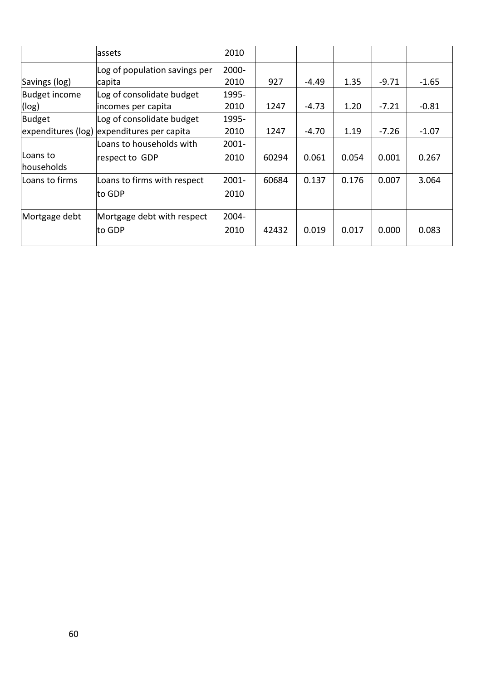|                | assets                                     | 2010     |       |         |       |         |         |
|----------------|--------------------------------------------|----------|-------|---------|-------|---------|---------|
|                | Log of population savings per              | 2000-    |       |         |       |         |         |
| Savings (log)  | capita                                     | 2010     | 927   | -4.49   | 1.35  | $-9.71$ | $-1.65$ |
| Budget income  | Log of consolidate budget                  | 1995-    |       |         |       |         |         |
| $(\log)$       | lincomes per capita                        | 2010     | 1247  | $-4.73$ | 1.20  | $-7.21$ | $-0.81$ |
| Budget         | Log of consolidate budget                  | 1995-    |       |         |       |         |         |
|                | expenditures (log) expenditures per capita |          | 1247  | -4.70   | 1.19  | $-7.26$ | $-1.07$ |
|                | lLoans to households with                  | $2001 -$ |       |         |       |         |         |
| lLoans to      | respect to GDP                             | 2010     | 60294 | 0.061   | 0.054 | 0.001   | 0.267   |
| households     |                                            |          |       |         |       |         |         |
| Loans to firms | Loans to firms with respect                | $2001 -$ | 60684 | 0.137   | 0.176 | 0.007   | 3.064   |
|                | to GDP                                     | 2010     |       |         |       |         |         |
|                |                                            |          |       |         |       |         |         |
| Mortgage debt  | Mortgage debt with respect                 | 2004-    |       |         |       |         |         |
|                | to GDP                                     | 2010     | 42432 | 0.019   | 0.017 | 0.000   | 0.083   |
|                |                                            |          |       |         |       |         |         |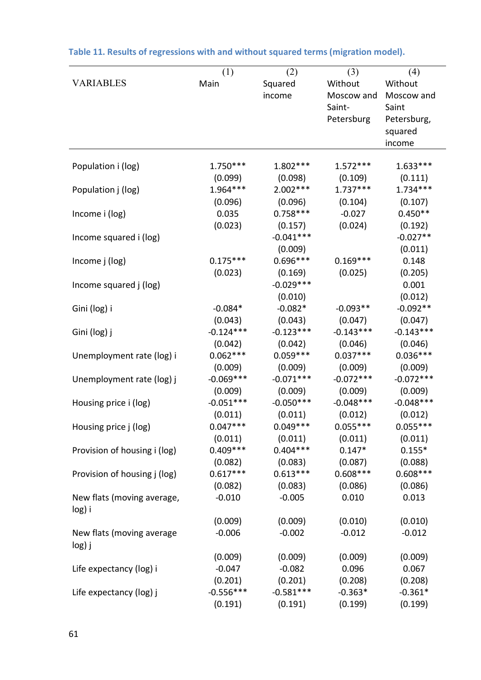|                              | (1)         | (2)         | (3)         | (4)         |
|------------------------------|-------------|-------------|-------------|-------------|
| <b>VARIABLES</b>             | Main        | Squared     | Without     | Without     |
|                              |             | income      | Moscow and  | Moscow and  |
|                              |             |             | Saint-      | Saint       |
|                              |             |             | Petersburg  | Petersburg, |
|                              |             |             |             | squared     |
|                              |             |             |             | income      |
|                              |             |             |             |             |
| Population i (log)           | $1.750***$  | $1.802***$  | $1.572***$  | $1.633***$  |
|                              | (0.099)     | (0.098)     | (0.109)     | (0.111)     |
| Population j (log)           | 1.964 ***   | $2.002***$  | $1.737***$  | $1.734***$  |
|                              | (0.096)     | (0.096)     | (0.104)     | (0.107)     |
| Income i (log)               | 0.035       | $0.758***$  | $-0.027$    | $0.450**$   |
|                              | (0.023)     | (0.157)     | (0.024)     | (0.192)     |
| Income squared i (log)       |             | $-0.041***$ |             | $-0.027**$  |
|                              |             | (0.009)     |             | (0.011)     |
| Income j (log)               | $0.175***$  | $0.696***$  | $0.169***$  | 0.148       |
|                              | (0.023)     | (0.169)     | (0.025)     | (0.205)     |
|                              |             | $-0.029***$ |             | 0.001       |
| Income squared j (log)       |             |             |             |             |
|                              |             | (0.010)     |             | (0.012)     |
| Gini (log) i                 | $-0.084*$   | $-0.082*$   | $-0.093**$  | $-0.092**$  |
|                              | (0.043)     | (0.043)     | (0.047)     | (0.047)     |
| Gini (log) j                 | $-0.124***$ | $-0.123***$ | $-0.143***$ | $-0.143***$ |
|                              | (0.042)     | (0.042)     | (0.046)     | (0.046)     |
| Unemployment rate (log) i    | $0.062***$  | $0.059***$  | $0.037***$  | $0.036***$  |
|                              | (0.009)     | (0.009)     | (0.009)     | (0.009)     |
| Unemployment rate (log) j    | $-0.069***$ | $-0.071***$ | $-0.072***$ | $-0.072***$ |
|                              | (0.009)     | (0.009)     | (0.009)     | (0.009)     |
| Housing price i (log)        | $-0.051***$ | $-0.050***$ | $-0.048***$ | $-0.048***$ |
|                              | (0.011)     | (0.011)     | (0.012)     | (0.012)     |
| Housing price j (log)        | $0.047***$  | $0.049***$  | $0.055***$  | $0.055***$  |
|                              | (0.011)     | (0.011)     | (0.011)     | (0.011)     |
| Provision of housing i (log) | $0.409***$  | $0.404***$  | $0.147*$    | $0.155*$    |
|                              | (0.082)     | (0.083)     | (0.087)     | (0.088)     |
| Provision of housing j (log) | $0.617***$  | $0.613***$  | $0.608***$  | $0.608***$  |
|                              | (0.082)     | (0.083)     | (0.086)     | (0.086)     |
| New flats (moving average,   | $-0.010$    | $-0.005$    | 0.010       | 0.013       |
| log) i                       |             |             |             |             |
|                              | (0.009)     | (0.009)     | (0.010)     | (0.010)     |
| New flats (moving average    | $-0.006$    | $-0.002$    | $-0.012$    | $-0.012$    |
| log) j                       |             |             |             |             |
|                              | (0.009)     | (0.009)     | (0.009)     | (0.009)     |
| Life expectancy (log) i      | $-0.047$    | $-0.082$    | 0.096       | 0.067       |
|                              | (0.201)     | (0.201)     | (0.208)     | (0.208)     |
| Life expectancy (log) j      | $-0.556***$ | $-0.581***$ | $-0.363*$   | $-0.361*$   |
|                              | (0.191)     | (0.191)     | (0.199)     | (0.199)     |
|                              |             |             |             |             |

# **Table 11. Results of regressions with and without squared terms (migration model).**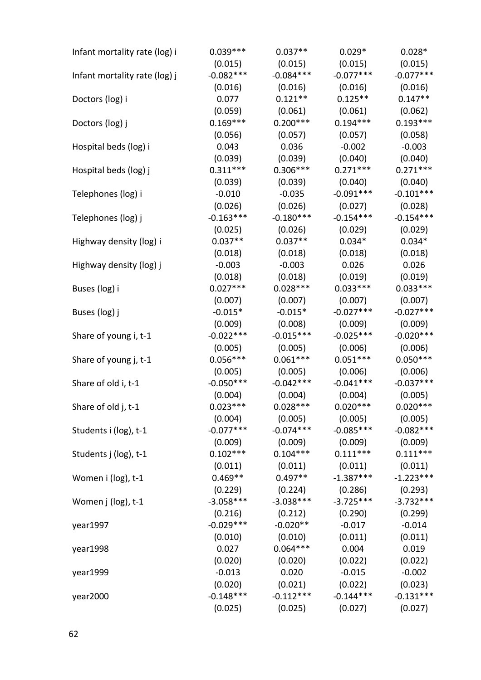| Infant mortality rate (log) i | $0.039***$  | $0.037**$   | $0.029*$    | $0.028*$    |
|-------------------------------|-------------|-------------|-------------|-------------|
|                               | (0.015)     | (0.015)     | (0.015)     | (0.015)     |
| Infant mortality rate (log) j | $-0.082***$ | $-0.084***$ | $-0.077***$ | $-0.077***$ |
|                               | (0.016)     | (0.016)     | (0.016)     | (0.016)     |
| Doctors (log) i               | 0.077       | $0.121**$   | $0.125**$   | $0.147**$   |
|                               | (0.059)     | (0.061)     | (0.061)     | (0.062)     |
| Doctors (log) j               | $0.169***$  | $0.200***$  | $0.194***$  | $0.193***$  |
|                               | (0.056)     | (0.057)     | (0.057)     | (0.058)     |
| Hospital beds (log) i         | 0.043       | 0.036       | $-0.002$    | $-0.003$    |
|                               | (0.039)     | (0.039)     | (0.040)     | (0.040)     |
| Hospital beds (log) j         | $0.311***$  | $0.306***$  | $0.271***$  | $0.271***$  |
|                               | (0.039)     | (0.039)     | (0.040)     | (0.040)     |
| Telephones (log) i            | $-0.010$    | $-0.035$    | $-0.091***$ | $-0.101***$ |
|                               | (0.026)     | (0.026)     | (0.027)     | (0.028)     |
| Telephones (log) j            | $-0.163***$ | $-0.180***$ | $-0.154***$ | $-0.154***$ |
|                               | (0.025)     | (0.026)     | (0.029)     | (0.029)     |
| Highway density (log) i       | $0.037**$   | $0.037**$   | $0.034*$    | $0.034*$    |
|                               | (0.018)     | (0.018)     | (0.018)     | (0.018)     |
| Highway density (log) j       | $-0.003$    | $-0.003$    | 0.026       | 0.026       |
|                               | (0.018)     | (0.018)     | (0.019)     | (0.019)     |
| Buses (log) i                 | $0.027***$  | $0.028***$  | $0.033***$  | $0.033***$  |
|                               | (0.007)     | (0.007)     | (0.007)     | (0.007)     |
| Buses (log) j                 | $-0.015*$   | $-0.015*$   | $-0.027***$ | $-0.027***$ |
|                               | (0.009)     | (0.008)     | (0.009)     | (0.009)     |
| Share of young i, t-1         | $-0.022***$ | $-0.015***$ | $-0.025***$ | $-0.020***$ |
|                               | (0.005)     | (0.005)     | (0.006)     | (0.006)     |
| Share of young j, t-1         | $0.056***$  | $0.061***$  | $0.051***$  | $0.050***$  |
|                               | (0.005)     | (0.005)     | (0.006)     | (0.006)     |
| Share of old i, t-1           | $-0.050***$ | $-0.042***$ | $-0.041***$ | $-0.037***$ |
|                               | (0.004)     | (0.004)     | (0.004)     | (0.005)     |
| Share of old j, t-1           | $0.023***$  | $0.028***$  | $0.020***$  | $0.020***$  |
|                               | (0.004)     | (0.005)     | (0.005)     | (0.005)     |
| Students i (log), t-1         | $-0.077***$ | $-0.074***$ | $-0.085***$ | $-0.082***$ |
|                               | (0.009)     | (0.009)     | (0.009)     | (0.009)     |
| Students j (log), t-1         | $0.102***$  | $0.104***$  | $0.111***$  | $0.111***$  |
|                               | (0.011)     | (0.011)     | (0.011)     | (0.011)     |
| Women i (log), t-1            | $0.469**$   | $0.497**$   | $-1.387***$ | $-1.223***$ |
|                               | (0.229)     | (0.224)     | (0.286)     | (0.293)     |
| Women j (log), t-1            | $-3.058***$ | $-3.038***$ | $-3.725***$ | $-3.732***$ |
|                               | (0.216)     | (0.212)     | (0.290)     | (0.299)     |
| year1997                      | $-0.029***$ | $-0.020**$  | $-0.017$    | $-0.014$    |
|                               | (0.010)     | (0.010)     | (0.011)     | (0.011)     |
| year1998                      | 0.027       | $0.064***$  | 0.004       | 0.019       |
|                               | (0.020)     | (0.020)     | (0.022)     | (0.022)     |
| year1999                      | $-0.013$    | 0.020       | $-0.015$    | $-0.002$    |
|                               | (0.020)     | (0.021)     | (0.022)     | (0.023)     |
| year2000                      | $-0.148***$ | $-0.112***$ | $-0.144***$ | $-0.131***$ |
|                               | (0.025)     | (0.025)     | (0.027)     | (0.027)     |
|                               |             |             |             |             |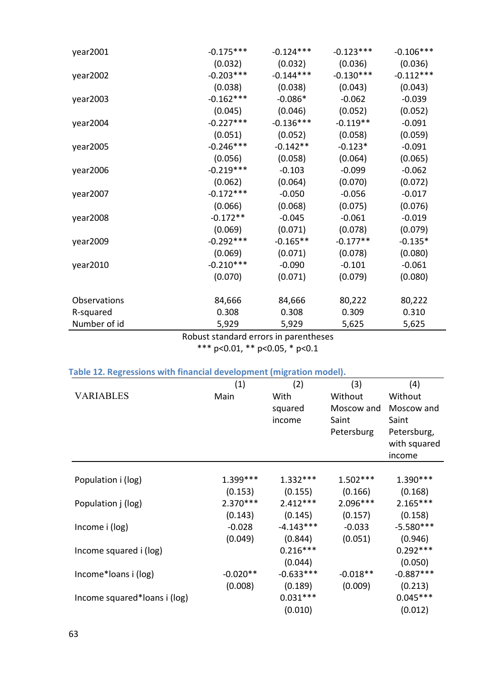| year2001     | $-0.175***$ | $-0.124***$ | $-0.123***$ | $-0.106***$ |
|--------------|-------------|-------------|-------------|-------------|
|              | (0.032)     | (0.032)     | (0.036)     | (0.036)     |
| year2002     | $-0.203***$ | $-0.144***$ | $-0.130***$ | $-0.112***$ |
|              | (0.038)     | (0.038)     | (0.043)     | (0.043)     |
| year2003     | $-0.162***$ | $-0.086*$   | $-0.062$    | $-0.039$    |
|              | (0.045)     | (0.046)     | (0.052)     | (0.052)     |
| year2004     | $-0.227***$ | $-0.136***$ | $-0.119**$  | $-0.091$    |
|              | (0.051)     | (0.052)     | (0.058)     | (0.059)     |
| year2005     | $-0.246***$ | $-0.142**$  | $-0.123*$   | $-0.091$    |
|              | (0.056)     | (0.058)     | (0.064)     | (0.065)     |
| year2006     | $-0.219***$ | $-0.103$    | $-0.099$    | $-0.062$    |
|              | (0.062)     | (0.064)     | (0.070)     | (0.072)     |
| year2007     | $-0.172***$ | $-0.050$    | $-0.056$    | $-0.017$    |
|              | (0.066)     | (0.068)     | (0.075)     | (0.076)     |
| year2008     | $-0.172**$  | $-0.045$    | $-0.061$    | $-0.019$    |
|              | (0.069)     | (0.071)     | (0.078)     | (0.079)     |
| year2009     | $-0.292***$ | $-0.165**$  | $-0.177**$  | $-0.135*$   |
|              | (0.069)     | (0.071)     | (0.078)     | (0.080)     |
| year2010     | $-0.210***$ | $-0.090$    | $-0.101$    | $-0.061$    |
|              | (0.070)     | (0.071)     | (0.079)     | (0.080)     |
|              |             |             |             |             |
| Observations | 84,666      | 84,666      | 80,222      | 80,222      |
| R-squared    | 0.308       | 0.308       | 0.309       | 0.310       |
| Number of id | 5,929       | 5,929       | 5,625       | 5,625       |

# Robust standard errors in parentheses

\*\*\* p<0.01, \*\* p<0.05, \* p<0.1

# **Table 12. Regressions with financial development (migration model).**

|                              | (1)        | (2)         | (3)        | (4)          |
|------------------------------|------------|-------------|------------|--------------|
| <b>VARIABLES</b>             | Main       | With        | Without    | Without      |
|                              |            | squared     | Moscow and | Moscow and   |
|                              |            | income      | Saint      | Saint        |
|                              |            |             | Petersburg | Petersburg,  |
|                              |            |             |            | with squared |
|                              |            |             |            | income       |
|                              |            |             |            |              |
| Population i (log)           | $1.399***$ | $1.332***$  | $1.502***$ | $1.390***$   |
|                              | (0.153)    | (0.155)     | (0.166)    | (0.168)      |
| Population j (log)           | $2.370***$ | $2.412***$  | $2.096***$ | $2.165***$   |
|                              | (0.143)    | (0.145)     | (0.157)    | (0.158)      |
| Income i (log)               | $-0.028$   | $-4.143***$ | $-0.033$   | $-5.580***$  |
|                              | (0.049)    | (0.844)     | (0.051)    | (0.946)      |
| Income squared i (log)       |            | $0.216***$  |            | $0.292***$   |
|                              |            | (0.044)     |            | (0.050)      |
| Income*loans i (log)         | $-0.020**$ | $-0.633***$ | $-0.018**$ | $-0.887***$  |
|                              | (0.008)    | (0.189)     | (0.009)    | (0.213)      |
| Income squared*loans i (log) |            | $0.031***$  |            | $0.045***$   |
|                              |            | (0.010)     |            | (0.012)      |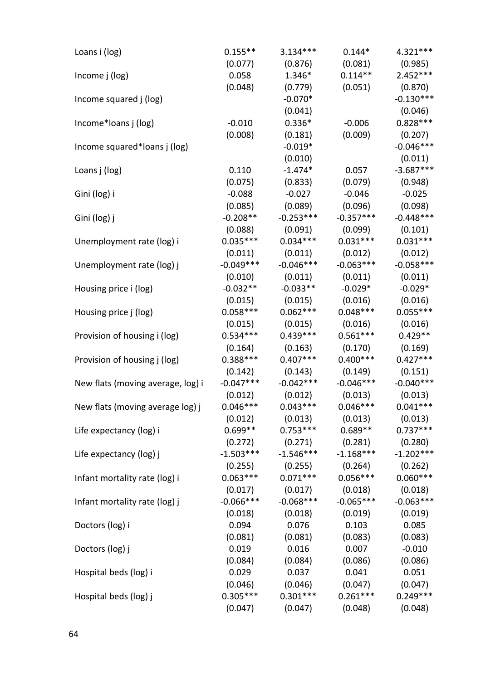| Loans i (log)                     | $0.155**$   | $3.134***$                                      | $0.144*$    | $4.321***$  |
|-----------------------------------|-------------|-------------------------------------------------|-------------|-------------|
|                                   | (0.077)     | (0.876)                                         | (0.081)     | (0.985)     |
| Income j (log)                    | 0.058       | $1.346*$                                        | $0.114**$   | $2.452***$  |
|                                   | (0.048)     | (0.779)                                         | (0.051)     | (0.870)     |
| Income squared j (log)            |             | $-0.070*$                                       |             | $-0.130***$ |
|                                   |             | (0.041)                                         |             | (0.046)     |
| Income*loans j (log)              | $-0.010$    | $0.336*$                                        | $-0.006$    | $0.828***$  |
|                                   | (0.008)     | (0.181)                                         | (0.009)     | (0.207)     |
| Income squared*Ioans j (log)      |             | $-0.019*$                                       |             | $-0.046***$ |
|                                   |             | (0.010)                                         |             | (0.011)     |
| Loans j (log)                     | 0.110       | $-1.474*$                                       | 0.057       | $-3.687***$ |
|                                   | (0.075)     | (0.833)                                         | (0.079)     | (0.948)     |
| Gini (log) i                      | $-0.088$    | $-0.027$                                        | $-0.046$    | $-0.025$    |
|                                   | (0.085)     | (0.089)                                         | (0.096)     | (0.098)     |
| Gini (log) j                      | $-0.208**$  | $-0.253***$                                     | $-0.357***$ | $-0.448***$ |
|                                   | (0.088)     | (0.091)                                         | (0.099)     | (0.101)     |
| Unemployment rate (log) i         | $0.035***$  | $0.034***$                                      | $0.031***$  | $0.031***$  |
|                                   | (0.011)     | (0.011)                                         | (0.012)     | (0.012)     |
| Unemployment rate (log) j         | $-0.049***$ | $-0.046***$                                     | $-0.063***$ | $-0.058***$ |
|                                   | (0.010)     | (0.011)                                         | (0.011)     | (0.011)     |
| Housing price i (log)             | $-0.032**$  | $-0.033**$                                      | $-0.029*$   | $-0.029*$   |
|                                   | (0.015)     | (0.015)                                         | (0.016)     | (0.016)     |
| Housing price j (log)             | $0.058***$  | $0.062***$                                      | $0.048***$  | $0.055***$  |
|                                   | (0.015)     | (0.015)                                         | (0.016)     | (0.016)     |
| Provision of housing i (log)      | $0.534***$  | $0.439***$                                      | $0.561***$  | $0.429**$   |
|                                   | (0.164)     | (0.163)                                         | (0.170)     | (0.169)     |
| Provision of housing j (log)      | $0.388***$  | $0.407***$                                      | $0.400***$  | $0.427***$  |
|                                   | (0.142)     | (0.143)                                         | (0.149)     | (0.151)     |
| New flats (moving average, log) i | $-0.047***$ | $-0.042***$                                     | $-0.046***$ | $-0.040***$ |
|                                   | (0.012)     | (0.012)                                         | (0.013)     | (0.013)     |
| New flats (moving average log) j  | $0.046***$  | $0.043***$                                      | $0.046***$  | $0.041***$  |
|                                   | (0.012)     | (0.013)                                         | (0.013)     | (0.013)     |
| Life expectancy (log) i           |             | $0.699***$ $0.753***$ $0.689**$                 |             | $0.737***$  |
|                                   | (0.272)     | (0.271)                                         | (0.281)     | (0.280)     |
| Life expectancy (log) j           |             | $-1.503***$ $-1.546***$ $-1.168***$ $-1.202***$ |             |             |
|                                   | (0.255)     | (0.255)                                         | (0.264)     | (0.262)     |
| Infant mortality rate (log) i     | $0.063***$  | $0.071***$                                      | $0.056***$  | $0.060***$  |
|                                   | (0.017)     | (0.017)                                         | (0.018)     | (0.018)     |
| Infant mortality rate (log) j     | $-0.066***$ | $-0.068***$                                     | $-0.065***$ | $-0.063***$ |
|                                   | (0.018)     | (0.018)                                         | (0.019)     | (0.019)     |
| Doctors (log) i                   | 0.094       | 0.076                                           | 0.103       | 0.085       |
|                                   | (0.081)     | (0.081)                                         | (0.083)     | (0.083)     |
| Doctors (log) j                   | 0.019       | 0.016                                           | 0.007       | $-0.010$    |
|                                   | (0.084)     | (0.084)                                         | (0.086)     | (0.086)     |
| Hospital beds (log) i             | 0.029       | 0.037                                           | 0.041       | 0.051       |
|                                   |             | $(0.046)$ $(0.046)$ $(0.047)$ $(0.047)$         |             |             |
| Hospital beds (log) j             | $0.305***$  | $0.301***$                                      | $0.261***$  | $0.249***$  |
|                                   | (0.047)     | (0.047)                                         | (0.048)     | (0.048)     |
|                                   |             |                                                 |             |             |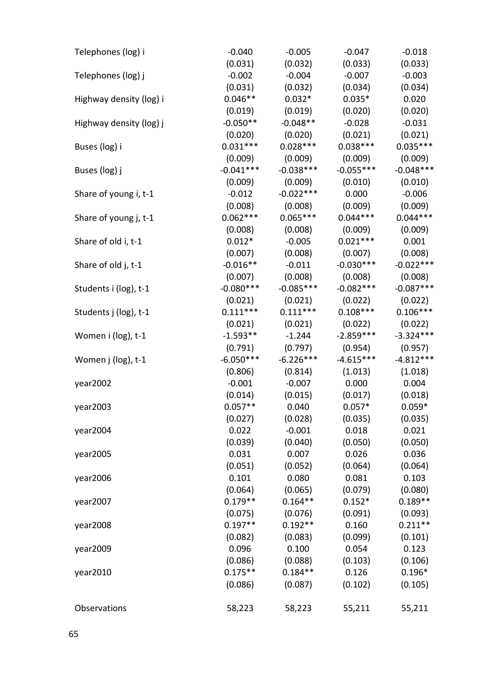| Telephones (log) i      | $-0.040$    | $-0.005$    | $-0.047$    | $-0.018$    |
|-------------------------|-------------|-------------|-------------|-------------|
|                         | (0.031)     | (0.032)     | (0.033)     | (0.033)     |
| Telephones (log) j      | $-0.002$    | $-0.004$    | $-0.007$    | $-0.003$    |
|                         | (0.031)     | (0.032)     | (0.034)     | (0.034)     |
| Highway density (log) i | $0.046**$   | $0.032*$    | $0.035*$    | 0.020       |
|                         | (0.019)     | (0.019)     | (0.020)     | (0.020)     |
| Highway density (log) j | $-0.050**$  | $-0.048**$  | $-0.028$    | $-0.031$    |
|                         | (0.020)     | (0.020)     | (0.021)     | (0.021)     |
| Buses (log) i           | $0.031***$  | $0.028***$  | $0.038***$  | $0.035***$  |
|                         | (0.009)     | (0.009)     | (0.009)     | (0.009)     |
| Buses (log) j           | $-0.041***$ | $-0.038***$ | $-0.055***$ | $-0.048***$ |
|                         | (0.009)     | (0.009)     | (0.010)     | (0.010)     |
| Share of young i, t-1   | $-0.012$    | $-0.022***$ | 0.000       | $-0.006$    |
|                         | (0.008)     | (0.008)     | (0.009)     | (0.009)     |
| Share of young j, t-1   | $0.062***$  | $0.065***$  | $0.044***$  | $0.044***$  |
|                         | (0.008)     | (0.008)     | (0.009)     | (0.009)     |
| Share of old i, t-1     | $0.012*$    | $-0.005$    | $0.021***$  | 0.001       |
|                         | (0.007)     | (0.008)     | (0.007)     | (0.008)     |
| Share of old j, t-1     | $-0.016**$  | $-0.011$    | $-0.030***$ | $-0.022***$ |
|                         | (0.007)     | (0.008)     | (0.008)     | (0.008)     |
| Students i (log), t-1   | $-0.080***$ | $-0.085***$ | $-0.082***$ | $-0.087***$ |
|                         | (0.021)     | (0.021)     | (0.022)     | (0.022)     |
| Students j (log), t-1   | $0.111***$  | $0.111***$  | $0.108***$  | $0.106***$  |
|                         | (0.021)     | (0.021)     | (0.022)     | (0.022)     |
| Women i (log), t-1      | $-1.593**$  | $-1.244$    | $-2.859***$ | $-3.324***$ |
|                         | (0.791)     | (0.797)     | (0.954)     | (0.957)     |
| Women j (log), t-1      | $-6.050***$ | $-6.226***$ | $-4.615***$ | $-4.812***$ |
|                         | (0.806)     | (0.814)     | (1.013)     | (1.018)     |
| year2002                | $-0.001$    | $-0.007$    | 0.000       | 0.004       |
|                         | (0.014)     | (0.015)     | (0.017)     | (0.018)     |
| year2003                | $0.057**$   | 0.040       | $0.057*$    | $0.059*$    |
|                         | (0.027)     | (0.028)     | (0.035)     | (0.035)     |
| year2004                | 0.022       | $-0.001$    | 0.018       | 0.021       |
|                         | (0.039)     | (0.040)     | (0.050)     | (0.050)     |
| year2005                | 0.031       | 0.007       | 0.026       | 0.036       |
|                         | (0.051)     | (0.052)     | (0.064)     | (0.064)     |
| year2006                | 0.101       | 0.080       | 0.081       | 0.103       |
|                         | (0.064)     | (0.065)     | (0.079)     | (0.080)     |
| year2007                | $0.179**$   | $0.164**$   | $0.152*$    | $0.189**$   |
|                         | (0.075)     | (0.076)     | (0.091)     | (0.093)     |
| year2008                | $0.197**$   | $0.192**$   | 0.160       | $0.211**$   |
|                         | (0.082)     | (0.083)     | (0.099)     | (0.101)     |
| year2009                | 0.096       | 0.100       | 0.054       | 0.123       |
|                         | (0.086)     | (0.088)     | (0.103)     | (0.106)     |
| year2010                | $0.175***$  | $0.184**$   | 0.126       | $0.196*$    |
|                         | (0.086)     | (0.087)     | (0.102)     | (0.105)     |
|                         |             |             |             |             |
| Observations            | 58,223      | 58,223      | 55,211      | 55,211      |
|                         |             |             |             |             |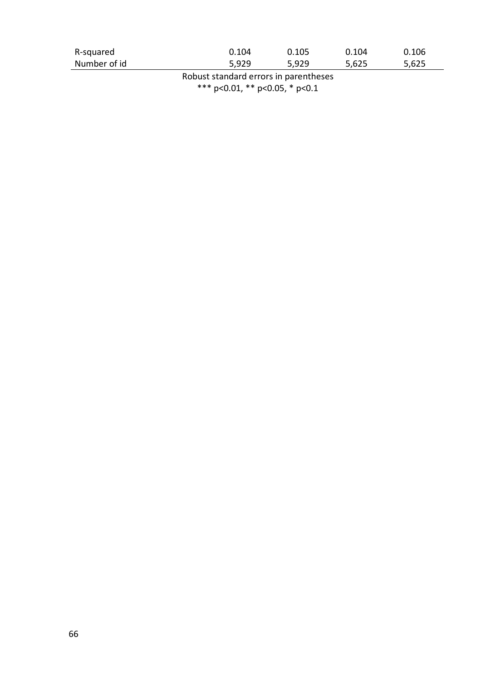| R-squared    | 0.104 | 0.105 | 0.104 | 0.106 |
|--------------|-------|-------|-------|-------|
| Number of id | 5,929 | 5,929 | 5,625 | 5,625 |

Robust standard errors in parentheses \*\*\* p<0.01, \*\* p<0.05, \* p<0.1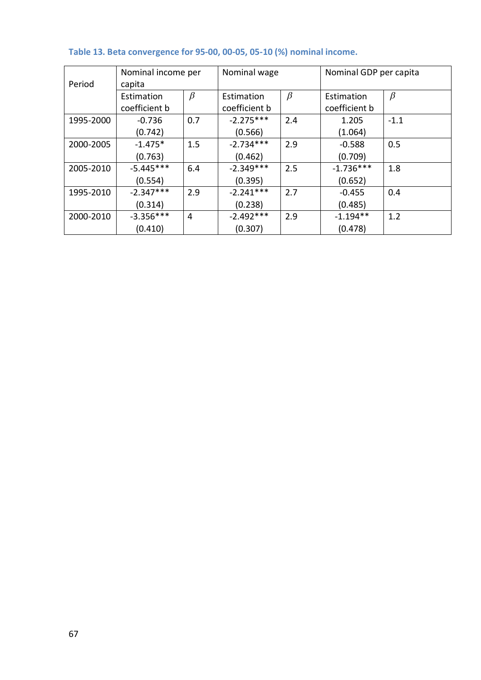| Period    | Nominal income per<br>capita |         | Nominal wage                |         | Nominal GDP per capita      |         |  |
|-----------|------------------------------|---------|-----------------------------|---------|-----------------------------|---------|--|
|           | Estimation<br>coefficient b  | $\beta$ | Estimation<br>coefficient b | $\beta$ | Estimation<br>coefficient b | $\beta$ |  |
| 1995-2000 | $-0.736$<br>(0.742)          | 0.7     | $-2.275***$<br>(0.566)      | 2.4     | 1.205<br>(1.064)            | $-1.1$  |  |
| 2000-2005 | $-1.475*$<br>(0.763)         | 1.5     | $-2.734***$<br>(0.462)      | 2.9     | $-0.588$<br>(0.709)         | 0.5     |  |
| 2005-2010 | $-5.445***$<br>(0.554)       | 6.4     | $-2.349***$<br>(0.395)      | 2.5     | $-1.736***$<br>(0.652)      | 1.8     |  |
| 1995-2010 | $-2.347***$<br>(0.314)       | 2.9     | $-2.241***$<br>(0.238)      | 2.7     | $-0.455$<br>(0.485)         | 0.4     |  |
| 2000-2010 | $-3.356***$<br>(0.410)       | 4       | $-2.492***$<br>(0.307)      | 2.9     | $-1.194**$<br>(0.478)       | 1.2     |  |

# **Table 13. Beta convergence for 95-00, 00-05, 05-10 (%) nominal income.**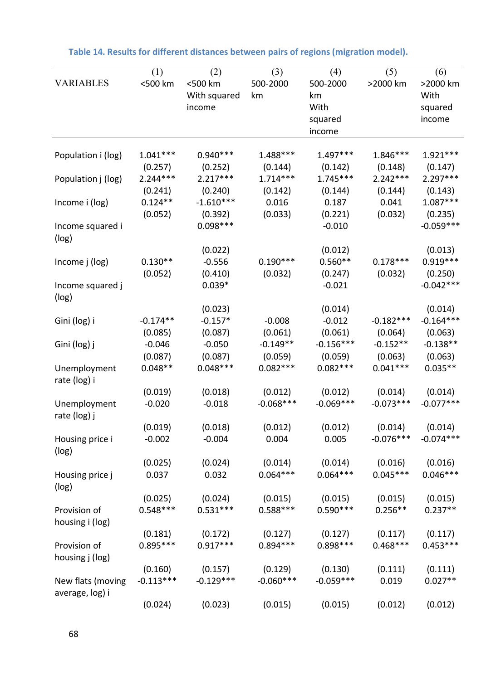|                    | (1)         | (2)          | (3)         | (4)         | (5)         | (6)         |
|--------------------|-------------|--------------|-------------|-------------|-------------|-------------|
| <b>VARIABLES</b>   | <500 km     | <500 km      | 500-2000    | 500-2000    | >2000 km    | >2000 km    |
|                    |             | With squared | km          | km          |             | With        |
|                    |             | income       |             | With        |             | squared     |
|                    |             |              |             | squared     |             | income      |
|                    |             |              |             | income      |             |             |
| Population i (log) | $1.041***$  | $0.940***$   | 1.488***    | $1.497***$  | $1.846***$  | $1.921***$  |
|                    | (0.257)     | (0.252)      | (0.144)     | (0.142)     | (0.148)     | (0.147)     |
| Population j (log) | $2.244***$  | $2.217***$   | $1.714***$  | $1.745***$  | $2.242***$  | $2.297***$  |
|                    | (0.241)     | (0.240)      | (0.142)     | (0.144)     | (0.144)     | (0.143)     |
| Income i (log)     | $0.124**$   | $-1.610***$  | 0.016       | 0.187       | 0.041       | $1.087***$  |
|                    | (0.052)     | (0.392)      | (0.033)     | (0.221)     | (0.032)     | (0.235)     |
| Income squared i   |             | $0.098***$   |             | $-0.010$    |             | $-0.059***$ |
| (log)              |             |              |             |             |             |             |
|                    |             | (0.022)      |             | (0.012)     |             | (0.013)     |
| Income j (log)     | $0.130**$   | $-0.556$     | $0.190***$  | $0.560**$   | $0.178***$  | $0.919***$  |
|                    | (0.052)     | (0.410)      | (0.032)     | (0.247)     | (0.032)     | (0.250)     |
| Income squared j   |             | $0.039*$     |             | $-0.021$    |             | $-0.042***$ |
| (log)              |             |              |             |             |             |             |
|                    |             | (0.023)      |             | (0.014)     |             | (0.014)     |
| Gini (log) i       | $-0.174**$  | $-0.157*$    | $-0.008$    | $-0.012$    | $-0.182***$ | $-0.164***$ |
|                    | (0.085)     | (0.087)      | (0.061)     | (0.061)     | (0.064)     | (0.063)     |
| Gini (log) j       | $-0.046$    | $-0.050$     | $-0.149**$  | $-0.156***$ | $-0.152**$  | $-0.138**$  |
|                    | (0.087)     | (0.087)      | (0.059)     | (0.059)     | (0.063)     | (0.063)     |
| Unemployment       | $0.048**$   | $0.048***$   | $0.082***$  | $0.082***$  | $0.041***$  | $0.035**$   |
| rate (log) i       |             |              |             |             |             |             |
|                    | (0.019)     | (0.018)      | (0.012)     | (0.012)     | (0.014)     | (0.014)     |
| Unemployment       | $-0.020$    | $-0.018$     | $-0.068***$ | $-0.069***$ | $-0.073***$ | $-0.077***$ |
| rate (log) j       |             |              |             |             |             |             |
|                    | (0.019)     | (0.018)      | (0.012)     | (0.012)     | (0.014)     | (0.014)     |
| Housing price i    | $-0.002$    | $-0.004$     | 0.004       | 0.005       | $-0.076***$ | $-0.074***$ |
| (log)              |             |              |             |             |             |             |
|                    | (0.025)     | (0.024)      | (0.014)     | (0.014)     | (0.016)     | (0.016)     |
| Housing price j    | 0.037       | 0.032        | $0.064***$  | $0.064***$  | $0.045***$  | $0.046***$  |
| (log)              |             |              |             |             |             |             |
|                    | (0.025)     | (0.024)      | (0.015)     | (0.015)     | (0.015)     | (0.015)     |
| Provision of       | $0.548***$  | $0.531***$   | $0.588***$  | $0.590***$  | $0.256**$   | $0.237**$   |
| housing i (log)    |             |              |             |             |             |             |
|                    | (0.181)     | (0.172)      | (0.127)     | (0.127)     | (0.117)     | (0.117)     |
| Provision of       | $0.895***$  | $0.917***$   | $0.894***$  | $0.898***$  | $0.468***$  | $0.453***$  |
| housing j (log)    |             |              |             |             |             |             |
|                    | (0.160)     | (0.157)      | (0.129)     | (0.130)     | (0.111)     | (0.111)     |
| New flats (moving  | $-0.113***$ | $-0.129***$  | $-0.060***$ | $-0.059***$ | 0.019       | $0.027**$   |
| average, log) i    |             |              |             |             |             |             |
|                    | (0.024)     | (0.023)      | (0.015)     | (0.015)     | (0.012)     | (0.012)     |

**Table 14. Results for different distances between pairs of regions(migration model).**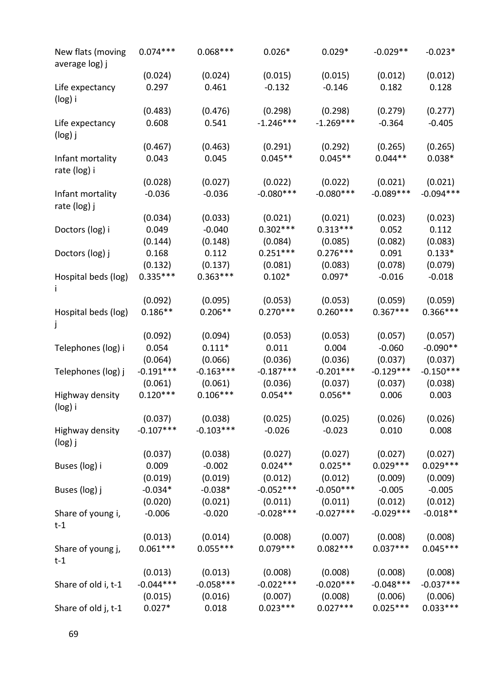| New flats (moving<br>average log) j | $0.074***$  | $0.068***$  | $0.026*$    | $0.029*$    | $-0.029**$  | $-0.023*$   |
|-------------------------------------|-------------|-------------|-------------|-------------|-------------|-------------|
|                                     | (0.024)     | (0.024)     | (0.015)     | (0.015)     | (0.012)     | (0.012)     |
| Life expectancy<br>(log) i          | 0.297       | 0.461       | $-0.132$    | $-0.146$    | 0.182       | 0.128       |
|                                     | (0.483)     | (0.476)     | (0.298)     | (0.298)     | (0.279)     | (0.277)     |
| Life expectancy<br>(log) j          | 0.608       | 0.541       | $-1.246***$ | $-1.269***$ | $-0.364$    | $-0.405$    |
|                                     | (0.467)     | (0.463)     | (0.291)     | (0.292)     | (0.265)     | (0.265)     |
| Infant mortality<br>rate (log) i    | 0.043       | 0.045       | $0.045**$   | $0.045**$   | $0.044**$   | $0.038*$    |
|                                     | (0.028)     | (0.027)     | (0.022)     | (0.022)     | (0.021)     | (0.021)     |
| Infant mortality<br>rate (log) j    | $-0.036$    | $-0.036$    | $-0.080***$ | $-0.080***$ | $-0.089***$ | $-0.094***$ |
|                                     | (0.034)     | (0.033)     | (0.021)     | (0.021)     | (0.023)     | (0.023)     |
| Doctors (log) i                     | 0.049       | $-0.040$    | $0.302***$  | $0.313***$  | 0.052       | 0.112       |
|                                     | (0.144)     | (0.148)     | (0.084)     | (0.085)     | (0.082)     | (0.083)     |
| Doctors (log) j                     | 0.168       | 0.112       | $0.251***$  | $0.276***$  | 0.091       | $0.133*$    |
|                                     | (0.132)     | (0.137)     | (0.081)     | (0.083)     | (0.078)     | (0.079)     |
| Hospital beds (log)                 | $0.335***$  | $0.363***$  | $0.102*$    | $0.097*$    | $-0.016$    | $-0.018$    |
|                                     | (0.092)     | (0.095)     | (0.053)     | (0.053)     | (0.059)     | (0.059)     |
| Hospital beds (log)                 | $0.186**$   | $0.206**$   | $0.270***$  | $0.260***$  | $0.367***$  | $0.366***$  |
|                                     | (0.092)     | (0.094)     | (0.053)     | (0.053)     | (0.057)     | (0.057)     |
| Telephones (log) i                  | 0.054       | $0.111*$    | 0.011       | 0.004       | $-0.060$    | $-0.090**$  |
|                                     | (0.064)     | (0.066)     | (0.036)     | (0.036)     | (0.037)     | (0.037)     |
| Telephones (log) j                  | $-0.191***$ | $-0.163***$ | $-0.187***$ | $-0.201***$ | $-0.129***$ | $-0.150***$ |
|                                     | (0.061)     | (0.061)     | (0.036)     | (0.037)     | (0.037)     | (0.038)     |
| Highway density<br>(log) i          | $0.120***$  | $0.106***$  | $0.054**$   | $0.056**$   | 0.006       | 0.003       |
|                                     | (0.037)     | (0.038)     | (0.025)     | (0.025)     | (0.026)     | (0.026)     |
| Highway density<br>(log) j          | $-0.107***$ | $-0.103***$ | $-0.026$    | $-0.023$    | 0.010       | 0.008       |
|                                     | (0.037)     | (0.038)     | (0.027)     | (0.027)     | (0.027)     | (0.027)     |
| Buses (log) i                       | 0.009       | $-0.002$    | $0.024**$   | $0.025**$   | $0.029***$  | $0.029***$  |
|                                     | (0.019)     | (0.019)     | (0.012)     | (0.012)     | (0.009)     | (0.009)     |
| Buses (log) j                       | $-0.034*$   | $-0.038*$   | $-0.052***$ | $-0.050***$ | $-0.005$    | $-0.005$    |
|                                     | (0.020)     | (0.021)     | (0.011)     | (0.011)     | (0.012)     | (0.012)     |
| Share of young i,<br>$t-1$          | $-0.006$    | $-0.020$    | $-0.028***$ | $-0.027***$ | $-0.029***$ | $-0.018**$  |
|                                     | (0.013)     | (0.014)     | (0.008)     | (0.007)     | (0.008)     | (0.008)     |
| Share of young j,<br>$t-1$          | $0.061***$  | $0.055***$  | $0.079***$  | $0.082***$  | $0.037***$  | $0.045***$  |
|                                     | (0.013)     | (0.013)     | (0.008)     | (0.008)     | (0.008)     | (0.008)     |
| Share of old i, t-1                 | $-0.044***$ | $-0.058***$ | $-0.022***$ | $-0.020***$ | $-0.048***$ | $-0.037***$ |
|                                     | (0.015)     | (0.016)     | (0.007)     | (0.008)     | (0.006)     | (0.006)     |
| Share of old j, t-1                 | $0.027*$    | 0.018       | $0.023***$  | $0.027***$  | $0.025***$  | $0.033***$  |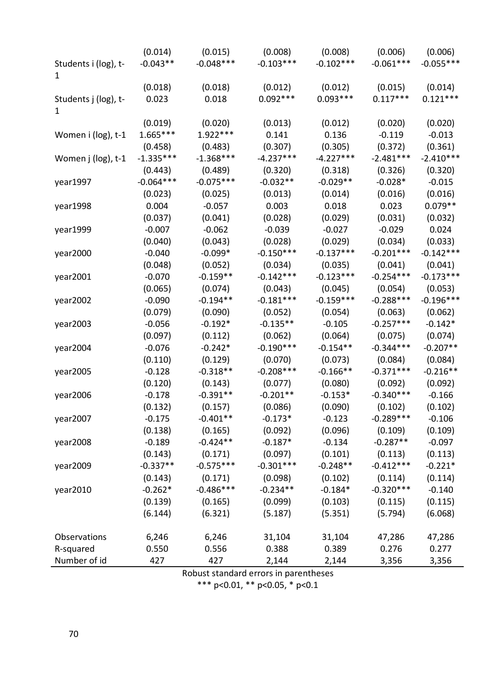|                      | (0.014)     | (0.015)     | (0.008)     | (0.008)     | (0.006)     | (0.006)     |
|----------------------|-------------|-------------|-------------|-------------|-------------|-------------|
| Students i (log), t- | $-0.043**$  | $-0.048***$ | $-0.103***$ | $-0.102***$ | $-0.061***$ | $-0.055***$ |
| 1                    |             |             |             |             |             |             |
|                      | (0.018)     | (0.018)     | (0.012)     | (0.012)     | (0.015)     | (0.014)     |
| Students j (log), t- | 0.023       | 0.018       | $0.092***$  | $0.093***$  | $0.117***$  | $0.121***$  |
| 1                    |             |             |             |             |             |             |
|                      | (0.019)     | (0.020)     | (0.013)     | (0.012)     | (0.020)     | (0.020)     |
| Women i (log), t-1   | $1.665***$  | $1.922***$  | 0.141       | 0.136       | $-0.119$    | $-0.013$    |
|                      | (0.458)     | (0.483)     | (0.307)     | (0.305)     | (0.372)     | (0.361)     |
| Women j (log), t-1   | $-1.335***$ | $-1.368***$ | $-4.237***$ | $-4.227***$ | $-2.481***$ | $-2.410***$ |
|                      | (0.443)     | (0.489)     | (0.320)     | (0.318)     | (0.326)     | (0.320)     |
| year1997             | $-0.064***$ | $-0.075***$ | $-0.032**$  | $-0.029**$  | $-0.028*$   | $-0.015$    |
|                      | (0.023)     | (0.025)     | (0.013)     | (0.014)     | (0.016)     | (0.016)     |
| year1998             | 0.004       | $-0.057$    | 0.003       | 0.018       | 0.023       | $0.079**$   |
|                      | (0.037)     | (0.041)     | (0.028)     | (0.029)     | (0.031)     | (0.032)     |
| year1999             | $-0.007$    | $-0.062$    | $-0.039$    | $-0.027$    | $-0.029$    | 0.024       |
|                      | (0.040)     | (0.043)     | (0.028)     | (0.029)     | (0.034)     | (0.033)     |
| year2000             | $-0.040$    | $-0.099*$   | $-0.150***$ | $-0.137***$ | $-0.201***$ | $-0.142***$ |
|                      | (0.048)     | (0.052)     | (0.034)     | (0.035)     | (0.041)     | (0.041)     |
| year2001             | $-0.070$    | $-0.159**$  | $-0.142***$ | $-0.123***$ | $-0.254***$ | $-0.173***$ |
|                      | (0.065)     | (0.074)     | (0.043)     | (0.045)     | (0.054)     | (0.053)     |
| year2002             | $-0.090$    | $-0.194**$  | $-0.181***$ | $-0.159***$ | $-0.288***$ | $-0.196***$ |
|                      | (0.079)     | (0.090)     | (0.052)     | (0.054)     | (0.063)     | (0.062)     |
| year2003             | $-0.056$    | $-0.192*$   | $-0.135**$  | $-0.105$    | $-0.257***$ | $-0.142*$   |
|                      | (0.097)     | (0.112)     | (0.062)     | (0.064)     | (0.075)     | (0.074)     |
| year2004             | $-0.076$    | $-0.242*$   | $-0.190***$ | $-0.154**$  | $-0.344***$ | $-0.207**$  |
|                      | (0.110)     | (0.129)     | (0.070)     | (0.073)     | (0.084)     | (0.084)     |
| year2005             | $-0.128$    | $-0.318**$  | $-0.208***$ | $-0.166**$  | $-0.371***$ | $-0.216**$  |
|                      | (0.120)     | (0.143)     | (0.077)     | (0.080)     | (0.092)     | (0.092)     |
| year2006             | $-0.178$    | $-0.391**$  | $-0.201**$  | $-0.153*$   | $-0.340***$ | $-0.166$    |
|                      | (0.132)     | (0.157)     | (0.086)     | (0.090)     | (0.102)     | (0.102)     |
| year2007             | $-0.175$    | $-0.401**$  | $-0.173*$   | $-0.123$    | $-0.289***$ | $-0.106$    |
|                      | (0.138)     | (0.165)     | (0.092)     | (0.096)     | (0.109)     | (0.109)     |
| year2008             | $-0.189$    | $-0.424**$  | $-0.187*$   | $-0.134$    | $-0.287**$  | $-0.097$    |
|                      | (0.143)     | (0.171)     | (0.097)     | (0.101)     | (0.113)     | (0.113)     |
| year2009             | $-0.337**$  | $-0.575***$ | $-0.301***$ | $-0.248**$  | $-0.412***$ | $-0.221*$   |
|                      | (0.143)     | (0.171)     | (0.098)     | (0.102)     | (0.114)     | (0.114)     |
| year2010             | $-0.262*$   | $-0.486***$ | $-0.234**$  | $-0.184*$   | $-0.320***$ | $-0.140$    |
|                      | (0.139)     | (0.165)     | (0.099)     | (0.103)     | (0.115)     | (0.115)     |
|                      | (6.144)     | (6.321)     | (5.187)     | (5.351)     | (5.794)     | (6.068)     |
|                      |             |             |             |             |             |             |
| Observations         | 6,246       | 6,246       | 31,104      | 31,104      | 47,286      | 47,286      |
| R-squared            | 0.550       | 0.556       | 0.388       | 0.389       | 0.276       | 0.277       |
| Number of id         | 427         | 427         | 2,144       | 2,144       | 3,356       | 3,356       |

Robust standard errors in parentheses

\*\*\* p<0.01, \*\* p<0.05, \* p<0.1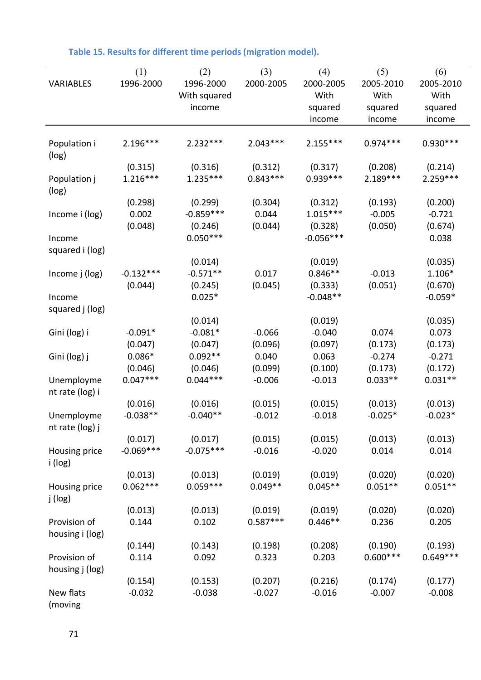|                 | (1)         | (2)          | (3)        | (4)         | (5)        | (6)        |
|-----------------|-------------|--------------|------------|-------------|------------|------------|
| VARIABLES       | 1996-2000   | 1996-2000    | 2000-2005  | 2000-2005   | 2005-2010  | 2005-2010  |
|                 |             | With squared |            | With        | With       | With       |
|                 |             | income       |            | squared     | squared    | squared    |
|                 |             |              |            | income      | income     | income     |
| Population i    | $2.196***$  | $2.232***$   | $2.043***$ | $2.155***$  | $0.974***$ | $0.930***$ |
| (log)           |             |              |            |             |            |            |
|                 | (0.315)     | (0.316)      | (0.312)    | (0.317)     | (0.208)    | (0.214)    |
| Population j    | $1.216***$  | $1.235***$   | $0.843***$ | $0.939***$  | $2.189***$ | $2.259***$ |
| (log)           |             |              |            |             |            |            |
|                 | (0.298)     | (0.299)      | (0.304)    | (0.312)     | (0.193)    | (0.200)    |
| Income i (log)  | 0.002       | $-0.859***$  | 0.044      | $1.015***$  | $-0.005$   | $-0.721$   |
|                 | (0.048)     | (0.246)      | (0.044)    | (0.328)     | (0.050)    | (0.674)    |
| Income          |             | $0.050***$   |            | $-0.056***$ |            | 0.038      |
| squared i (log) |             |              |            |             |            |            |
|                 |             | (0.014)      |            | (0.019)     |            | (0.035)    |
| Income j (log)  | $-0.132***$ | $-0.571**$   | 0.017      | $0.846**$   | $-0.013$   | 1.106*     |
|                 | (0.044)     | (0.245)      | (0.045)    | (0.333)     | (0.051)    | (0.670)    |
| Income          |             | $0.025*$     |            | $-0.048**$  |            | $-0.059*$  |
| squared j (log) |             |              |            |             |            |            |
|                 |             | (0.014)      |            | (0.019)     |            | (0.035)    |
| Gini (log) i    | $-0.091*$   | $-0.081*$    | $-0.066$   | $-0.040$    | 0.074      | 0.073      |
|                 | (0.047)     | (0.047)      | (0.096)    | (0.097)     | (0.173)    | (0.173)    |
| Gini (log) j    | $0.086*$    | $0.092**$    | 0.040      | 0.063       | $-0.274$   | $-0.271$   |
|                 | (0.046)     | (0.046)      | (0.099)    | (0.100)     | (0.173)    | (0.172)    |
| Unemployme      | $0.047***$  | $0.044***$   | $-0.006$   | $-0.013$    | $0.033**$  | $0.031**$  |
| nt rate (log) i |             |              |            |             |            |            |
|                 | (0.016)     | (0.016)      | (0.015)    | (0.015)     | (0.013)    | (0.013)    |
| Unemployme      | $-0.038**$  | $-0.040**$   | $-0.012$   | $-0.018$    | $-0.025*$  | $-0.023*$  |
| nt rate (log) j |             |              |            |             |            |            |
|                 | (0.017)     | (0.017)      | (0.015)    | (0.015)     | (0.013)    | (0.013)    |
| Housing price   | $-0.069***$ | $-0.075***$  | $-0.016$   | $-0.020$    | 0.014      | 0.014      |
| i (log)         |             |              |            |             |            |            |
|                 | (0.013)     | (0.013)      | (0.019)    | (0.019)     | (0.020)    | (0.020)    |
| Housing price   | $0.062***$  | $0.059***$   | $0.049**$  | $0.045**$   | $0.051**$  | $0.051**$  |
| j (log)         |             |              |            |             |            |            |
|                 | (0.013)     | (0.013)      | (0.019)    | (0.019)     | (0.020)    | (0.020)    |
| Provision of    | 0.144       | 0.102        | $0.587***$ | $0.446**$   | 0.236      | 0.205      |
| housing i (log) |             |              |            |             |            |            |
|                 | (0.144)     | (0.143)      | (0.198)    | (0.208)     | (0.190)    | (0.193)    |
| Provision of    | 0.114       | 0.092        | 0.323      | 0.203       | $0.600***$ | $0.649***$ |
| housing j (log) |             |              |            |             |            |            |
|                 | (0.154)     | (0.153)      | (0.207)    | (0.216)     | (0.174)    | (0.177)    |
| New flats       | $-0.032$    | $-0.038$     | $-0.027$   | $-0.016$    | $-0.007$   | $-0.008$   |
| (moving         |             |              |            |             |            |            |

| Table 15. Results for different time periods (migration model). |  |  |  |  |
|-----------------------------------------------------------------|--|--|--|--|
|-----------------------------------------------------------------|--|--|--|--|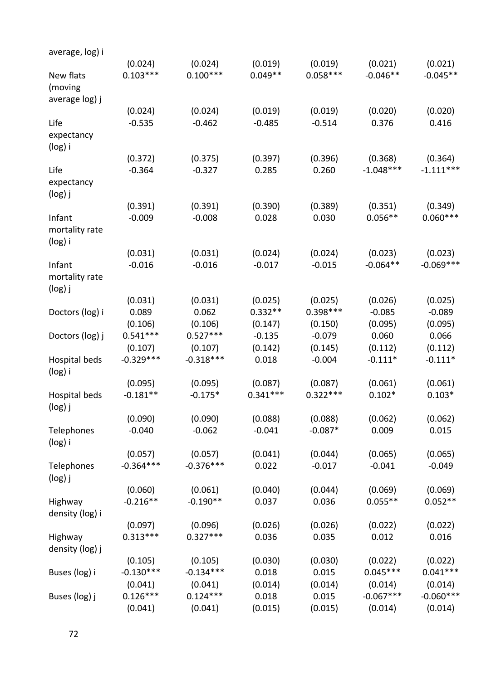| average, log) i |             |             |            |            |             |             |
|-----------------|-------------|-------------|------------|------------|-------------|-------------|
|                 | (0.024)     | (0.024)     | (0.019)    | (0.019)    | (0.021)     | (0.021)     |
| New flats       | $0.103***$  | $0.100***$  | $0.049**$  | $0.058***$ | $-0.046**$  | $-0.045**$  |
| (moving         |             |             |            |            |             |             |
| average log) j  |             |             |            |            |             |             |
|                 | (0.024)     | (0.024)     | (0.019)    | (0.019)    | (0.020)     | (0.020)     |
| Life            | $-0.535$    | $-0.462$    | $-0.485$   | $-0.514$   | 0.376       | 0.416       |
| expectancy      |             |             |            |            |             |             |
| (log) i         |             |             |            |            |             |             |
|                 | (0.372)     | (0.375)     | (0.397)    | (0.396)    | (0.368)     | (0.364)     |
| Life            | $-0.364$    | $-0.327$    | 0.285      | 0.260      | $-1.048***$ | $-1.111***$ |
| expectancy      |             |             |            |            |             |             |
| (log) j         |             |             |            |            |             |             |
|                 | (0.391)     | (0.391)     | (0.390)    | (0.389)    | (0.351)     | (0.349)     |
| Infant          | $-0.009$    | $-0.008$    | 0.028      | 0.030      | $0.056**$   | $0.060***$  |
| mortality rate  |             |             |            |            |             |             |
| (log) i         |             |             |            |            |             |             |
|                 | (0.031)     | (0.031)     | (0.024)    | (0.024)    | (0.023)     | (0.023)     |
| Infant          | $-0.016$    | $-0.016$    | $-0.017$   | $-0.015$   | $-0.064**$  | $-0.069***$ |
| mortality rate  |             |             |            |            |             |             |
| $(log)$ j       |             |             |            |            |             |             |
|                 | (0.031)     | (0.031)     | (0.025)    | (0.025)    | (0.026)     | (0.025)     |
| Doctors (log) i | 0.089       | 0.062       | $0.332**$  | $0.398***$ | $-0.085$    | $-0.089$    |
|                 | (0.106)     | (0.106)     | (0.147)    | (0.150)    | (0.095)     | (0.095)     |
| Doctors (log) j | $0.541***$  | $0.527***$  | $-0.135$   | $-0.079$   | 0.060       | 0.066       |
|                 | (0.107)     | (0.107)     | (0.142)    | (0.145)    | (0.112)     | (0.112)     |
| Hospital beds   | $-0.329***$ | $-0.318***$ | 0.018      | $-0.004$   | $-0.111*$   | $-0.111*$   |
| (log) i         |             |             |            |            |             |             |
|                 | (0.095)     | (0.095)     | (0.087)    | (0.087)    | (0.061)     | (0.061)     |
| Hospital beds   | $-0.181**$  | $-0.175*$   | $0.341***$ | $0.322***$ | $0.102*$    | $0.103*$    |
| (log) j         |             |             |            |            |             |             |
|                 | (0.090)     | (0.090)     | (0.088)    | (0.088)    | (0.062)     | (0.062)     |
| Telephones      | $-0.040$    | $-0.062$    | $-0.041$   | $-0.087*$  | 0.009       | 0.015       |
| (log) i         |             |             |            |            |             |             |
|                 | (0.057)     | (0.057)     | (0.041)    | (0.044)    | (0.065)     | (0.065)     |
| Telephones      | $-0.364***$ | $-0.376***$ | 0.022      | $-0.017$   | $-0.041$    | $-0.049$    |
| $(log)$ j       |             |             |            |            |             |             |
|                 | (0.060)     | (0.061)     | (0.040)    | (0.044)    | (0.069)     | (0.069)     |
| Highway         | $-0.216**$  | $-0.190**$  | 0.037      | 0.036      | $0.055**$   | $0.052**$   |
| density (log) i |             |             |            |            |             |             |
|                 | (0.097)     | (0.096)     | (0.026)    | (0.026)    | (0.022)     | (0.022)     |
| Highway         | $0.313***$  | $0.327***$  | 0.036      | 0.035      | 0.012       | 0.016       |
| density (log) j |             |             |            |            |             |             |
|                 | (0.105)     | (0.105)     | (0.030)    | (0.030)    | (0.022)     | (0.022)     |
| Buses (log) i   | $-0.130***$ | $-0.134***$ | 0.018      | 0.015      | $0.045***$  | $0.041***$  |
|                 | (0.041)     | (0.041)     | (0.014)    | (0.014)    | (0.014)     | (0.014)     |
| Buses (log) j   | $0.126***$  | $0.124***$  | 0.018      | 0.015      | $-0.067***$ | $-0.060***$ |
|                 | (0.041)     | (0.041)     | (0.015)    | (0.015)    | (0.014)     | (0.014)     |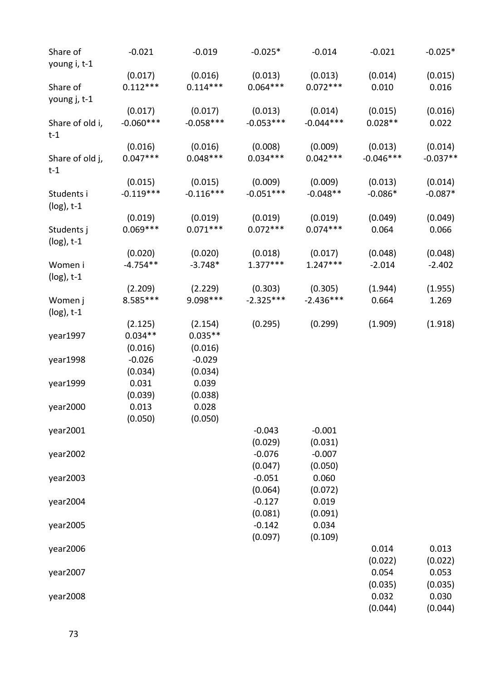| Share of<br>young i, t-1    | $-0.021$              | $-0.019$              | $-0.025*$             | $-0.014$              | $-0.021$         | $-0.025*$        |
|-----------------------------|-----------------------|-----------------------|-----------------------|-----------------------|------------------|------------------|
| Share of                    | (0.017)<br>$0.112***$ | (0.016)<br>$0.114***$ | (0.013)<br>$0.064***$ | (0.013)<br>$0.072***$ | (0.014)<br>0.010 | (0.015)<br>0.016 |
| young j, t-1                |                       |                       |                       |                       |                  |                  |
|                             | (0.017)               | (0.017)               | (0.013)               | (0.014)               | (0.015)          | (0.016)          |
| Share of old i,<br>$t-1$    | $-0.060***$           | $-0.058***$           | $-0.053***$           | $-0.044***$           | $0.028**$        | 0.022            |
|                             | (0.016)               | (0.016)               | (0.008)               | (0.009)               | (0.013)          | (0.014)          |
| Share of old j,<br>$t-1$    | $0.047***$            | $0.048***$            | $0.034***$            | $0.042***$            | $-0.046***$      | $-0.037**$       |
|                             | (0.015)               | (0.015)               | (0.009)               | (0.009)               | (0.013)          | (0.014)          |
| Students i<br>$(log)$ , t-1 | $-0.119***$           | $-0.116***$           | $-0.051***$           | $-0.048**$            | $-0.086*$        | $-0.087*$        |
|                             | (0.019)               | (0.019)               | (0.019)               | (0.019)               | (0.049)          | (0.049)          |
| Students j<br>$(log)$ , t-1 | $0.069***$            | $0.071***$            | $0.072***$            | $0.074***$            | 0.064            | 0.066            |
|                             | (0.020)               | (0.020)               | (0.018)               | (0.017)               | (0.048)          | (0.048)          |
| Women i<br>$(log)$ , t-1    | $-4.754**$            | $-3.748*$             | $1.377***$            | $1.247***$            | $-2.014$         | $-2.402$         |
|                             | (2.209)               | (2.229)               | (0.303)               | (0.305)               | (1.944)          | (1.955)          |
| Women j<br>$(log)$ , t-1    | 8.585***              | 9.098 ***             | $-2.325***$           | $-2.436***$           | 0.664            | 1.269            |
|                             | (2.125)               | (2.154)               | (0.295)               | (0.299)               | (1.909)          | (1.918)          |
| year1997                    | $0.034**$             | $0.035**$             |                       |                       |                  |                  |
|                             | (0.016)               | (0.016)               |                       |                       |                  |                  |
| year1998                    | $-0.026$              | $-0.029$              |                       |                       |                  |                  |
|                             | (0.034)               | (0.034)               |                       |                       |                  |                  |
| year1999                    | 0.031                 | 0.039                 |                       |                       |                  |                  |
|                             | (0.039)               | (0.038)               |                       |                       |                  |                  |
| year2000                    | 0.013                 | 0.028                 |                       |                       |                  |                  |
|                             | (0.050)               | (0.050)               |                       |                       |                  |                  |
| year2001                    |                       |                       | $-0.043$              | $-0.001$              |                  |                  |
|                             |                       |                       | (0.029)               | (0.031)               |                  |                  |
| year2002                    |                       |                       | $-0.076$              | $-0.007$              |                  |                  |
|                             |                       |                       | (0.047)               | (0.050)               |                  |                  |
| year2003                    |                       |                       | $-0.051$              | 0.060                 |                  |                  |
|                             |                       |                       | (0.064)               | (0.072)               |                  |                  |
| year2004                    |                       |                       | $-0.127$              | 0.019                 |                  |                  |
|                             |                       |                       | (0.081)               | (0.091)               |                  |                  |
| year2005                    |                       |                       | $-0.142$              | 0.034                 |                  |                  |
|                             |                       |                       | (0.097)               | (0.109)               |                  |                  |
| year2006                    |                       |                       |                       |                       | 0.014            | 0.013            |
|                             |                       |                       |                       |                       | (0.022)          | (0.022)          |
| year2007                    |                       |                       |                       |                       | 0.054            | 0.053            |
|                             |                       |                       |                       |                       | (0.035)          | (0.035)          |
| year2008                    |                       |                       |                       |                       | 0.032            | 0.030            |
|                             |                       |                       |                       |                       | (0.044)          | (0.044)          |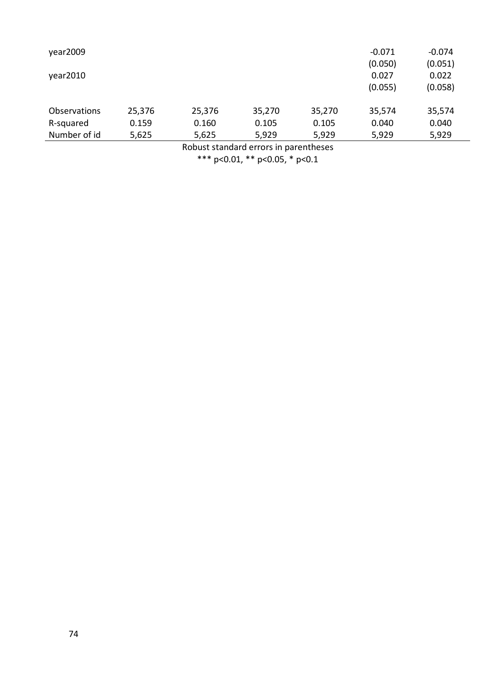| year2009            |        |        |        |        | $-0.071$         | $-0.074$         |
|---------------------|--------|--------|--------|--------|------------------|------------------|
| year2010            |        |        |        |        | (0.050)<br>0.027 | (0.051)<br>0.022 |
|                     |        |        |        |        | (0.055)          | (0.058)          |
|                     |        |        |        |        |                  |                  |
| <b>Observations</b> | 25,376 | 25,376 | 35,270 | 35,270 | 35,574           | 35,574           |
| R-squared           | 0.159  | 0.160  | 0.105  | 0.105  | 0.040            | 0.040            |
| Number of id        | 5,625  | 5,625  | 5,929  | 5,929  | 5,929            | 5,929            |
|                     |        |        |        |        |                  |                  |

Robust standard errors in parentheses

\*\*\* p<0.01, \*\* p<0.05, \* p<0.1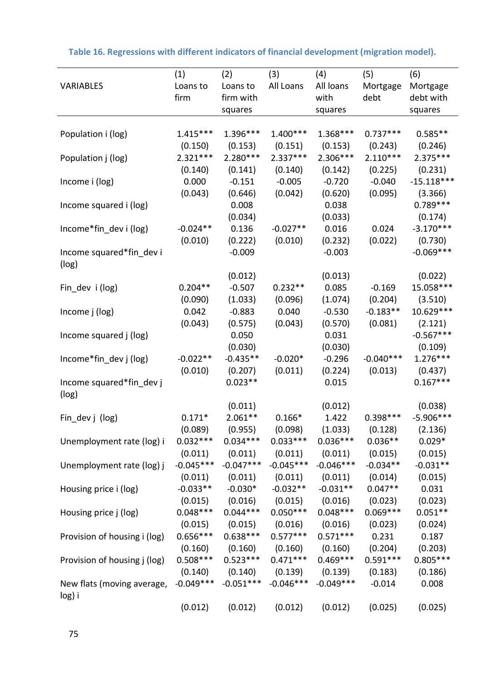| <b>VARIABLES</b>                     | (1)<br>Loans to<br>firm | (2)<br>Loans to<br>firm with<br>squares | (3)<br>All Loans | (4)<br>All loans<br>with<br>squares | (5)<br>Mortgage<br>debt | (6)<br>Mortgage<br>debt with<br>squares |
|--------------------------------------|-------------------------|-----------------------------------------|------------------|-------------------------------------|-------------------------|-----------------------------------------|
|                                      |                         |                                         |                  |                                     |                         |                                         |
| Population i (log)                   | $1.415***$              | 1.396***                                | $1.400***$       | $1.368***$                          | $0.737***$              | $0.585**$                               |
|                                      | (0.150)                 | (0.153)                                 | (0.151)          | (0.153)                             | (0.243)                 | (0.246)                                 |
| Population j (log)                   | $2.321***$              | 2.280***                                | $2.337***$       | 2.306***                            | $2.110***$              | 2.375 ***                               |
|                                      | (0.140)                 | (0.141)                                 | (0.140)          | (0.142)                             | (0.225)                 | (0.231)                                 |
| Income i (log)                       | 0.000                   | $-0.151$                                | $-0.005$         | $-0.720$                            | $-0.040$                | $-15.118***$                            |
|                                      | (0.043)                 | (0.646)                                 | (0.042)          | (0.620)                             | (0.095)                 | (3.366)                                 |
| Income squared i (log)               |                         | 0.008                                   |                  | 0.038                               |                         | $0.789***$                              |
|                                      |                         | (0.034)                                 |                  | (0.033)                             |                         | (0.174)                                 |
| Income*fin_dev i (log)               | $-0.024**$              | 0.136                                   | $-0.027**$       | 0.016                               | 0.024                   | $-3.170***$                             |
|                                      | (0.010)                 | (0.222)                                 | (0.010)          | (0.232)                             | (0.022)                 | (0.730)                                 |
| Income squared*fin_dev i<br>(log)    |                         | $-0.009$                                |                  | $-0.003$                            |                         | $-0.069***$                             |
|                                      |                         | (0.012)                                 |                  | (0.013)                             |                         | (0.022)                                 |
| Fin_dev i (log)                      | $0.204**$               | $-0.507$                                | $0.232**$        | 0.085                               | $-0.169$                | 15.058***                               |
|                                      | (0.090)                 | (1.033)                                 | (0.096)          | (1.074)                             | (0.204)                 | (3.510)                                 |
| Income j (log)                       | 0.042                   | $-0.883$                                | 0.040            | $-0.530$                            | $-0.183**$              | 10.629 ***                              |
|                                      | (0.043)                 | (0.575)                                 | (0.043)          | (0.570)                             | (0.081)                 | (2.121)                                 |
| Income squared j (log)               |                         | 0.050                                   |                  | 0.031                               |                         | $-0.567***$                             |
|                                      |                         | (0.030)                                 |                  | (0.030)                             |                         | (0.109)                                 |
| Income*fin_dev j (log)               | $-0.022**$              | $-0.435**$                              | $-0.020*$        | $-0.296$                            | $-0.040***$             | $1.276***$                              |
|                                      | (0.010)                 | (0.207)                                 | (0.011)          | (0.224)                             | (0.013)                 | (0.437)                                 |
| Income squared*fin_dev j<br>(log)    |                         | $0.023**$                               |                  | 0.015                               |                         | $0.167***$                              |
|                                      |                         | (0.011)                                 |                  | (0.012)                             |                         | (0.038)                                 |
| Fin_dev j (log)                      | $0.171*$                | $2.061**$                               | $0.166*$         | 1.422                               | $0.398***$              | $-5.906***$                             |
|                                      | (0.089)                 | (0.955)                                 | (0.098)          | (1.033)                             | (0.128)                 | (2.136)                                 |
| Unemployment rate (log) i            | $0.032***$              | $0.034***$                              | $0.033***$       | $0.036***$                          | $0.036**$               | $0.029*$                                |
|                                      | (0.011)                 | (0.011)                                 | (0.011)          | (0.011)                             | (0.015)                 | (0.015)                                 |
| Unemployment rate (log) j            | $-0.045***$             | $-0.047***$                             | $-0.045***$      | $-0.046***$                         | $-0.034**$              | $-0.031**$                              |
|                                      | (0.011)                 | (0.011)                                 | (0.011)          | (0.011)                             | (0.014)                 | (0.015)                                 |
| Housing price i (log)                | $-0.033**$              | $-0.030*$                               | $-0.032**$       | $-0.031**$                          | $0.047**$               | 0.031                                   |
|                                      | (0.015)                 | (0.016)                                 | (0.015)          | (0.016)                             | (0.023)                 | (0.023)                                 |
| Housing price j (log)                | $0.048***$              | $0.044***$                              | $0.050***$       | $0.048***$                          | $0.069***$              | $0.051**$                               |
|                                      | (0.015)                 | (0.015)                                 | (0.016)          | (0.016)                             | (0.023)                 | (0.024)                                 |
| Provision of housing i (log)         | $0.656***$              | $0.638***$                              | $0.577***$       | $0.571***$                          | 0.231                   | 0.187                                   |
|                                      | (0.160)                 | (0.160)                                 | (0.160)          | (0.160)                             | (0.204)                 | (0.203)                                 |
| Provision of housing j (log)         | $0.508***$              | $0.523***$                              | $0.471***$       | $0.469***$                          | $0.591***$              | $0.805***$                              |
|                                      | (0.140)                 | (0.140)                                 | (0.139)          | (0.139)                             | (0.183)                 | (0.186)                                 |
| New flats (moving average,<br>log) i | $-0.049***$             | $-0.051***$                             | $-0.046***$      | $-0.049***$                         | $-0.014$                | 0.008                                   |
|                                      | (0.012)                 | (0.012)                                 | (0.012)          | (0.012)                             | (0.025)                 | (0.025)                                 |

| Table 16. Regressions with different indicators of financial development (migration model). |  |  |  |
|---------------------------------------------------------------------------------------------|--|--|--|
|---------------------------------------------------------------------------------------------|--|--|--|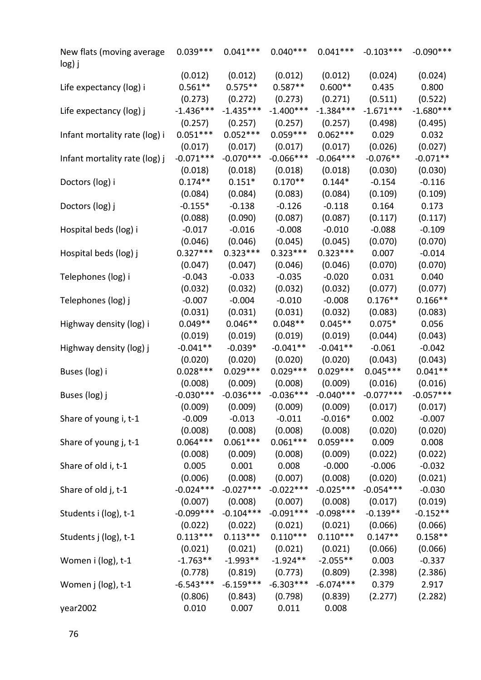| New flats (moving average<br>log) j | $0.039***$            | $0.041***$            | $0.040***$  | $0.041***$  | $-0.103***$ | $-0.090***$ |
|-------------------------------------|-----------------------|-----------------------|-------------|-------------|-------------|-------------|
|                                     | (0.012)               | (0.012)               | (0.012)     | (0.012)     | (0.024)     | (0.024)     |
| Life expectancy (log) i             | $0.561**$             | $0.575**$             | $0.587**$   | $0.600**$   | 0.435       | 0.800       |
|                                     | (0.273)               | (0.272)               | (0.273)     | (0.271)     | (0.511)     | (0.522)     |
| Life expectancy (log) j             | $-1.436***$           | $-1.435***$           | $-1.400***$ | $-1.384***$ | $-1.671***$ | $-1.680***$ |
|                                     | (0.257)               | (0.257)               | (0.257)     | (0.257)     | (0.498)     | (0.495)     |
| Infant mortality rate (log) i       | $0.051***$            | $0.052***$            | $0.059***$  | $0.062***$  | 0.029       | 0.032       |
|                                     | (0.017)               | (0.017)               | (0.017)     | (0.017)     | (0.026)     | (0.027)     |
| Infant mortality rate (log) j       | $-0.071***$           | $-0.070***$           | $-0.066***$ | $-0.064***$ | $-0.076**$  | $-0.071**$  |
|                                     | (0.018)               | (0.018)               | (0.018)     | (0.018)     | (0.030)     | (0.030)     |
| Doctors (log) i                     | $0.174**$             | $0.151*$              | $0.170**$   | $0.144*$    | $-0.154$    | $-0.116$    |
|                                     | (0.084)               | (0.084)               | (0.083)     | (0.084)     | (0.109)     | (0.109)     |
| Doctors (log) j                     | $-0.155*$             | $-0.138$              | $-0.126$    | $-0.118$    | 0.164       | 0.173       |
|                                     | (0.088)               | (0.090)               | (0.087)     | (0.087)     | (0.117)     | (0.117)     |
| Hospital beds (log) i               | $-0.017$              | $-0.016$              | $-0.008$    | $-0.010$    | $-0.088$    | $-0.109$    |
|                                     |                       | (0.046)               | (0.045)     | (0.045)     |             | (0.070)     |
|                                     | (0.046)<br>$0.327***$ | $0.323***$            | $0.323***$  |             | (0.070)     |             |
| Hospital beds (log) j               |                       |                       |             | $0.323***$  | 0.007       | $-0.014$    |
|                                     | (0.047)               | (0.047)               | (0.046)     | (0.046)     | (0.070)     | (0.070)     |
| Telephones (log) i                  | $-0.043$              | $-0.033$              | $-0.035$    | $-0.020$    | 0.031       | 0.040       |
|                                     | (0.032)               | (0.032)               | (0.032)     | (0.032)     | (0.077)     | (0.077)     |
| Telephones (log) j                  | $-0.007$              | $-0.004$              | $-0.010$    | $-0.008$    | $0.176**$   | $0.166**$   |
|                                     | (0.031)               | (0.031)               | (0.031)     | (0.032)     | (0.083)     | (0.083)     |
| Highway density (log) i             | $0.049**$             | $0.046**$             | $0.048**$   | $0.045**$   | $0.075*$    | 0.056       |
|                                     | (0.019)               | (0.019)               | (0.019)     | (0.019)     | (0.044)     | (0.043)     |
| Highway density (log) j             | $-0.041**$            | $-0.039*$             | $-0.041**$  | $-0.041**$  | $-0.061$    | $-0.042$    |
|                                     | (0.020)               | (0.020)               | (0.020)     | (0.020)     | (0.043)     | (0.043)     |
| Buses (log) i                       | $0.028***$            | $0.029***$            | $0.029***$  | $0.029***$  | $0.045***$  | $0.041**$   |
|                                     | (0.008)               | (0.009)               | (0.008)     | (0.009)     | (0.016)     | (0.016)     |
| Buses (log) j                       | $-0.030***$           | $-0.036***$           | $-0.036***$ | $-0.040***$ | $-0.077***$ | $-0.057***$ |
|                                     | (0.009)               | (0.009)               | (0.009)     | (0.009)     | (0.017)     | (0.017)     |
| Share of young i, t-1               | $-0.009$              | $-0.013$              | $-0.011$    | $-0.016*$   | 0.002       | $-0.007$    |
|                                     | (0.008)               | (0.008)               | (0.008)     | (0.008)     | (0.020)     | (0.020)     |
| Share of young j, t-1               | $0.064***$            | $0.061***$            | $0.061***$  | $0.059***$  | 0.009       | 0.008       |
|                                     | (0.008)               | (0.009)               | (0.008)     | (0.009)     | (0.022)     | (0.022)     |
| Share of old i, t-1                 | 0.005                 | 0.001                 | 0.008       | $-0.000$    | $-0.006$    | $-0.032$    |
|                                     | (0.006)               | (0.008)               | (0.007)     | (0.008)     | (0.020)     | (0.021)     |
| Share of old j, t-1                 | $-0.024***$           | $-0.027***$           | $-0.022***$ | $-0.025***$ | $-0.054***$ | $-0.030$    |
|                                     | (0.007)               | (0.008)               | (0.007)     | (0.008)     | (0.017)     | (0.019)     |
|                                     | $-0.099***$           | $-0.104***$           | $-0.091***$ | $-0.098***$ | $-0.139**$  | $-0.152**$  |
| Students i (log), t-1               |                       |                       |             |             |             |             |
|                                     | (0.022)               | (0.022)<br>$0.113***$ | (0.021)     | (0.021)     | (0.066)     | (0.066)     |
| Students j (log), t-1               | $0.113***$            |                       | $0.110***$  | $0.110***$  | $0.147**$   | $0.158**$   |
|                                     | (0.021)               | (0.021)               | (0.021)     | (0.021)     | (0.066)     | (0.066)     |
| Women i (log), t-1                  | $-1.763**$            | $-1.993**$            | $-1.924**$  | $-2.055**$  | 0.003       | $-0.337$    |
|                                     | (0.778)               | (0.819)               | (0.773)     | (0.809)     | (2.398)     | (2.386)     |
| Women j (log), t-1                  | $-6.543***$           | $-6.159***$           | $-6.303***$ | $-6.074***$ | 0.379       | 2.917       |
|                                     | (0.806)               | (0.843)               | (0.798)     | (0.839)     | (2.277)     | (2.282)     |
| year2002                            | 0.010                 | 0.007                 | 0.011       | 0.008       |             |             |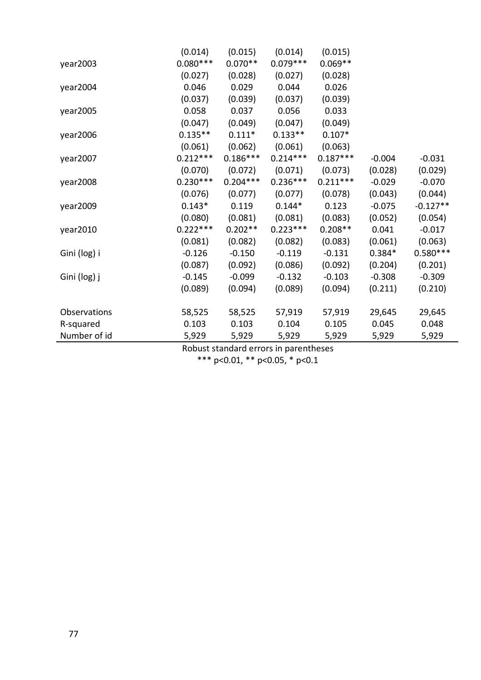|              | (0.014)    | (0.015)    | (0.014)    | (0.015)    |          |            |
|--------------|------------|------------|------------|------------|----------|------------|
| year2003     | $0.080***$ | $0.070**$  | $0.079***$ | $0.069**$  |          |            |
|              | (0.027)    | (0.028)    | (0.027)    | (0.028)    |          |            |
| year2004     | 0.046      | 0.029      | 0.044      | 0.026      |          |            |
|              | (0.037)    | (0.039)    | (0.037)    | (0.039)    |          |            |
| year2005     | 0.058      | 0.037      | 0.056      | 0.033      |          |            |
|              | (0.047)    | (0.049)    | (0.047)    | (0.049)    |          |            |
| year2006     | $0.135**$  | $0.111*$   | $0.133**$  | $0.107*$   |          |            |
|              | (0.061)    | (0.062)    | (0.061)    | (0.063)    |          |            |
| year2007     | $0.212***$ | $0.186***$ | $0.214***$ | $0.187***$ | $-0.004$ | $-0.031$   |
|              | (0.070)    | (0.072)    | (0.071)    | (0.073)    | (0.028)  | (0.029)    |
| year2008     | $0.230***$ | $0.204***$ | $0.236***$ | $0.211***$ | $-0.029$ | $-0.070$   |
|              | (0.076)    | (0.077)    | (0.077)    | (0.078)    | (0.043)  | (0.044)    |
| year2009     | $0.143*$   | 0.119      | $0.144*$   | 0.123      | $-0.075$ | $-0.127**$ |
|              | (0.080)    | (0.081)    | (0.081)    | (0.083)    | (0.052)  | (0.054)    |
| year2010     | $0.222***$ | $0.202**$  | $0.223***$ | $0.208**$  | 0.041    | $-0.017$   |
|              | (0.081)    | (0.082)    | (0.082)    | (0.083)    | (0.061)  | (0.063)    |
| Gini (log) i | $-0.126$   | $-0.150$   | $-0.119$   | $-0.131$   | $0.384*$ | $0.580***$ |
|              | (0.087)    | (0.092)    | (0.086)    | (0.092)    | (0.204)  | (0.201)    |
| Gini (log) j | $-0.145$   | $-0.099$   | $-0.132$   | $-0.103$   | $-0.308$ | $-0.309$   |
|              | (0.089)    | (0.094)    | (0.089)    | (0.094)    | (0.211)  | (0.210)    |
| Observations | 58,525     | 58,525     | 57,919     | 57,919     | 29,645   | 29,645     |
| R-squared    | 0.103      | 0.103      | 0.104      | 0.105      | 0.045    | 0.048      |
| Number of id | 5,929      | 5,929      | 5,929      | 5,929      | 5,929    | 5,929      |
|              |            |            |            |            |          |            |

Robust standard errors in parentheses

\*\*\* p<0.01, \*\* p<0.05, \* p<0.1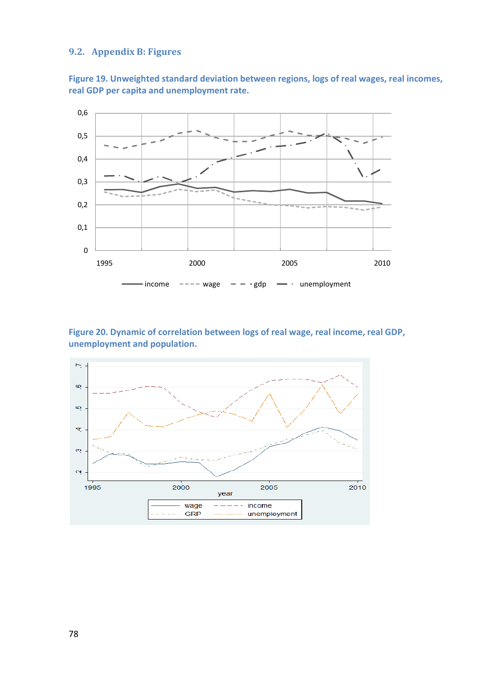## **9.2. Appendix B: Figures**

**Figure 19. Unweighted standard deviation between regions, logs of real wages, real incomes, real GDP per capita and unemployment rate.**



## **Figure 20. Dynamic of correlation between logs of real wage, real income, real GDP, unemployment and population.**

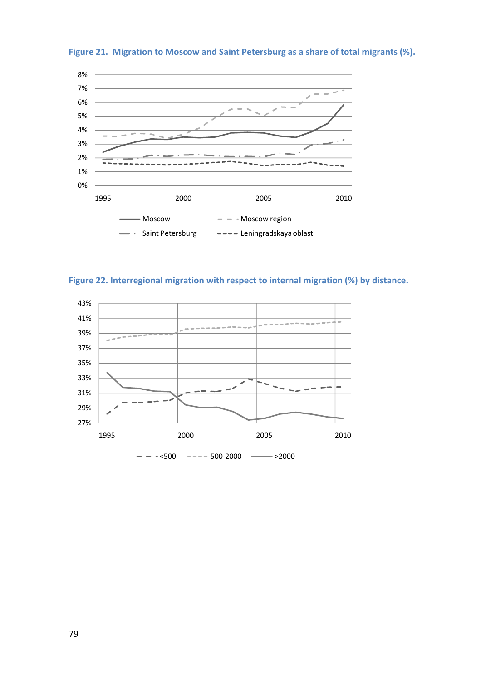

**Figure 21. Migration to Moscow and Saint Petersburg as a share of total migrants (%).**

**Figure 22. Interregional migration with respect to internal migration (%) by distance.**

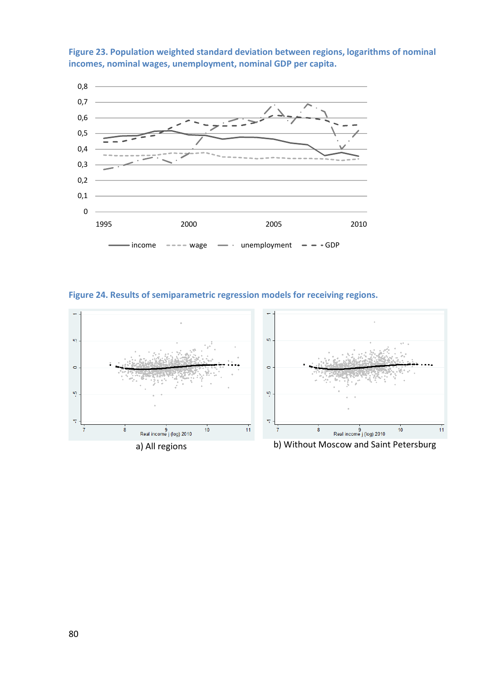

**Figure 23. Population weighted standard deviation between regions, logarithms of nominal incomes, nominal wages, unemployment, nominal GDP per capita.**

**Figure 24. Results of semiparametric regression models for receiving regions.**

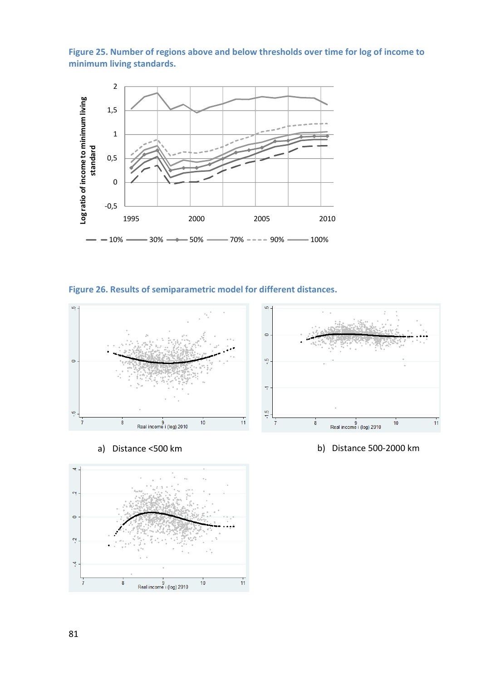**Figure 25. Number of regions above and below thresholds over time for log of income to minimum living standards.**



**Figure 26. Results of semiparametric model for different distances.**







a) Distance <500 km b) Distance 500-2000 km